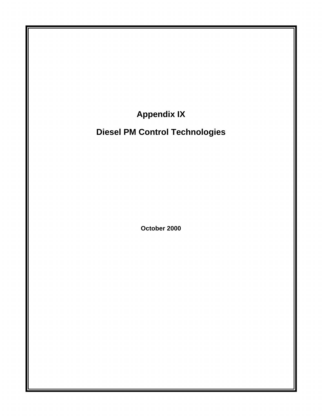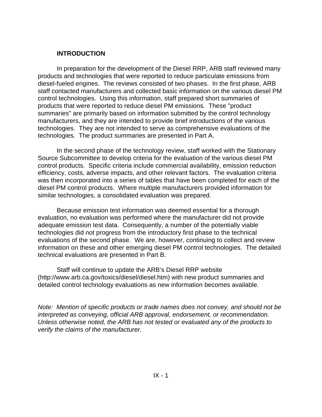## **INTRODUCTION**

In preparation for the development of the Diesel RRP, ARB staff reviewed many products and technologies that were reported to reduce particulate emissions from diesel-fueled engines. The reviews consisted of two phases. In the first phase, ARB staff contacted manufacturers and collected basic information on the various diesel PM control technologies. Using this information, staff prepared short summaries of products that were reported to reduce diesel PM emissions. These "product summaries" are primarily based on information submitted by the control technology manufacturers, and they are intended to provide brief introductions of the various technologies. They are not intended to serve as comprehensive evaluations of the technologies. The product summaries are presented in Part A.

In the second phase of the technology review, staff worked with the Stationary Source Subcommittee to develop criteria for the evaluation of the various diesel PM control products. Specific criteria include commercial availability, emission reduction efficiency, costs, adverse impacts, and other relevant factors. The evaluation criteria was then incorporated into a series of tables that have been completed for each of the diesel PM control products. Where multiple manufacturers provided information for similar technologies, a consolidated evaluation was prepared.

Because emission test information was deemed essential for a thorough evaluation, no evaluation was performed where the manufacturer did not provide adequate emission test data. Consequently, a number of the potentially viable technologies did not progress from the introductory first phase to the technical evaluations of the second phase. We are, however, continuing to collect and review information on these and other emerging diesel PM control technologies. The detailed technical evaluations are presented in Part B.

Staff will continue to update the ARB's Diesel RRP website (<http://www.arb.ca.gov/toxics/diesel/diesel.htm>) with new product summaries and detailed control technology evaluations as new information becomes available.

*Note: Mention of specific products or trade names does not convey, and should not be interpreted as conveying, official ARB approval, endorsement, or recommendation. Unless otherwise noted, the ARB has not tested or evaluated any of the products to verify the claims of the manufacturer.*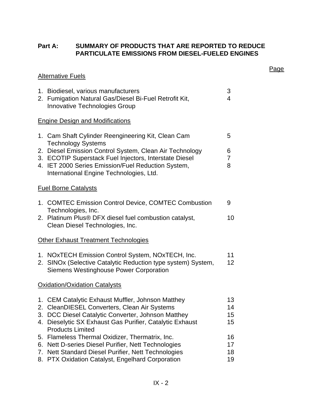# **Part A: SUMMARY OF PRODUCTS THAT ARE REPORTED TO REDUCE PARTICULATE EMISSIONS FROM DIESEL-FUELED ENGINES**

Page

|          | <b>Alternative Fuels</b>                                                                                                                                                                                                                       |                          |
|----------|------------------------------------------------------------------------------------------------------------------------------------------------------------------------------------------------------------------------------------------------|--------------------------|
|          | 1. Biodiesel, various manufacturers<br>2. Fumigation Natural Gas/Diesel Bi-Fuel Retrofit Kit,<br><b>Innovative Technologies Group</b>                                                                                                          | 3<br>$\overline{4}$      |
|          | <b>Engine Design and Modifications</b>                                                                                                                                                                                                         |                          |
|          | 1. Cam Shaft Cylinder Reengineering Kit, Clean Cam<br><b>Technology Systems</b>                                                                                                                                                                | 5                        |
|          | 2. Diesel Emission Control System, Clean Air Technology<br>3. ECOTIP Superstack Fuel Injectors, Interstate Diesel<br>4. IET 2000 Series Emission/Fuel Reduction System,<br>International Engine Technologies, Ltd.                             | 6<br>$\overline{7}$<br>8 |
|          | <b>Fuel Borne Catalysts</b>                                                                                                                                                                                                                    |                          |
|          | 1. COMTEC Emission Control Device, COMTEC Combustion                                                                                                                                                                                           | 9                        |
|          | Technologies, Inc.<br>2. Platinum Plus® DFX diesel fuel combustion catalyst,<br>Clean Diesel Technologies, Inc.                                                                                                                                | 10                       |
|          | <b>Other Exhaust Treatment Technologies</b>                                                                                                                                                                                                    |                          |
|          | 1. NOxTECH Emission Control System, NOxTECH, Inc.<br>2. SINOx (Selective Catalytic Reduction type system) System,<br><b>Siemens Westinghouse Power Corporation</b>                                                                             | 11<br>12 <sub>2</sub>    |
|          | <b>Oxidation/Oxidation Catalysts</b>                                                                                                                                                                                                           |                          |
|          | 1. CEM Catalytic Exhaust Muffler, Johnson Matthey<br>2. CleanDIESEL Converters, Clean Air Systems<br>3. DCC Diesel Catalytic Converter, Johnson Matthey<br>4. Dieselytic SX Exhaust Gas Purifier, Catalytic Exhaust<br><b>Products Limited</b> | 13<br>14<br>15<br>15     |
| 5.<br>7. | Flameless Thermal Oxidizer, Thermatrix, Inc.<br>6. Nett D-series Diesel Purifier, Nett Technologies<br>Nett Standard Diesel Purifier, Nett Technologies<br>8. PTX Oxidation Catalyst, Engelhard Corporation                                    | 16<br>17<br>18<br>19     |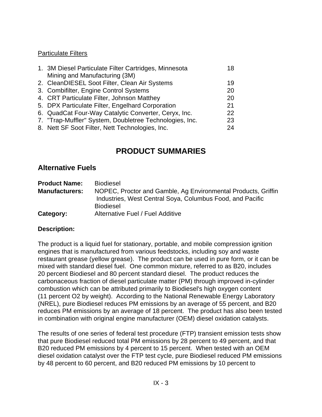# Particulate Filters

| 1. 3M Diesel Particulate Filter Cartridges, Minnesota   | 18 |
|---------------------------------------------------------|----|
| Mining and Manufacturing (3M)                           |    |
| 2. CleanDIESEL Soot Filter, Clean Air Systems           | 19 |
| 3. Combifilter, Engine Control Systems                  | 20 |
| 4. CRT Particulate Filter, Johnson Matthey              | 20 |
| 5. DPX Particulate Filter, Engelhard Corporation        | 21 |
| 6. QuadCat Four-Way Catalytic Converter, Ceryx, Inc.    | 22 |
| 7. "Trap-Muffler" System, Doubletree Technologies, Inc. | 23 |
| 8. Nett SF Soot Filter, Nett Technologies, Inc.         | 24 |

# **PRODUCT SUMMARIES**

# **Alternative Fuels**

| <b>Product Name:</b>  | <b>Biodiesel</b>                                              |
|-----------------------|---------------------------------------------------------------|
| <b>Manufacturers:</b> | NOPEC, Proctor and Gamble, Ag Environmental Products, Griffin |
|                       | Industries, West Central Soya, Columbus Food, and Pacific     |
|                       | <b>Biodiesel</b>                                              |
| Category:             | Alternative Fuel / Fuel Additive                              |

# **Description:**

The product is a liquid fuel for stationary, portable, and mobile compression ignition engines that is manufactured from various feedstocks, including soy and waste restaurant grease (yellow grease). The product can be used in pure form, or it can be mixed with standard diesel fuel. One common mixture, referred to as B20, includes 20 percent Biodiesel and 80 percent standard diesel. The product reduces the carbonaceous fraction of diesel particulate matter (PM) through improved in-cylinder combustion which can be attributed primarily to Biodiesel's high oxygen content (11 percent O2 by weight). According to the National Renewable Energy Laboratory (NREL), pure Biodiesel reduces PM emissions by an average of 55 percent, and B20 reduces PM emissions by an average of 18 percent. The product has also been tested in combination with original engine manufacturer (OEM) diesel oxidation catalysts.

The results of one series of federal test procedure (FTP) transient emission tests show that pure Biodiesel reduced total PM emissions by 28 percent to 49 percent, and that B20 reduced PM emissions by 4 percent to 15 percent. When tested with an OEM diesel oxidation catalyst over the FTP test cycle, pure Biodiesel reduced PM emissions by 48 percent to 60 percent, and B20 reduced PM emissions by 10 percent to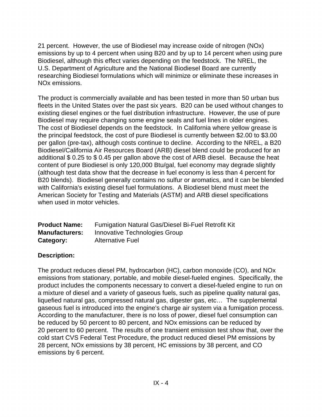21 percent. However, the use of Biodiesel may increase oxide of nitrogen (NOx) emissions by up to 4 percent when using B20 and by up to 14 percent when using pure Biodiesel, although this effect varies depending on the feedstock. The NREL, the U.S. Department of Agriculture and the National Biodiesel Board are currently researching Biodiesel formulations which will minimize or eliminate these increases in NOx emissions.

The product is commercially available and has been tested in more than 50 urban bus fleets in the United States over the past six years. B20 can be used without changes to existing diesel engines or the fuel distribution infrastructure. However, the use of pure Biodiesel may require changing some engine seals and fuel lines in older engines. The cost of Biodiesel depends on the feedstock. In California where yellow grease is the principal feedstock, the cost of pure Biodiesel is currently between \$2.00 to \$3.00 per gallon (pre-tax), although costs continue to decline. According to the NREL, a B20 Biodiesel/California Air Resources Board (ARB) diesel blend could be produced for an additional \$ 0.25 to \$ 0.45 per gallon above the cost of ARB diesel. Because the heat content of pure Biodiesel is only 120,000 Btu/gal, fuel economy may degrade slightly (although test data show that the decrease in fuel economy is less than 4 percent for B20 blends). Biodiesel generally contains no sulfur or aromatics, and it can be blended with California's existing diesel fuel formulations. A Biodiesel blend must meet the American Society for Testing and Materials (ASTM) and ARB diesel specifications when used in motor vehicles.

| <b>Product Name:</b>  | Fumigation Natural Gas/Diesel Bi-Fuel Retrofit Kit |
|-----------------------|----------------------------------------------------|
| <b>Manufacturers:</b> | Innovative Technologies Group                      |
| Category:             | <b>Alternative Fuel</b>                            |

# **Description:**

The product reduces diesel PM, hydrocarbon (HC), carbon monoxide (CO), and NOx emissions from stationary, portable, and mobile diesel-fueled engines. Specifically, the product includes the components necessary to convert a diesel-fueled engine to run on a mixture of diesel and a variety of gaseous fuels, such as pipeline quality natural gas, liquefied natural gas, compressed natural gas, digester gas, etc… The supplemental gaseous fuel is introduced into the engine's charge air system via a fumigation process. According to the manufacturer, there is no loss of power, diesel fuel consumption can be reduced by 50 percent to 80 percent, and NOx emissions can be reduced by 20 percent to 60 percent. The results of one transient emission test show that, over the cold start CVS Federal Test Procedure, the product reduced diesel PM emissions by 28 percent, NOx emissions by 38 percent, HC emissions by 38 percent, and CO emissions by 6 percent.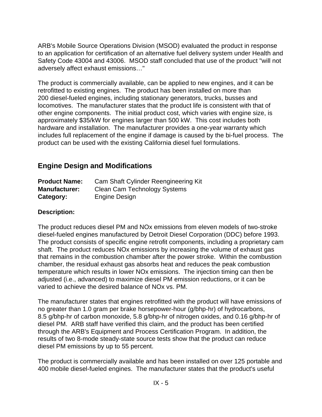ARB's Mobile Source Operations Division (MSOD) evaluated the product in response to an application for certification of an alternative fuel delivery system under Health and Safety Code 43004 and 43006. MSOD staff concluded that use of the product "will not adversely affect exhaust emissions…"

The product is commercially available, can be applied to new engines, and it can be retrofitted to existing engines. The product has been installed on more than 200 diesel-fueled engines, including stationary generators, trucks, busses and locomotives. The manufacturer states that the product life is consistent with that of other engine components. The initial product cost, which varies with engine size, is approximately \$35/kW for engines larger than 500 kW. This cost includes both hardware and installation. The manufacturer provides a one-year warranty which includes full replacement of the engine if damage is caused by the bi-fuel process. The product can be used with the existing California diesel fuel formulations.

# **Engine Design and Modifications**

| <b>Product Name:</b> | Cam Shaft Cylinder Reengineering Kit |
|----------------------|--------------------------------------|
| <b>Manufacturer:</b> | Clean Cam Technology Systems         |
| Category:            | Engine Design                        |

# **Description:**

The product reduces diesel PM and NOx emissions from eleven models of two-stroke diesel-fueled engines manufactured by Detroit Diesel Corporation (DDC) before 1993. The product consists of specific engine retrofit components, including a proprietary cam shaft. The product reduces NOx emissions by increasing the volume of exhaust gas that remains in the combustion chamber after the power stroke. Within the combustion chamber, the residual exhaust gas absorbs heat and reduces the peak combustion temperature which results in lower NOx emissions. The injection timing can then be adjusted (i.e., advanced) to maximize diesel PM emission reductions, or it can be varied to achieve the desired balance of NOx vs. PM.

The manufacturer states that engines retrofitted with the product will have emissions of no greater than 1.0 gram per brake horsepower-hour (g/bhp-hr) of hydrocarbons, 8.5 g/bhp-hr of carbon monoxide, 5.8 g/bhp-hr of nitrogen oxides, and 0.16 g/bhp-hr of diesel PM. ARB staff have verified this claim, and the product has been certified through the ARB's Equipment and Process Certification Program. In addition, the results of two 8-mode steady-state source tests show that the product can reduce diesel PM emissions by up to 55 percent.

The product is commercially available and has been installed on over 125 portable and 400 mobile diesel-fueled engines. The manufacturer states that the product's useful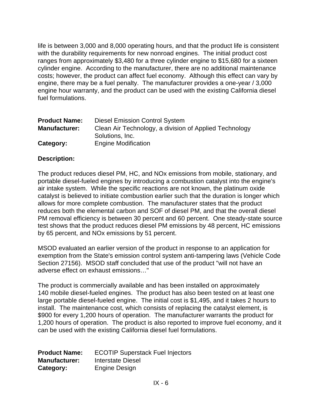life is between 3,000 and 8,000 operating hours, and that the product life is consistent with the durability requirements for new nonroad engines. The initial product cost ranges from approximately \$3,480 for a three cylinder engine to \$15,680 for a sixteen cylinder engine. According to the manufacturer, there are no additional maintenance costs; however, the product can affect fuel economy. Although this effect can vary by engine, there may be a fuel penalty. The manufacturer provides a one-year / 3,000 engine hour warranty, and the product can be used with the existing California diesel fuel formulations.

| <b>Product Name:</b> | Diesel Emission Control System                         |
|----------------------|--------------------------------------------------------|
| <b>Manufacturer:</b> | Clean Air Technology, a division of Applied Technology |
|                      | Solutions, Inc.                                        |
| Category:            | <b>Engine Modification</b>                             |

#### **Description:**

The product reduces diesel PM, HC, and NOx emissions from mobile, stationary, and portable diesel-fueled engines by introducing a combustion catalyst into the engine's air intake system. While the specific reactions are not known, the platinum oxide catalyst is believed to initiate combustion earlier such that the duration is longer which allows for more complete combustion. The manufacturer states that the product reduces both the elemental carbon and SOF of diesel PM, and that the overall diesel PM removal efficiency is between 30 percent and 60 percent. One steady-state source test shows that the product reduces diesel PM emissions by 48 percent, HC emissions by 65 percent, and NOx emissions by 51 percent.

MSOD evaluated an earlier version of the product in response to an application for exemption from the State's emission control system anti-tampering laws (Vehicle Code Section 27156). MSOD staff concluded that use of the product "will not have an adverse effect on exhaust emissions…"

The product is commercially available and has been installed on approximately 140 mobile diesel-fueled engines. The product has also been tested on at least one large portable diesel-fueled engine. The initial cost is \$1,495, and it takes 2 hours to install. The maintenance cost, which consists of replacing the catalyst element, is \$900 for every 1,200 hours of operation. The manufacturer warrants the product for 1,200 hours of operation. The product is also reported to improve fuel economy, and it can be used with the existing California diesel fuel formulations.

| <b>Product Name:</b> | <b>ECOTIP Superstack Fuel Injectors</b> |
|----------------------|-----------------------------------------|
| <b>Manufacturer:</b> | Interstate Diesel                       |
| Category:            | Engine Design                           |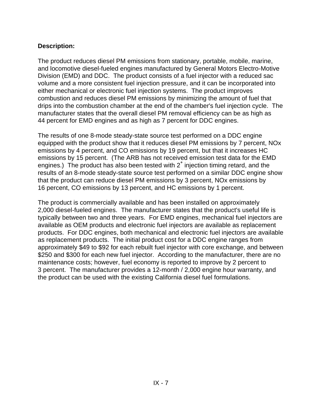The product reduces diesel PM emissions from stationary, portable, mobile, marine, and locomotive diesel-fueled engines manufactured by General Motors Electro-Motive Division (EMD) and DDC. The product consists of a fuel injector with a reduced sac volume and a more consistent fuel injection pressure, and it can be incorporated into either mechanical or electronic fuel injection systems. The product improves combustion and reduces diesel PM emissions by minimizing the amount of fuel that drips into the combustion chamber at the end of the chamber's fuel injection cycle. The manufacturer states that the overall diesel PM removal efficiency can be as high as 44 percent for EMD engines and as high as 7 percent for DDC engines.

The results of one 8-mode steady-state source test performed on a DDC engine equipped with the product show that it reduces diesel PM emissions by 7 percent, NOx emissions by 4 percent, and CO emissions by 19 percent, but that it increases HC emissions by 15 percent. (The ARB has not received emission test data for the EMD engines.) The product has also been tested with  $2^\circ$  injection timing retard, and the results of an 8-mode steady-state source test performed on a similar DDC engine show that the product can reduce diesel PM emissions by 3 percent, NOx emissions by 16 percent, CO emissions by 13 percent, and HC emissions by 1 percent.

The product is commercially available and has been installed on approximately 2,000 diesel-fueled engines. The manufacturer states that the product's useful life is typically between two and three years. For EMD engines, mechanical fuel injectors are available as OEM products and electronic fuel injectors are available as replacement products. For DDC engines, both mechanical and electronic fuel injectors are available as replacement products. The initial product cost for a DDC engine ranges from approximately \$49 to \$92 for each rebuilt fuel injector with core exchange, and between \$250 and \$300 for each new fuel injector. According to the manufacturer, there are no maintenance costs; however, fuel economy is reported to improve by 2 percent to 3 percent. The manufacturer provides a 12-month / 2,000 engine hour warranty, and the product can be used with the existing California diesel fuel formulations.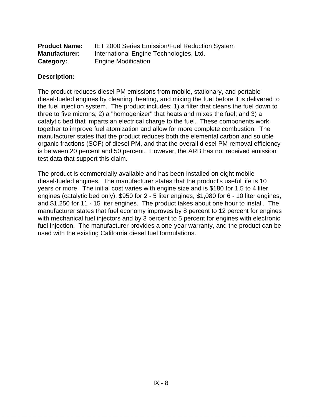| <b>Product Name:</b> | <b>IET 2000 Series Emission/Fuel Reduction System</b> |
|----------------------|-------------------------------------------------------|
| <b>Manufacturer:</b> | International Engine Technologies, Ltd.               |
| Category:            | <b>Engine Modification</b>                            |

The product reduces diesel PM emissions from mobile, stationary, and portable diesel-fueled engines by cleaning, heating, and mixing the fuel before it is delivered to the fuel injection system. The product includes: 1) a filter that cleans the fuel down to three to five microns; 2) a "homogenizer" that heats and mixes the fuel; and 3) a catalytic bed that imparts an electrical charge to the fuel. These components work together to improve fuel atomization and allow for more complete combustion. The manufacturer states that the product reduces both the elemental carbon and soluble organic fractions (SOF) of diesel PM, and that the overall diesel PM removal efficiency is between 20 percent and 50 percent. However, the ARB has not received emission test data that support this claim.

The product is commercially available and has been installed on eight mobile diesel-fueled engines. The manufacturer states that the product's useful life is 10 years or more. The initial cost varies with engine size and is \$180 for 1.5 to 4 liter engines (catalytic bed only), \$950 for 2 - 5 liter engines, \$1,080 for 6 - 10 liter engines, and \$1,250 for 11 - 15 liter engines. The product takes about one hour to install. The manufacturer states that fuel economy improves by 8 percent to 12 percent for engines with mechanical fuel injectors and by 3 percent to 5 percent for engines with electronic fuel injection. The manufacturer provides a one-year warranty, and the product can be used with the existing California diesel fuel formulations.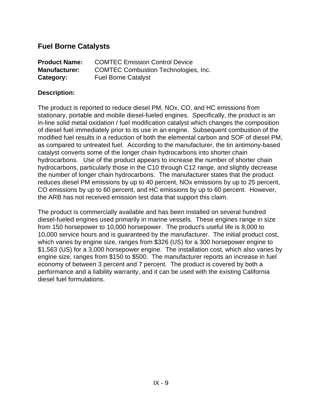# **Fuel Borne Catalysts**

| <b>Product Name:</b> | <b>COMTEC Emission Control Device</b>       |
|----------------------|---------------------------------------------|
| <b>Manufacturer:</b> | <b>COMTEC Combustion Technologies, Inc.</b> |
| Category:            | <b>Fuel Borne Catalyst</b>                  |

## **Description:**

The product is reported to reduce diesel PM, NOx, CO, and HC emissions from stationary, portable and mobile diesel-fueled engines. Specifically, the product is an in-line solid metal oxidation / fuel modification catalyst which changes the composition of diesel fuel immediately prior to its use in an engine. Subsequent combustion of the modified fuel results in a reduction of both the elemental carbon and SOF of diesel PM, as compared to untreated fuel. According to the manufacturer, the tin antimony-based catalyst converts some of the longer chain hydrocarbons into shorter chain hydrocarbons. Use of the product appears to increase the number of shorter chain hydrocarbons, particularly those in the C10 through C12 range, and slightly decrease the number of longer chain hydrocarbons. The manufacturer states that the product reduces diesel PM emissions by up to 40 percent, NOx emissions by up to 25 percent, CO emissions by up to 60 percent, and HC emissions by up to 60 percent. However, the ARB has not received emission test data that support this claim.

The product is commercially available and has been installed on several hundred diesel-fueled engines used primarily in marine vessels. These engines range in size from 150 horsepower to 10,000 horsepower. The product's useful life is 8,000 to 10,000 service hours and is guaranteed by the manufacturer. The initial product cost, which varies by engine size, ranges from \$326 (US) for a 300 horsepower engine to \$1,563 (US) for a 3,000 horsepower engine. The installation cost, which also varies by engine size, ranges from \$150 to \$500. The manufacturer reports an increase in fuel economy of between 3 percent and 7 percent. The product is covered by both a performance and a liability warranty, and it can be used with the existing California diesel fuel formulations.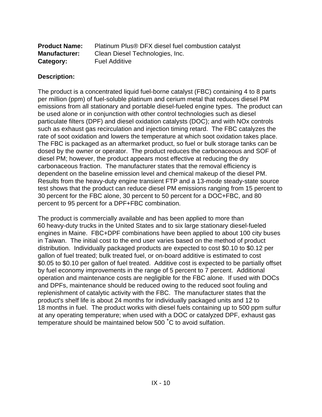| <b>Product Name:</b> | Platinum Plus® DFX diesel fuel combustion catalyst |
|----------------------|----------------------------------------------------|
| <b>Manufacturer:</b> | Clean Diesel Technologies, Inc.                    |
| Category:            | <b>Fuel Additive</b>                               |

The product is a concentrated liquid fuel-borne catalyst (FBC) containing 4 to 8 parts per million (ppm) of fuel-soluble platinum and cerium metal that reduces diesel PM emissions from all stationary and portable diesel-fueled engine types. The product can be used alone or in conjunction with other control technologies such as diesel particulate filters (DPF) and diesel oxidation catalysts (DOC); and with NOx controls such as exhaust gas recirculation and injection timing retard. The FBC catalyzes the rate of soot oxidation and lowers the temperature at which soot oxidation takes place. The FBC is packaged as an aftermarket product, so fuel or bulk storage tanks can be dosed by the owner or operator. The product reduces the carbonaceous and SOF of diesel PM; however, the product appears most effective at reducing the dry carbonaceous fraction. The manufacturer states that the removal efficiency is dependent on the baseline emission level and chemical makeup of the diesel PM. Results from the heavy-duty engine transient FTP and a 13-mode steady-state source test shows that the product can reduce diesel PM emissions ranging from 15 percent to 30 percent for the FBC alone, 30 percent to 50 percent for a DOC+FBC, and 80 percent to 95 percent for a DPF+FBC combination.

The product is commercially available and has been applied to more than 60 heavy-duty trucks in the United States and to six large stationary diesel-fueled engines in Maine. FBC+DPF combinations have been applied to about 100 city buses in Taiwan. The initial cost to the end user varies based on the method of product distribution. Individually packaged products are expected to cost \$0.10 to \$0.12 per gallon of fuel treated; bulk treated fuel, or on-board additive is estimated to cost \$0.05 to \$0.10 per gallon of fuel treated. Additive cost is expected to be partially offset by fuel economy improvements in the range of 5 percent to 7 percent. Additional operation and maintenance costs are negligible for the FBC alone. If used with DOCs and DPFs, maintenance should be reduced owing to the reduced soot fouling and replenishment of catalytic activity with the FBC. The manufacturer states that the product's shelf life is about 24 months for individually packaged units and 12 to 18 months in fuel. The product works with diesel fuels containing up to 500 ppm sulfur at any operating temperature; when used with a DOC or catalyzed DPF, exhaust gas temperature should be maintained below 500 °C to avoid sulfation.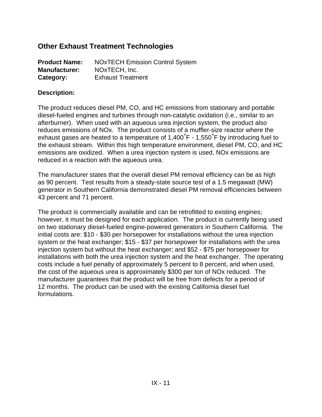# **Other Exhaust Treatment Technologies**

| <b>Product Name:</b> | <b>NOxTECH Emission Control System</b> |
|----------------------|----------------------------------------|
| <b>Manufacturer:</b> | NOxTECH, Inc.                          |
| Category:            | <b>Exhaust Treatment</b>               |

#### **Description:**

The product reduces diesel PM, CO, and HC emissions from stationary and portable diesel-fueled engines and turbines through non-catalytic oxidation (i.e., similar to an afterburner). When used with an aqueous urea injection system, the product also reduces emissions of NOx. The product consists of a muffler-size reactor where the exhaust gases are heated to a temperature of  $1,400\degree F$  -  $1,550\degree F$  by introducing fuel to the exhaust stream. Within this high temperature environment, diesel PM, CO, and HC emissions are oxidized. When a urea injection system is used, NOx emissions are reduced in a reaction with the aqueous urea.

The manufacturer states that the overall diesel PM removal efficiency can be as high as 90 percent. Test results from a steady-state source test of a 1.5 megawatt (MW) generator in Southern California demonstrated diesel PM removal efficiencies between 43 percent and 71 percent.

The product is commercially available and can be retrofitted to existing engines; however, it must be designed for each application. The product is currently being used on two stationary diesel-fueled engine-powered generators in Southern California. The initial costs are: \$10 - \$30 per horsepower for installations without the urea injection system or the heat exchanger; \$15 - \$37 per horsepower for installations with the urea injection system but without the heat exchanger; and \$52 - \$75 per horsepower for installations with both the urea injection system and the heat exchanger. The operating costs include a fuel penalty of approximately 5 percent to 8 percent, and when used, the cost of the aqueous urea is approximately \$300 per ton of NOx reduced. The manufacturer guarantees that the product will be free from defects for a period of 12 months. The product can be used with the existing California diesel fuel formulations.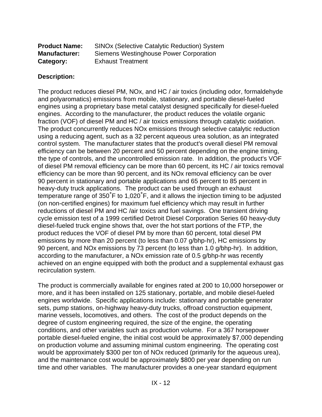| <b>Product Name:</b> | SINOx (Selective Catalytic Reduction) System |
|----------------------|----------------------------------------------|
| <b>Manufacturer:</b> | Siemens Westinghouse Power Corporation       |
| Category:            | <b>Exhaust Treatment</b>                     |

The product reduces diesel PM, NOx, and HC / air toxics (including odor, formaldehyde and polyaromatics) emissions from mobile, stationary, and portable diesel-fueled engines using a proprietary base metal catalyst designed specifically for diesel-fueled engines. According to the manufacturer, the product reduces the volatile organic fraction (VOF) of diesel PM and HC / air toxics emissions through catalytic oxidation. The product concurrently reduces NOx emissions through selective catalytic reduction using a reducing agent, such as a 32 percent aqueous urea solution, as an integrated control system. The manufacturer states that the product's overall diesel PM removal efficiency can be between 20 percent and 50 percent depending on the engine timing, the type of controls, and the uncontrolled emission rate. In addition, the product's VOF of diesel PM removal efficiency can be more than 60 percent, its HC / air toxics removal efficiency can be more than 90 percent, and its NOx removal efficiency can be over 90 percent in stationary and portable applications and 65 percent to 85 percent in heavy-duty truck applications. The product can be used through an exhaust temperature range of 350°F to 1,020°F, and it allows the injection timing to be adjusted (on non-certified engines) for maximum fuel efficiency which may result in further reductions of diesel PM and HC /air toxics and fuel savings. One transient driving cycle emission test of a 1999 certified Detroit Diesel Corporation Series 60 heavy-duty diesel-fueled truck engine shows that, over the hot start portions of the FTP, the product reduces the VOF of diesel PM by more than 60 percent, total diesel PM emissions by more than 20 percent (to less than 0.07 g/bhp-hr), HC emissions by 90 percent, and NOx emissions by 73 percent (to less than 1.0 g/bhp-hr). In addition, according to the manufacturer, a NOx emission rate of 0.5 g/bhp-hr was recently achieved on an engine equipped with both the product and a supplemental exhaust gas recirculation system.

The product is commercially available for engines rated at 200 to 10,000 horsepower or more, and it has been installed on 125 stationary, portable, and mobile diesel-fueled engines worldwide. Specific applications include: stationary and portable generator sets, pump stations, on-highway heavy-duty trucks, offroad construction equipment, marine vessels, locomotives, and others. The cost of the product depends on the degree of custom engineering required, the size of the engine, the operating conditions, and other variables such as production volume. For a 367 horsepower portable diesel-fueled engine, the initial cost would be approximately \$7,000 depending on production volume and assuming minimal custom engineering. The operating cost would be approximately \$300 per ton of NOx reduced (primarily for the aqueous urea), and the maintenance cost would be approximately \$800 per year depending on run time and other variables. The manufacturer provides a one-year standard equipment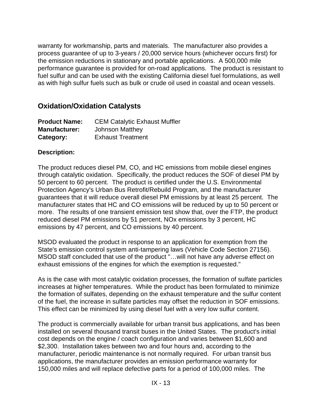warranty for workmanship, parts and materials. The manufacturer also provides a process guarantee of up to 3-years / 20,000 service hours (whichever occurs first) for the emission reductions in stationary and portable applications. A 500,000 mile performance guarantee is provided for on-road applications. The product is resistant to fuel sulfur and can be used with the existing California diesel fuel formulations, as well as with high sulfur fuels such as bulk or crude oil used in coastal and ocean vessels.

# **Oxidation/Oxidation Catalysts**

| <b>Product Name:</b> | <b>CEM Catalytic Exhaust Muffler</b> |
|----------------------|--------------------------------------|
| <b>Manufacturer:</b> | <b>Johnson Matthey</b>               |
| Category:            | <b>Exhaust Treatment</b>             |

# **Description:**

The product reduces diesel PM, CO, and HC emissions from mobile diesel engines through catalytic oxidation. Specifically, the product reduces the SOF of diesel PM by 50 percent to 60 percent. The product is certified under the U.S. Environmental Protection Agency's Urban Bus Retrofit/Rebuild Program, and the manufacturer guarantees that it will reduce overall diesel PM emissions by at least 25 percent. The manufacturer states that HC and CO emissions will be reduced by up to 50 percent or more. The results of one transient emission test show that, over the FTP, the product reduced diesel PM emissions by 51 percent, NOx emissions by 3 percent, HC emissions by 47 percent, and CO emissions by 40 percent.

MSOD evaluated the product in response to an application for exemption from the State's emission control system anti-tampering laws (Vehicle Code Section 27156). MSOD staff concluded that use of the product "…will not have any adverse effect on exhaust emissions of the engines for which the exemption is requested."

As is the case with most catalytic oxidation processes, the formation of sulfate particles increases at higher temperatures. While the product has been formulated to minimize the formation of sulfates, depending on the exhaust temperature and the sulfur content of the fuel, the increase in sulfate particles may offset the reduction in SOF emissions. This effect can be minimized by using diesel fuel with a very low sulfur content.

The product is commercially available for urban transit bus applications, and has been installed on several thousand transit buses in the United States. The product's initial cost depends on the engine / coach configuration and varies between \$1,600 and \$2,300. Installation takes between two and four hours and, according to the manufacturer, periodic maintenance is not normally required. For urban transit bus applications, the manufacturer provides an emission performance warranty for 150,000 miles and will replace defective parts for a period of 100,000 miles. The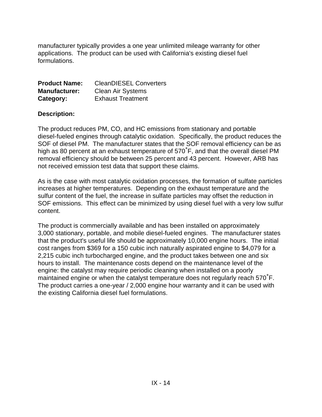manufacturer typically provides a one year unlimited mileage warranty for other applications. The product can be used with California's existing diesel fuel formulations.

| <b>Product Name:</b> | <b>CleanDIESEL Converters</b> |
|----------------------|-------------------------------|
| <b>Manufacturer:</b> | <b>Clean Air Systems</b>      |
| Category:            | <b>Exhaust Treatment</b>      |

#### **Description:**

The product reduces PM, CO, and HC emissions from stationary and portable diesel-fueled engines through catalytic oxidation. Specifically, the product reduces the SOF of diesel PM. The manufacturer states that the SOF removal efficiency can be as high as 80 percent at an exhaust temperature of  $570^{\circ}$ F, and that the overall diesel PM removal efficiency should be between 25 percent and 43 percent. However, ARB has not received emission test data that support these claims.

As is the case with most catalytic oxidation processes, the formation of sulfate particles increases at higher temperatures. Depending on the exhaust temperature and the sulfur content of the fuel, the increase in sulfate particles may offset the reduction in SOF emissions. This effect can be minimized by using diesel fuel with a very low sulfur content.

The product is commercially available and has been installed on approximately 3,000 stationary, portable, and mobile diesel-fueled engines. The manufacturer states that the product's useful life should be approximately 10,000 engine hours. The initial cost ranges from \$369 for a 150 cubic inch naturally aspirated engine to \$4,079 for a 2,215 cubic inch turbocharged engine, and the product takes between one and six hours to install. The maintenance costs depend on the maintenance level of the engine: the catalyst may require periodic cleaning when installed on a poorly maintained engine or when the catalyst temperature does not regularly reach  $570^{\circ}$ F. The product carries a one-year / 2,000 engine hour warranty and it can be used with the existing California diesel fuel formulations.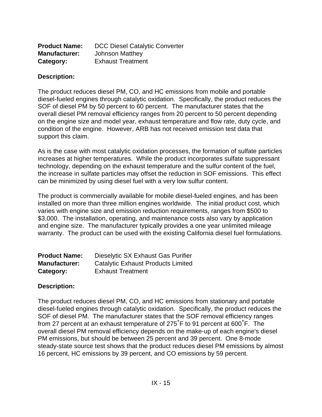| <b>Product Name:</b> | <b>DCC Diesel Catalytic Converter</b> |
|----------------------|---------------------------------------|
| <b>Manufacturer:</b> | <b>Johnson Matthey</b>                |
| Category:            | <b>Exhaust Treatment</b>              |

The product reduces diesel PM, CO, and HC emissions from mobile and portable diesel-fueled engines through catalytic oxidation. Specifically, the product reduces the SOF of diesel PM by 50 percent to 60 percent. The manufacturer states that the overall diesel PM removal efficiency ranges from 20 percent to 50 percent depending on the engine size and model year, exhaust temperature and flow rate, duty cycle, and condition of the engine. However, ARB has not received emission test data that support this claim.

As is the case with most catalytic oxidation processes, the formation of sulfate particles increases at higher temperatures. While the product incorporates sulfate suppressant technology, depending on the exhaust temperature and the sulfur content of the fuel, the increase in sulfate particles may offset the reduction in SOF emissions. This effect can be minimized by using diesel fuel with a very low sulfur content.

The product is commercially available for mobile diesel-fueled engines, and has been installed on more than three million engines worldwide. The initial product cost, which varies with engine size and emission reduction requirements, ranges from \$500 to \$3,000. The installation, operating, and maintenance costs also vary by application and engine size. The manufacturer typically provides a one year unlimited mileage warranty. The product can be used with the existing California diesel fuel formulations.

| <b>Product Name:</b> | Dieselytic SX Exhaust Gas Purifier        |
|----------------------|-------------------------------------------|
| <b>Manufacturer:</b> | <b>Catalytic Exhaust Products Limited</b> |
| Category:            | <b>Exhaust Treatment</b>                  |

#### **Description:**

The product reduces diesel PM, CO, and HC emissions from stationary and portable diesel-fueled engines through catalytic oxidation. Specifically, the product reduces the SOF of diesel PM. The manufacturer states that the SOF removal efficiency ranges from 27 percent at an exhaust temperature of 275 $\degree$ F to 91 percent at 600 $\degree$ F. The overall diesel PM removal efficiency depends on the make-up of each engine's diesel PM emissions, but should be between 25 percent and 39 percent. One 8-mode steady-state source test shows that the product reduces diesel PM emissions by almost 16 percent, HC emissions by 39 percent, and CO emissions by 59 percent.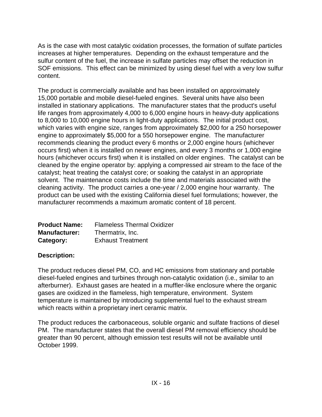As is the case with most catalytic oxidation processes, the formation of sulfate particles increases at higher temperatures. Depending on the exhaust temperature and the sulfur content of the fuel, the increase in sulfate particles may offset the reduction in SOF emissions. This effect can be minimized by using diesel fuel with a very low sulfur content.

The product is commercially available and has been installed on approximately 15,000 portable and mobile diesel-fueled engines. Several units have also been installed in stationary applications. The manufacturer states that the product's useful life ranges from approximately 4,000 to 6,000 engine hours in heavy-duty applications to 8,000 to 10,000 engine hours in light-duty applications. The initial product cost, which varies with engine size, ranges from approximately \$2,000 for a 250 horsepower engine to approximately \$5,000 for a 550 horsepower engine. The manufacturer recommends cleaning the product every 6 months or 2,000 engine hours (whichever occurs first) when it is installed on newer engines, and every 3 months or 1,000 engine hours (whichever occurs first) when it is installed on older engines. The catalyst can be cleaned by the engine operator by: applying a compressed air stream to the face of the catalyst; heat treating the catalyst core; or soaking the catalyst in an appropriate solvent. The maintenance costs include the time and materials associated with the cleaning activity. The product carries a one-year / 2,000 engine hour warranty. The product can be used with the existing California diesel fuel formulations; however, the manufacturer recommends a maximum aromatic content of 18 percent.

| <b>Product Name:</b> | <b>Flameless Thermal Oxidizer</b> |
|----------------------|-----------------------------------|
| <b>Manufacturer:</b> | Thermatrix, Inc.                  |
| Category:            | <b>Exhaust Treatment</b>          |

# **Description:**

The product reduces diesel PM, CO, and HC emissions from stationary and portable diesel-fueled engines and turbines through non-catalytic oxidation (i.e., similar to an afterburner). Exhaust gases are heated in a muffler-like enclosure where the organic gases are oxidized in the flameless, high temperature, environment. System temperature is maintained by introducing supplemental fuel to the exhaust stream which reacts within a proprietary inert ceramic matrix.

The product reduces the carbonaceous, soluble organic and sulfate fractions of diesel PM. The manufacturer states that the overall diesel PM removal efficiency should be greater than 90 percent, although emission test results will not be available until October 1999.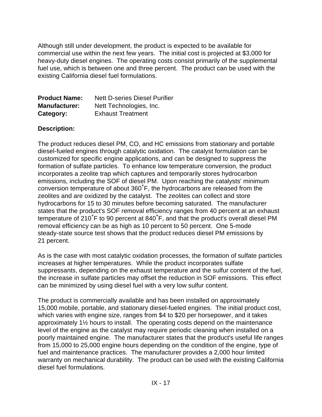Although still under development, the product is expected to be available for commercial use within the next few years. The initial cost is projected at \$3,000 for heavy-duty diesel engines. The operating costs consist primarily of the supplemental fuel use, which is between one and three percent. The product can be used with the existing California diesel fuel formulations.

| <b>Product Name:</b> | <b>Nett D-series Diesel Purifier</b> |
|----------------------|--------------------------------------|
| <b>Manufacturer:</b> | Nett Technologies, Inc.              |
| Category:            | <b>Exhaust Treatment</b>             |

# **Description:**

The product reduces diesel PM, CO, and HC emissions from stationary and portable diesel-fueled engines through catalytic oxidation. The catalyst formulation can be customized for specific engine applications, and can be designed to suppress the formation of sulfate particles. To enhance low temperature conversion, the product incorporates a zeolite trap which captures and temporarily stores hydrocarbon emissions, including the SOF of diesel PM. Upon reaching the catalysts' minimum conversion temperature of about 360<sup>°</sup>F, the hydrocarbons are released from the zeolites and are oxidized by the catalyst. The zeolites can collect and store hydrocarbons for 15 to 30 minutes before becoming saturated. The manufacturer states that the product's SOF removal efficiency ranges from 40 percent at an exhaust temperature of 210°F to 90 percent at 840°F, and that the product's overall diesel PM removal efficiency can be as high as 10 percent to 50 percent. One 5-mode steady-state source test shows that the product reduces diesel PM emissions by 21 percent.

As is the case with most catalytic oxidation processes, the formation of sulfate particles increases at higher temperatures. While the product incorporates sulfate suppressants, depending on the exhaust temperature and the sulfur content of the fuel, the increase in sulfate particles may offset the reduction in SOF emissions. This effect can be minimized by using diesel fuel with a very low sulfur content.

The product is commercially available and has been installed on approximately 15,000 mobile, portable, and stationary diesel-fueled engines. The initial product cost, which varies with engine size, ranges from \$4 to \$20 per horsepower, and it takes approximately 1½ hours to install. The operating costs depend on the maintenance level of the engine as the catalyst may require periodic cleaning when installed on a poorly maintained engine. The manufacturer states that the product's useful life ranges from 15,000 to 25,000 engine hours depending on the condition of the engine, type of fuel and maintenance practices. The manufacturer provides a 2,000 hour limited warranty on mechanical durability. The product can be used with the existing California diesel fuel formulations.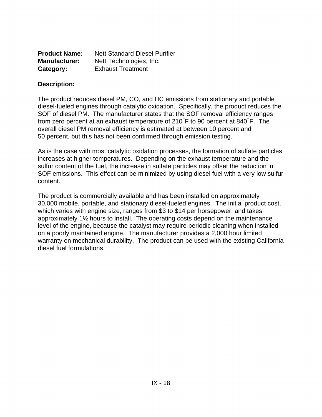| <b>Product Name:</b> | <b>Nett Standard Diesel Purifier</b> |
|----------------------|--------------------------------------|
| <b>Manufacturer:</b> | Nett Technologies, Inc.              |
| Category:            | <b>Exhaust Treatment</b>             |

The product reduces diesel PM, CO, and HC emissions from stationary and portable diesel-fueled engines through catalytic oxidation. Specifically, the product reduces the SOF of diesel PM. The manufacturer states that the SOF removal efficiency ranges from zero percent at an exhaust temperature of  $210^{\circ}$ F to 90 percent at 840 $^{\circ}$ F. The overall diesel PM removal efficiency is estimated at between 10 percent and 50 percent, but this has not been confirmed through emission testing.

As is the case with most catalytic oxidation processes, the formation of sulfate particles increases at higher temperatures. Depending on the exhaust temperature and the sulfur content of the fuel, the increase in sulfate particles may offset the reduction in SOF emissions. This effect can be minimized by using diesel fuel with a very low sulfur content.

The product is commercially available and has been installed on approximately 30,000 mobile, portable, and stationary diesel-fueled engines. The initial product cost, which varies with engine size, ranges from \$3 to \$14 per horsepower, and takes approximately 1½ hours to install. The operating costs depend on the maintenance level of the engine, because the catalyst may require periodic cleaning when installed on a poorly maintained engine. The manufacturer provides a 2,000 hour limited warranty on mechanical durability. The product can be used with the existing California diesel fuel formulations.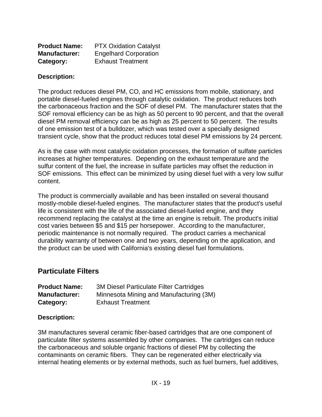| <b>Product Name:</b> | <b>PTX Oxidation Catalyst</b> |
|----------------------|-------------------------------|
| <b>Manufacturer:</b> | <b>Engelhard Corporation</b>  |
| Category:            | <b>Exhaust Treatment</b>      |

The product reduces diesel PM, CO, and HC emissions from mobile, stationary, and portable diesel-fueled engines through catalytic oxidation. The product reduces both the carbonaceous fraction and the SOF of diesel PM. The manufacturer states that the SOF removal efficiency can be as high as 50 percent to 90 percent, and that the overall diesel PM removal efficiency can be as high as 25 percent to 50 percent. The results of one emission test of a bulldozer, which was tested over a specially designed transient cycle, show that the product reduces total diesel PM emissions by 24 percent.

As is the case with most catalytic oxidation processes, the formation of sulfate particles increases at higher temperatures. Depending on the exhaust temperature and the sulfur content of the fuel, the increase in sulfate particles may offset the reduction in SOF emissions. This effect can be minimized by using diesel fuel with a very low sulfur content.

The product is commercially available and has been installed on several thousand mostly-mobile diesel-fueled engines. The manufacturer states that the product's useful life is consistent with the life of the associated diesel-fueled engine, and they recommend replacing the catalyst at the time an engine is rebuilt. The product's initial cost varies between \$5 and \$15 per horsepower. According to the manufacturer, periodic maintenance is not normally required. The product carries a mechanical durability warranty of between one and two years, depending on the application, and the product can be used with California's existing diesel fuel formulations.

# **Particulate Filters**

| <b>Product Name:</b> | <b>3M Diesel Particulate Filter Cartridges</b> |
|----------------------|------------------------------------------------|
| <b>Manufacturer:</b> | Minnesota Mining and Manufacturing (3M)        |
| Category:            | <b>Exhaust Treatment</b>                       |

#### **Description:**

3M manufactures several ceramic fiber-based cartridges that are one component of particulate filter systems assembled by other companies. The cartridges can reduce the carbonaceous and soluble organic fractions of diesel PM by collecting the contaminants on ceramic fibers. They can be regenerated either electrically via internal heating elements or by external methods, such as fuel burners, fuel additives,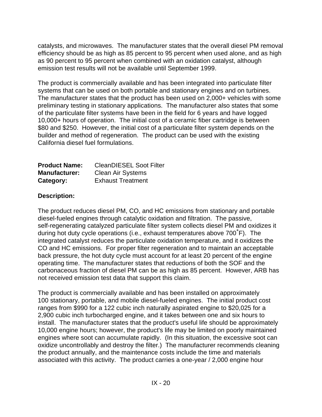catalysts, and microwaves. The manufacturer states that the overall diesel PM removal efficiency should be as high as 85 percent to 95 percent when used alone, and as high as 90 percent to 95 percent when combined with an oxidation catalyst, although emission test results will not be available until September 1999.

The product is commercially available and has been integrated into particulate filter systems that can be used on both portable and stationary engines and on turbines. The manufacturer states that the product has been used on 2,000+ vehicles with some preliminary testing in stationary applications. The manufacturer also states that some of the particulate filter systems have been in the field for 6 years and have logged 10,000+ hours of operation. The initial cost of a ceramic fiber cartridge is between \$80 and \$250. However, the initial cost of a particulate filter system depends on the builder and method of regeneration. The product can be used with the existing California diesel fuel formulations.

| <b>Product Name:</b> | <b>CleanDIESEL Soot Filter</b> |
|----------------------|--------------------------------|
| <b>Manufacturer:</b> | <b>Clean Air Systems</b>       |
| Category:            | <b>Exhaust Treatment</b>       |

# **Description:**

The product reduces diesel PM, CO, and HC emissions from stationary and portable diesel-fueled engines through catalytic oxidation and filtration. The passive, self-regenerating catalyzed particulate filter system collects diesel PM and oxidizes it during hot duty cycle operations (i.e., exhaust temperatures above  $700^{\circ}$ F). The integrated catalyst reduces the particulate oxidation temperature, and it oxidizes the CO and HC emissions. For proper filter regeneration and to maintain an acceptable back pressure, the hot duty cycle must account for at least 20 percent of the engine operating time. The manufacturer states that reductions of both the SOF and the carbonaceous fraction of diesel PM can be as high as 85 percent. However, ARB has not received emission test data that support this claim.

The product is commercially available and has been installed on approximately 100 stationary, portable, and mobile diesel-fueled engines. The initial product cost ranges from \$990 for a 122 cubic inch naturally aspirated engine to \$20,025 for a 2,900 cubic inch turbocharged engine, and it takes between one and six hours to install. The manufacturer states that the product's useful life should be approximately 10,000 engine hours; however, the product's life may be limited on poorly maintained engines where soot can accumulate rapidly. (In this situation, the excessive soot can oxidize uncontrollably and destroy the filter.) The manufacturer recommends cleaning the product annually, and the maintenance costs include the time and materials associated with this activity. The product carries a one-year / 2,000 engine hour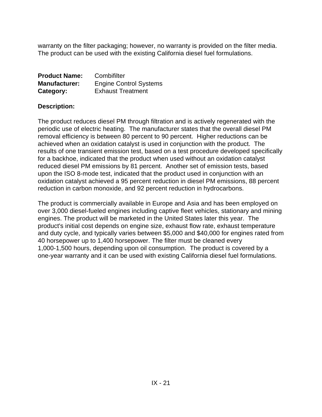warranty on the filter packaging; however, no warranty is provided on the filter media. The product can be used with the existing California diesel fuel formulations.

| <b>Product Name:</b> | Combifilter                   |
|----------------------|-------------------------------|
| <b>Manufacturer:</b> | <b>Engine Control Systems</b> |
| Category:            | <b>Exhaust Treatment</b>      |

#### **Description:**

The product reduces diesel PM through filtration and is actively regenerated with the periodic use of electric heating. The manufacturer states that the overall diesel PM removal efficiency is between 80 percent to 90 percent. Higher reductions can be achieved when an oxidation catalyst is used in conjunction with the product. The results of one transient emission test, based on a test procedure developed specifically for a backhoe, indicated that the product when used without an oxidation catalyst reduced diesel PM emissions by 81 percent. Another set of emission tests, based upon the ISO 8-mode test, indicated that the product used in conjunction with an oxidation catalyst achieved a 95 percent reduction in diesel PM emissions, 88 percent reduction in carbon monoxide, and 92 percent reduction in hydrocarbons.

The product is commercially available in Europe and Asia and has been employed on over 3,000 diesel-fueled engines including captive fleet vehicles, stationary and mining engines. The product will be marketed in the United States later this year. The product's initial cost depends on engine size, exhaust flow rate, exhaust temperature and duty cycle, and typically varies between \$5,000 and \$40,000 for engines rated from 40 horsepower up to 1,400 horsepower. The filter must be cleaned every 1,000-1,500 hours, depending upon oil consumption. The product is covered by a one-year warranty and it can be used with existing California diesel fuel formulations.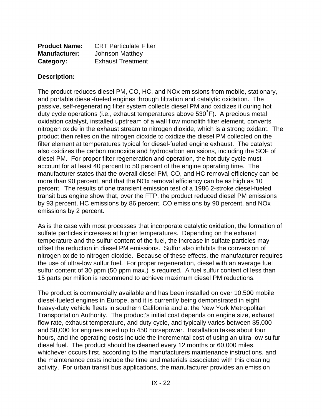| <b>Product Name:</b> | <b>CRT Particulate Filter</b> |
|----------------------|-------------------------------|
| <b>Manufacturer:</b> | <b>Johnson Matthey</b>        |
| Category:            | <b>Exhaust Treatment</b>      |

The product reduces diesel PM, CO, HC, and NOx emissions from mobile, stationary, and portable diesel-fueled engines through filtration and catalytic oxidation. The passive, self-regenerating filter system collects diesel PM and oxidizes it during hot duty cycle operations (i.e., exhaust temperatures above  $530^{\circ}$ F). A precious metal oxidation catalyst, installed upstream of a wall flow monolith filter element, converts nitrogen oxide in the exhaust stream to nitrogen dioxide, which is a strong oxidant. The product then relies on the nitrogen dioxide to oxidize the diesel PM collected on the filter element at temperatures typical for diesel-fueled engine exhaust. The catalyst also oxidizes the carbon monoxide and hydrocarbon emissions, including the SOF of diesel PM. For proper filter regeneration and operation, the hot duty cycle must account for at least 40 percent to 50 percent of the engine operating time. The manufacturer states that the overall diesel PM, CO, and HC removal efficiency can be more than 90 percent, and that the NOx removal efficiency can be as high as 10 percent. The results of one transient emission test of a 1986 2-stroke diesel-fueled transit bus engine show that, over the FTP, the product reduced diesel PM emissions by 93 percent, HC emissions by 86 percent, CO emissions by 90 percent, and NOx emissions by 2 percent.

As is the case with most processes that incorporate catalytic oxidation, the formation of sulfate particles increases at higher temperatures. Depending on the exhaust temperature and the sulfur content of the fuel, the increase in sulfate particles may offset the reduction in diesel PM emissions. Sulfur also inhibits the conversion of nitrogen oxide to nitrogen dioxide. Because of these effects, the manufacturer requires the use of ultra-low sulfur fuel. For proper regeneration, diesel with an average fuel sulfur content of 30 ppm (50 ppm max.) is required. A fuel sulfur content of less than 15 parts per million is recommend to achieve maximum diesel PM reductions.

The product is commercially available and has been installed on over 10,500 mobile diesel-fueled engines in Europe, and it is currently being demonstrated in eight heavy-duty vehicle fleets in southern California and at the New York Metropolitan Transportation Authority. The product's initial cost depends on engine size, exhaust flow rate, exhaust temperature, and duty cycle, and typically varies between \$5,000 and \$8,000 for engines rated up to 450 horsepower. Installation takes about four hours, and the operating costs include the incremental cost of using an ultra-low sulfur diesel fuel. The product should be cleaned every 12 months or 60,000 miles, whichever occurs first, according to the manufacturers maintenance instructions, and the maintenance costs include the time and materials associated with this cleaning activity. For urban transit bus applications, the manufacturer provides an emission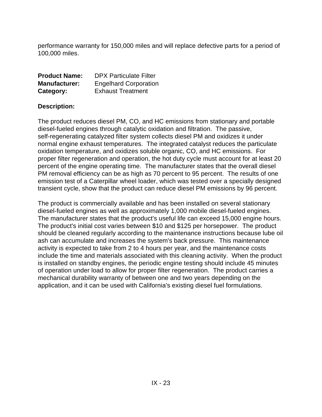performance warranty for 150,000 miles and will replace defective parts for a period of 100,000 miles.

| <b>Product Name:</b> | <b>DPX Particulate Filter</b> |
|----------------------|-------------------------------|
| <b>Manufacturer:</b> | <b>Engelhard Corporation</b>  |
| Category:            | <b>Exhaust Treatment</b>      |

## **Description:**

The product reduces diesel PM, CO, and HC emissions from stationary and portable diesel-fueled engines through catalytic oxidation and filtration. The passive, self-regenerating catalyzed filter system collects diesel PM and oxidizes it under normal engine exhaust temperatures. The integrated catalyst reduces the particulate oxidation temperature, and oxidizes soluble organic, CO, and HC emissions. For proper filter regeneration and operation, the hot duty cycle must account for at least 20 percent of the engine operating time. The manufacturer states that the overall diesel PM removal efficiency can be as high as 70 percent to 95 percent. The results of one emission test of a Caterpillar wheel loader, which was tested over a specially designed transient cycle, show that the product can reduce diesel PM emissions by 96 percent.

The product is commercially available and has been installed on several stationary diesel-fueled engines as well as approximately 1,000 mobile diesel-fueled engines. The manufacturer states that the product's useful life can exceed 15,000 engine hours. The product's initial cost varies between \$10 and \$125 per horsepower. The product should be cleaned regularly according to the maintenance instructions because lube oil ash can accumulate and increases the system's back pressure. This maintenance activity is expected to take from 2 to 4 hours per year, and the maintenance costs include the time and materials associated with this cleaning activity. When the product is installed on standby engines, the periodic engine testing should include 45 minutes of operation under load to allow for proper filter regeneration. The product carries a mechanical durability warranty of between one and two years depending on the application, and it can be used with California's existing diesel fuel formulations.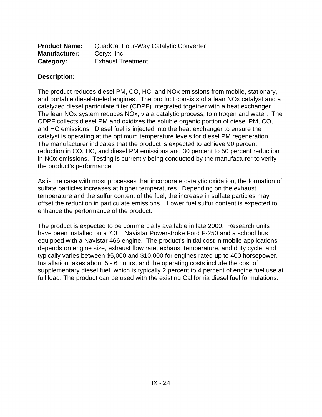| <b>Product Name:</b> | <b>QuadCat Four-Way Catalytic Converter</b> |
|----------------------|---------------------------------------------|
| <b>Manufacturer:</b> | Ceryx, Inc.                                 |
| Category:            | <b>Exhaust Treatment</b>                    |

The product reduces diesel PM, CO, HC, and NOx emissions from mobile, stationary, and portable diesel-fueled engines. The product consists of a lean NOx catalyst and a catalyzed diesel particulate filter (CDPF) integrated together with a heat exchanger. The lean NOx system reduces NOx, via a catalytic process, to nitrogen and water. The CDPF collects diesel PM and oxidizes the soluble organic portion of diesel PM, CO, and HC emissions. Diesel fuel is injected into the heat exchanger to ensure the catalyst is operating at the optimum temperature levels for diesel PM regeneration. The manufacturer indicates that the product is expected to achieve 90 percent reduction in CO, HC, and diesel PM emissions and 30 percent to 50 percent reduction in NOx emissions. Testing is currently being conducted by the manufacturer to verify the product's performance.

As is the case with most processes that incorporate catalytic oxidation, the formation of sulfate particles increases at higher temperatures. Depending on the exhaust temperature and the sulfur content of the fuel, the increase in sulfate particles may offset the reduction in particulate emissions. Lower fuel sulfur content is expected to enhance the performance of the product.

The product is expected to be commercially available in late 2000. Research units have been installed on a 7.3 L Navistar Powerstroke Ford F-250 and a school bus equipped with a Navistar 466 engine. The product's initial cost in mobile applications depends on engine size, exhaust flow rate, exhaust temperature, and duty cycle, and typically varies between \$5,000 and \$10,000 for engines rated up to 400 horsepower. Installation takes about 5 - 6 hours, and the operating costs include the cost of supplementary diesel fuel, which is typically 2 percent to 4 percent of engine fuel use at full load. The product can be used with the existing California diesel fuel formulations.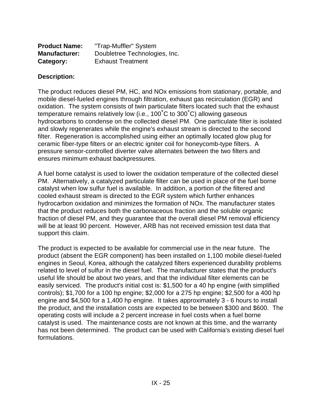| <b>Product Name:</b> | "Trap-Muffler" System         |
|----------------------|-------------------------------|
| <b>Manufacturer:</b> | Doubletree Technologies, Inc. |
| Category:            | <b>Exhaust Treatment</b>      |

The product reduces diesel PM, HC, and NOx emissions from stationary, portable, and mobile diesel-fueled engines through filtration, exhaust gas recirculation (EGR) and oxidation. The system consists of twin particulate filters located such that the exhaust temperature remains relatively low (i.e.,  $100^{\circ}$ C to  $300^{\circ}$ C) allowing gaseous hydrocarbons to condense on the collected diesel PM. One particulate filter is isolated and slowly regenerates while the engine's exhaust stream is directed to the second filter. Regeneration is accomplished using either an optimally located glow plug for ceramic fiber-type filters or an electric igniter coil for honeycomb-type filters. A pressure sensor-controlled diverter valve alternates between the two filters and ensures minimum exhaust backpressures.

A fuel borne catalyst is used to lower the oxidation temperature of the collected diesel PM. Alternatively, a catalyzed particulate filter can be used in place of the fuel borne catalyst when low sulfur fuel is available. In addition, a portion of the filtered and cooled exhaust stream is directed to the EGR system which further enhances hydrocarbon oxidation and minimizes the formation of NOx. The manufacturer states that the product reduces both the carbonaceous fraction and the soluble organic fraction of diesel PM, and they guarantee that the overall diesel PM removal efficiency will be at least 90 percent. However, ARB has not received emission test data that support this claim.

The product is expected to be available for commercial use in the near future. The product (absent the EGR component) has been installed on 1,100 mobile diesel-fueled engines in Seoul, Korea, although the catalyzed filters experienced durability problems related to level of sulfur in the diesel fuel. The manufacturer states that the product's useful life should be about two years, and that the individual filter elements can be easily serviced. The product's initial cost is: \$1,500 for a 40 hp engine (with simplified controls); \$1,700 for a 100 hp engine; \$2,000 for a 275 hp engine; \$2,500 for a 400 hp engine and \$4,500 for a 1,400 hp engine. It takes approximately 3 - 6 hours to install the product, and the installation costs are expected to be between \$300 and \$600. The operating costs will include a 2 percent increase in fuel costs when a fuel borne catalyst is used. The maintenance costs are not known at this time, and the warranty has not been determined. The product can be used with California's existing diesel fuel formulations.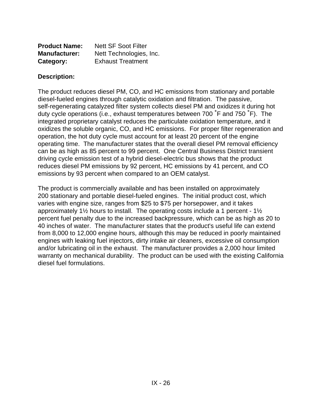| <b>Product Name:</b> | <b>Nett SF Soot Filter</b> |
|----------------------|----------------------------|
| <b>Manufacturer:</b> | Nett Technologies, Inc.    |
| Category:            | <b>Exhaust Treatment</b>   |

The product reduces diesel PM, CO, and HC emissions from stationary and portable diesel-fueled engines through catalytic oxidation and filtration. The passive, self-regenerating catalyzed filter system collects diesel PM and oxidizes it during hot duty cycle operations (i.e., exhaust temperatures between 700  $\degree$ F and 750  $\degree$ F). The integrated proprietary catalyst reduces the particulate oxidation temperature, and it oxidizes the soluble organic, CO, and HC emissions. For proper filter regeneration and operation, the hot duty cycle must account for at least 20 percent of the engine operating time. The manufacturer states that the overall diesel PM removal efficiency can be as high as 85 percent to 99 percent. One Central Business District transient driving cycle emission test of a hybrid diesel-electric bus shows that the product reduces diesel PM emissions by 92 percent, HC emissions by 41 percent, and CO emissions by 93 percent when compared to an OEM catalyst.

The product is commercially available and has been installed on approximately 200 stationary and portable diesel-fueled engines. The initial product cost, which varies with engine size, ranges from \$25 to \$75 per horsepower, and it takes approximately 1½ hours to install. The operating costs include a 1 percent - 1½ percent fuel penalty due to the increased backpressure, which can be as high as 20 to 40 inches of water. The manufacturer states that the product's useful life can extend from 8,000 to 12,000 engine hours, although this may be reduced in poorly maintained engines with leaking fuel injectors, dirty intake air cleaners, excessive oil consumption and/or lubricating oil in the exhaust. The manufacturer provides a 2,000 hour limited warranty on mechanical durability. The product can be used with the existing California diesel fuel formulations.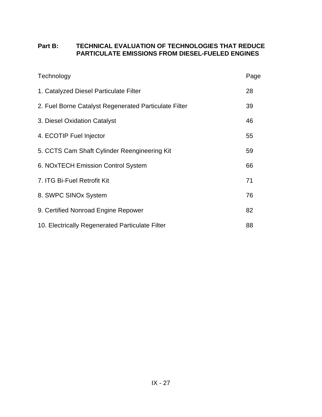# **Part B: TECHNICAL EVALUATION OF TECHNOLOGIES THAT REDUCE PARTICULATE EMISSIONS FROM DIESEL-FUELED ENGINES**

| Technology                                            | Page |
|-------------------------------------------------------|------|
| 1. Catalyzed Diesel Particulate Filter                | 28   |
| 2. Fuel Borne Catalyst Regenerated Particulate Filter | 39   |
| 3. Diesel Oxidation Catalyst                          | 46   |
| 4. ECOTIP Fuel Injector                               | 55   |
| 5. CCTS Cam Shaft Cylinder Reengineering Kit          | 59   |
| 6. NOxTECH Emission Control System                    | 66   |
| 7. ITG Bi-Fuel Retrofit Kit                           | 71   |
| 8. SWPC SINOx System                                  | 76   |
| 9. Certified Nonroad Engine Repower                   | 82   |
| 10. Electrically Regenerated Particulate Filter       | 88   |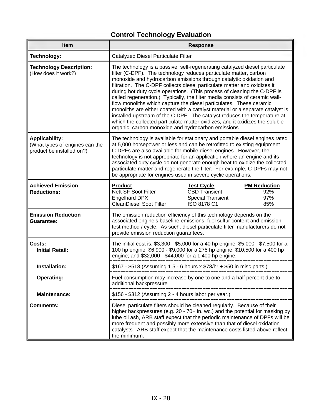# **Control Technology Evaluation**

| Item                                                                                 | <b>Response</b>                                                                                                                                                                                                                                                                                                                                                                                                                                                                                                                                                                                                                                                                                                                                                                                                                           |  |  |  |  |
|--------------------------------------------------------------------------------------|-------------------------------------------------------------------------------------------------------------------------------------------------------------------------------------------------------------------------------------------------------------------------------------------------------------------------------------------------------------------------------------------------------------------------------------------------------------------------------------------------------------------------------------------------------------------------------------------------------------------------------------------------------------------------------------------------------------------------------------------------------------------------------------------------------------------------------------------|--|--|--|--|
| <b>Technology:</b>                                                                   | Catalyzed Diesel Particulate Filter                                                                                                                                                                                                                                                                                                                                                                                                                                                                                                                                                                                                                                                                                                                                                                                                       |  |  |  |  |
| <b>Technology Description:</b><br>(How does it work?)                                | The technology is a passive, self-regenerating catalyzed diesel particulate<br>filter (C-DPF). The technology reduces particulate matter, carbon<br>monoxide and hydrocarbon emissions through catalytic oxidation and<br>filtration. The C-DPF collects diesel particulate matter and oxidizes it<br>during hot duty cycle operations. (This process of cleaning the C-DPF is<br>called regeneration.) Typically, the filter media consists of ceramic wall-<br>flow monoliths which capture the diesel particulates. These ceramic<br>monoliths are either coated with a catalyst material or a separate catalyst is<br>installed upstream of the C-DPF. The catalyst reduces the temperature at<br>which the collected particulate matter oxidizes, and it oxidizes the soluble<br>organic, carbon monoxide and hydrocarbon emissions. |  |  |  |  |
| <b>Applicability:</b><br>(What types of engines can the<br>product be installed on?) | The technology is available for stationary and portable diesel engines rated<br>at 5,000 horsepower or less and can be retrofitted to existing equipment.<br>C-DPFs are also available for mobile diesel engines. However, the<br>technology is not appropriate for an application where an engine and its<br>associated duty cycle do not generate enough heat to oxidize the collected<br>particulate matter and regenerate the filter. For example, C-DPFs may not<br>be appropriate for engines used in severe cyclic operations.                                                                                                                                                                                                                                                                                                     |  |  |  |  |
| <b>Achieved Emission</b><br><b>Reductions:</b>                                       | <b>Product</b><br><b>Test Cycle</b><br><b>PM Reduction</b><br>Nett SF Soot Filter<br><b>CBD Transient</b><br>92%<br>Engelhard DPX<br><b>Special Transient</b><br>97%<br><b>CleanDiesel Soot Filter</b><br>ISO 8178 C1<br>85%                                                                                                                                                                                                                                                                                                                                                                                                                                                                                                                                                                                                              |  |  |  |  |
| <b>Emission Reduction</b><br><b>Guarantee:</b>                                       | The emission reduction efficiency of this technology depends on the<br>associated engine's baseline emissions, fuel sulfur content and emission<br>test method / cycle. As such, diesel particulate filter manufacturers do not<br>provide emission reduction guarantees.                                                                                                                                                                                                                                                                                                                                                                                                                                                                                                                                                                 |  |  |  |  |
| Costs:<br><b>Initial Retail:</b>                                                     | The initial cost is: \$3,300 - \$5,000 for a 40 hp engine; \$5,000 - \$7,500 for a<br>100 hp engine; \$6,900 - \$9,000 for a 275 hp engine; \$10,500 for a 400 hp<br>engine; and \$32,000 - \$44,000 for a 1,400 hp engine.                                                                                                                                                                                                                                                                                                                                                                                                                                                                                                                                                                                                               |  |  |  |  |
| Installation:                                                                        | \$167 - \$518 (Assuming 1.5 - 6 hours x \$78/hr + \$50 in misc parts.)                                                                                                                                                                                                                                                                                                                                                                                                                                                                                                                                                                                                                                                                                                                                                                    |  |  |  |  |
| <b>Operating:</b>                                                                    | Fuel consumption may increase by one to one and a half percent due to<br>additional backpressure.                                                                                                                                                                                                                                                                                                                                                                                                                                                                                                                                                                                                                                                                                                                                         |  |  |  |  |
| <b>Maintenance:</b>                                                                  | \$156 - \$312 (Assuming 2 - 4 hours labor per year.)                                                                                                                                                                                                                                                                                                                                                                                                                                                                                                                                                                                                                                                                                                                                                                                      |  |  |  |  |
| <b>Comments:</b>                                                                     | Diesel particulate filters should be cleaned regularly. Because of their<br>higher backpressures (e.g. 20 - 70+ in. wc.) and the potential for masking by<br>lube oil ash, ARB staff expect that the periodic maintenance of DPFs will be<br>more frequent and possibly more extensive than that of diesel oxidation<br>catalysts. ARB staff expect that the maintenance costs listed above reflect<br>the minimum.                                                                                                                                                                                                                                                                                                                                                                                                                       |  |  |  |  |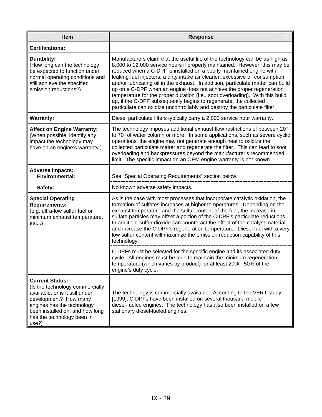| <b>Item</b>                                                                                                                                                                                                                   | <b>Response</b>                                                                                                                                                                                                                                                                                                                                                                                                                                                                                                                                                                                                                                                                                                      |
|-------------------------------------------------------------------------------------------------------------------------------------------------------------------------------------------------------------------------------|----------------------------------------------------------------------------------------------------------------------------------------------------------------------------------------------------------------------------------------------------------------------------------------------------------------------------------------------------------------------------------------------------------------------------------------------------------------------------------------------------------------------------------------------------------------------------------------------------------------------------------------------------------------------------------------------------------------------|
| <b>Certifications:</b>                                                                                                                                                                                                        |                                                                                                                                                                                                                                                                                                                                                                                                                                                                                                                                                                                                                                                                                                                      |
| Durability:<br>(How long can the technology<br>be expected to function under<br>normal operating conditions and<br>still achieve the specified<br>emission reductions?)                                                       | Manufacturers claim that the useful life of the technology can be as high as<br>8,000 to 12,000 service hours if properly maintained. However, this may be<br>reduced when a C-DPF is installed on a poorly maintained engine with<br>leaking fuel injectors, a dirty intake air cleaner, excessive oil consumption<br>and/or lubricating oil in the exhaust. In addition, particulate matter can build<br>up on a C-DPF when an engine does not achieve the proper regeneration<br>temperature for the proper duration (i.e., soot overloading). With this build<br>up, if the C-DPF subsequently begins to regenerate, the collected<br>particulate can oxidize uncontrollably and destroy the particulate filter. |
| <b>Warranty:</b>                                                                                                                                                                                                              | Diesel particulate filters typically carry a 2,000 service hour warranty.                                                                                                                                                                                                                                                                                                                                                                                                                                                                                                                                                                                                                                            |
| <b>Affect on Engine Warranty:</b><br>(When possible, identify any<br>impact the technology may<br>have on an engine's warranty.)                                                                                              | The technology imposes additional exhaust flow restrictions of between 20"<br>to 70" of water column or more. In some applications, such as severe cyclic<br>operations, the engine may not generate enough heat to oxidize the<br>collected particulate matter and regenerate the filter. This can lead to soot<br>overloading and backpressures beyond the manufacturer's recommended<br>limit. The specific impact on an OEM engine warranty is not known.                                                                                                                                                                                                                                                        |
| <b>Adverse Impacts:</b><br><b>Environmental:</b>                                                                                                                                                                              | See "Special Operating Requirements" section below.                                                                                                                                                                                                                                                                                                                                                                                                                                                                                                                                                                                                                                                                  |
| Safety:                                                                                                                                                                                                                       | No known adverse safety impacts.                                                                                                                                                                                                                                                                                                                                                                                                                                                                                                                                                                                                                                                                                     |
| <b>Special Operating</b><br><b>Requirements:</b><br>(e.g. ultra-low sulfur fuel or<br>minimum exhaust temperature,<br>$etc$ )                                                                                                 | As is the case with most processes that incorporate catalytic oxidation, the<br>formation of sulfates increases at higher temperatures. Depending on the<br>exhaust temperature and the sulfur content of the fuel, the increase in<br>sulfate particles may offset a portion of the C-DPF's particulate reductions.<br>In addition, sulfur dioxide can counteract the effect of the catalyst material<br>and increase the C-DPF's regeneration temperature. Diesel fuel with a very<br>low sulfur content will maximize the emission reduction capability of this<br>technology.                                                                                                                                    |
|                                                                                                                                                                                                                               | C-DPFs must be selected for the specific engine and its associated duty<br>cycle. All engines must be able to maintain the minimum regeneration<br>temperature (which varies by product) for at least 20% - 50% of the<br>engine's duty cycle.                                                                                                                                                                                                                                                                                                                                                                                                                                                                       |
| <b>Current Status:</b><br>(Is the technology commercially<br>available, or is it still under<br>development? How many<br>engines has the technology<br>been installed on, and how long<br>has the technology been in<br>use?) | The technology is commercially available. According to the VERT study<br>[1999], C-DPFs have been installed on several thousand mobile<br>diesel-fueled engines. The technology has also been installed on a few<br>stationary diesel-fueled engines.                                                                                                                                                                                                                                                                                                                                                                                                                                                                |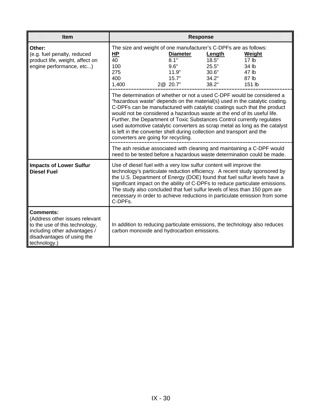| <b>Item</b>                                                                                                                                                        |                                                                                                                                                                                                                                                                                                                                                                                                                                                                                                                                                                                          |                                                                  | <b>Response</b> |                                                                            |  |  |
|--------------------------------------------------------------------------------------------------------------------------------------------------------------------|------------------------------------------------------------------------------------------------------------------------------------------------------------------------------------------------------------------------------------------------------------------------------------------------------------------------------------------------------------------------------------------------------------------------------------------------------------------------------------------------------------------------------------------------------------------------------------------|------------------------------------------------------------------|-----------------|----------------------------------------------------------------------------|--|--|
| Other:                                                                                                                                                             |                                                                                                                                                                                                                                                                                                                                                                                                                                                                                                                                                                                          | The size and weight of one manufacturer's C-DPFs are as follows: |                 |                                                                            |  |  |
| (e.g. fuel penalty, reduced                                                                                                                                        | HР                                                                                                                                                                                                                                                                                                                                                                                                                                                                                                                                                                                       | <b>Diameter</b>                                                  | Length          | Weight                                                                     |  |  |
| product life, weight, affect on                                                                                                                                    | 40                                                                                                                                                                                                                                                                                                                                                                                                                                                                                                                                                                                       | 8.1"                                                             | 18.5"           | 17 <sub>lb</sub>                                                           |  |  |
| engine performance, etc)                                                                                                                                           | 100                                                                                                                                                                                                                                                                                                                                                                                                                                                                                                                                                                                      | 9.6"                                                             | 25.5"           | 34 lb                                                                      |  |  |
|                                                                                                                                                                    | 275                                                                                                                                                                                                                                                                                                                                                                                                                                                                                                                                                                                      | 11.9"                                                            | 30.6"           | 47 lb                                                                      |  |  |
|                                                                                                                                                                    | 400                                                                                                                                                                                                                                                                                                                                                                                                                                                                                                                                                                                      | 15.7"                                                            | 34.2"           | 87 lb                                                                      |  |  |
|                                                                                                                                                                    | 1,400                                                                                                                                                                                                                                                                                                                                                                                                                                                                                                                                                                                    | 2@ 20.7"                                                         | 38.2"           | 151 lb                                                                     |  |  |
|                                                                                                                                                                    | The determination of whether or not a used C-DPF would be considered a<br>"hazardous waste" depends on the material(s) used in the catalytic coating.<br>C-DPFs can be manufactured with catalytic coatings such that the product<br>would not be considered a hazardous waste at the end of its useful life.<br>Further, the Department of Toxic Substances Control currently regulates<br>used automotive catalytic converters as scrap metal as long as the catalyst<br>is left in the converter shell during collection and transport and the<br>converters are going for recycling. |                                                                  |                 |                                                                            |  |  |
|                                                                                                                                                                    | The ash residue associated with cleaning and maintaining a C-DPF would<br>need to be tested before a hazardous waste determination could be made.                                                                                                                                                                                                                                                                                                                                                                                                                                        |                                                                  |                 |                                                                            |  |  |
| <b>Impacts of Lower Sulfur</b><br><b>Diesel Fuel</b>                                                                                                               | Use of diesel fuel with a very low sulfur content will improve the<br>technology's particulate reduction efficiency. A recent study sponsored by<br>the U.S. Department of Energy (DOE) found that fuel sulfur levels have a<br>significant impact on the ability of C-DPFs to reduce particulate emissions.<br>The study also concluded that fuel sulfur levels of less than 150 ppm are<br>C-DPFs.                                                                                                                                                                                     |                                                                  |                 | necessary in order to achieve reductions in particulate emission from some |  |  |
| <b>Comments:</b><br>(Address other issues relevant<br>to the use of this technology,<br>including other advantages /<br>disadvantages of using the<br>technology.) | In addition to reducing particulate emissions, the technology also reduces<br>carbon monoxide and hydrocarbon emissions.                                                                                                                                                                                                                                                                                                                                                                                                                                                                 |                                                                  |                 |                                                                            |  |  |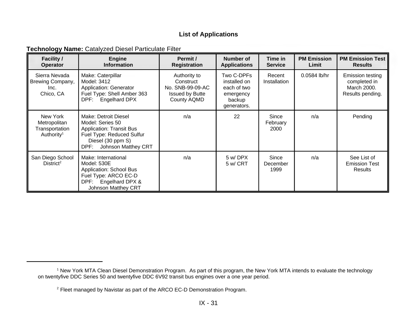# **List of Applications**

## **Technology Name:** Catalyzed Diesel Particulate Filter

| <b>Facility /</b><br><b>Operator</b>                                 | <b>Engine</b><br><b>Information</b>                                                                                                                          | Permit /<br><b>Registration</b>                                                        | Number of<br><b>Applications</b>                                                | Time in<br><b>Service</b> | <b>PM Emission</b><br>Limit | <b>PM Emission Test</b><br><b>Results</b>                           |
|----------------------------------------------------------------------|--------------------------------------------------------------------------------------------------------------------------------------------------------------|----------------------------------------------------------------------------------------|---------------------------------------------------------------------------------|---------------------------|-----------------------------|---------------------------------------------------------------------|
| Sierra Nevada<br>Brewing Company,<br>Inc.<br>Chico, CA               | Make: Caterpillar<br>Model: 3412<br>Application: Generator<br>Fuel Type: Shell Amber 363<br>DPF: Engelhard DPX                                               | Authority to<br>Construct<br>No. SNB-99-09-AC<br><b>Issued by Butte</b><br>County AQMD | Two C-DPFs<br>installed on<br>each of two<br>emergency<br>backup<br>generators. | Recent<br>Installation    | 0.0584 lb/hr                | Emission testing<br>completed in<br>March 2000.<br>Results pending. |
| New York<br>Metropolitan<br>Transportation<br>Authority <sup>1</sup> | Make: Detroit Diesel<br>Model: Series 50<br><b>Application: Transit Bus</b><br>Fuel Type: Reduced Sulfur<br>Diesel (30 ppm S)<br>Johnson Matthey CRT<br>DPF: | n/a                                                                                    | 22                                                                              | Since<br>February<br>2000 | n/a                         | Pending                                                             |
| San Diego School<br>Distric <sup>2</sup>                             | Make: International<br>Model: 530E<br><b>Application: School Bus</b><br>Fuel Type: ARCO EC-D<br>DPF:<br>Engelhard DPX &<br><b>Johnson Matthey CRT</b>        | n/a                                                                                    | 5 w/DPX<br>5 w/ CRT                                                             | Since<br>December<br>1999 | n/a                         | See List of<br><b>Emission Test</b><br>Results                      |

<sup>&</sup>lt;sup>1</sup> New York MTA Clean Diesel Demonstration Program. As part of this program, the New York MTA intends to evaluate the technology on twentyfive DDC Series 50 and twentyfive DDC 6V92 transit bus engines over a one year period.

<sup>&</sup>lt;sup>2</sup> Fleet managed by Navistar as part of the ARCO EC-D Demonstration Program.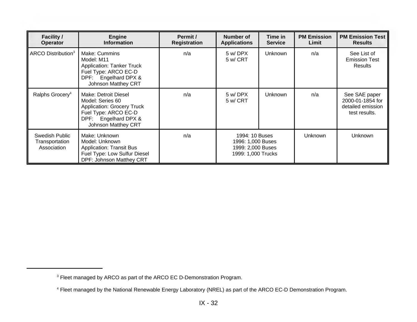| <b>Facility /</b><br><b>Operator</b>            | <b>Engine</b><br><b>Information</b>                                                                                                                         | Permit /<br><b>Registration</b> | Number of<br><b>Applications</b>                                               | Time in<br><b>Service</b> | <b>PM Emission</b><br>Limit | <b>PM Emission Test</b><br><b>Results</b>                               |
|-------------------------------------------------|-------------------------------------------------------------------------------------------------------------------------------------------------------------|---------------------------------|--------------------------------------------------------------------------------|---------------------------|-----------------------------|-------------------------------------------------------------------------|
| ARCO Distribution <sup>3</sup>                  | Make: Cummins<br>Model: M11<br><b>Application: Tanker Truck</b><br>Fuel Type: ARCO EC-D<br>DPF: Engelhard DPX &<br>Johnson Matthey CRT                      | n/a                             | 5 w/DPX<br>5 w/ CRT                                                            | Unknown                   | n/a                         | See List of<br><b>Emission Test</b><br>Results                          |
| Ralphs Grocery <sup>4</sup>                     | Make: Detroit Diesel<br>Model: Series 60<br><b>Application: Grocery Truck</b><br>Fuel Type: ARCO EC-D<br>DPF: Engelhard DPX &<br><b>Johnson Matthey CRT</b> | n/a                             | 5 w/DPX<br>5 w/ CRT                                                            | Unknown                   | n/a                         | See SAE paper<br>2000-01-1854 for<br>detailed emission<br>test results. |
| Swedish Public<br>Transportation<br>Association | Make: Unknown<br>Model: Unknown<br><b>Application: Transit Bus</b><br>Fuel Type: Low Sulfur Diesel<br>DPF: Johnson Matthey CRT                              | n/a                             | 1994: 10 Buses<br>1996: 1,000 Buses<br>1999: 2,000 Buses<br>1999: 1,000 Trucks |                           | <b>Unknown</b>              | <b>Unknown</b>                                                          |

<sup>&</sup>lt;sup>3</sup> Fleet managed by ARCO as part of the ARCO EC D-Demonstration Program.

<sup>&</sup>lt;sup>4</sup> Fleet managed by the National Renewable Energy Laboratory (NREL) as part of the ARCO EC-D Demonstration Program.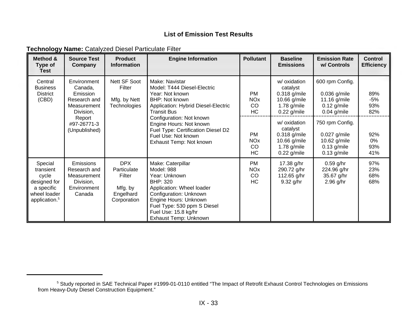# **List of Emission Test Results**

| Technology Name: Catalyzed Diesel Particulate Filter |  |  |  |  |
|------------------------------------------------------|--|--|--|--|
|------------------------------------------------------|--|--|--|--|

| Method &<br>Type of<br><b>Test</b>                                                                       | <b>Source Test</b><br>Company                                                  | <b>Product</b><br><b>Information</b>                                       | <b>Engine Information</b>                                                                                                                                                                                                    | <b>Pollutant</b>                                      | <b>Baseline</b><br><b>Emissions</b>                                                          | <b>Emission Rate</b><br>w/ Controls                                                 | Control<br><b>Efficiency</b> |
|----------------------------------------------------------------------------------------------------------|--------------------------------------------------------------------------------|----------------------------------------------------------------------------|------------------------------------------------------------------------------------------------------------------------------------------------------------------------------------------------------------------------------|-------------------------------------------------------|----------------------------------------------------------------------------------------------|-------------------------------------------------------------------------------------|------------------------------|
| Central<br><b>Business</b><br><b>District</b><br>(CBD)                                                   | Environment<br>Canada,<br>Emission<br>Research and<br>Measurement<br>Division, | Nett SF Soot<br>Filter<br>Mfg. by Nett<br><b>Technologies</b>              | Make: Navistar<br>Model: T444 Diesel-Electric<br>Year: Not known<br>BHP: Not known<br><b>Application: Hybrid Diesel-Electric</b><br><b>Transit Bus</b>                                                                       | <b>PM</b><br><b>NO<sub>x</sub></b><br>CO<br><b>HC</b> | w/ oxidation<br>catalyst<br>0.318 g/mile<br>10.66 g/mile<br>1.78 $g/mile$<br>$0.22$ g/mile   | 600 rpm Config.<br>$0.036$ g/mile<br>11.16 g/mile<br>$0.12$ g/mile<br>$0.04$ g/mile | 89%<br>$-5%$<br>93%<br>82%   |
|                                                                                                          | Report<br>#97-26771-3<br>(Unpublished)                                         |                                                                            | Configuration: Not known<br>Engine Hours: Not known<br>Fuel Type: Certification Diesel D2<br>Fuel Use: Not known<br>Exhaust Temp: Not known                                                                                  | <b>PM</b><br><b>NOx</b><br>CO<br>HC                   | w/ oxidation<br>catalyst<br>$0.318$ g/mile<br>10.66 g/mile<br>1.78 $g/mile$<br>$0.22$ g/mile | 750 rpm Config.<br>0.027 g/mile<br>10.62 g/mile<br>$0.13$ g/mile<br>$0.13$ g/mile   | 92%<br>0%<br>93%<br>41%      |
| Special<br>transient<br>cycle<br>designed for<br>a specific<br>wheel loader<br>application. <sup>5</sup> | Emissions<br>Research and<br>Measurement<br>Division,<br>Environment<br>Canada | <b>DPX</b><br>Particulate<br>Filter<br>Mfg. by<br>Engelhard<br>Corporation | Make: Caterpillar<br>Model: 988<br>Year: Unknown<br>BHP: 320<br>Application: Wheel loader<br>Configuration: Unknown<br>Engine Hours: Unknown<br>Fuel Type: 530 ppm S Diesel<br>Fuel Use: 15.8 kg/hr<br>Exhaust Temp: Unknown | <b>PM</b><br><b>NO<sub>x</sub></b><br>CO<br>HC        | 17.38 g/hr<br>290.72 g/hr<br>112.65 g/hr<br>$9.32$ g/hr                                      | $0.59$ g/hr<br>224.96 g/hr<br>35.67 g/hr<br>2.96 g/hr                               | 97%<br>23%<br>68%<br>68%     |

<sup>&</sup>lt;sup>5</sup> Study reported in SAE Technical Paper #1999-01-0110 entitled "The Impact of Retrofit Exhaust Control Technologies on Emissions from Heavy-Duty Diesel Construction Equipment."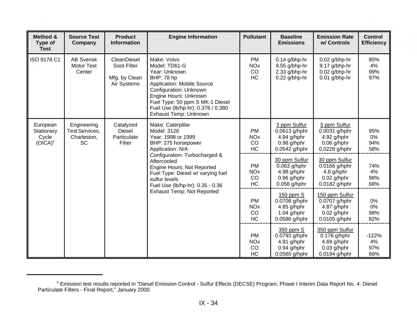| Method &<br>Type of<br><b>Test</b>            | <b>Source Test</b><br>Company                             | <b>Product</b><br><b>Information</b>                       | <b>Engine Information</b>                                                                                                                                                                                                                                                                                      | <b>Pollutant</b>                                      | <b>Baseline</b><br><b>Emissions</b>                                              | <b>Emission Rate</b><br>w/ Controls                                                | <b>Control</b><br><b>Efficiency</b> |
|-----------------------------------------------|-----------------------------------------------------------|------------------------------------------------------------|----------------------------------------------------------------------------------------------------------------------------------------------------------------------------------------------------------------------------------------------------------------------------------------------------------------|-------------------------------------------------------|----------------------------------------------------------------------------------|------------------------------------------------------------------------------------|-------------------------------------|
| ISO 8178 C1                                   | <b>AB Svensk</b><br><b>Motor Test</b><br>Center           | CleanDiesel<br>Soot Filter<br>Mfg. by Clean<br>Air Systems | Make: Volvo<br>Model: TD61-G<br>Year: Unknown<br>BHP: 78 hp<br><b>Application: Mobile Source</b><br>Configuration: Unknown<br>Engine Hours: Unknown<br>Fuel Type: 50 ppm S MK-1 Diesel<br>Fuel Use (lb/hp-hr): 0.376 / 0.380<br>Exhaust Temp: Unknown                                                          | <b>PM</b><br><b>NO<sub>x</sub></b><br>CO<br><b>HC</b> | $0.14$ g/bhp-hr<br>9.55 g/bhp-hr<br>2.33 g/bhp-hr<br>0.22 g/bhp-hr               | $0.02$ g/bhp-hr<br>9.17 g/bhp-hr<br>$0.02$ g/bhp-hr<br>$0.01$ g/bhp-hr             | 85%<br>4%<br>99%<br>97%             |
| European<br>Stationary<br>Cycle<br>$(OICA)^6$ | Engineering<br>Test Services,<br>Charleston,<br><b>SC</b> | Catalyzed<br><b>Diesel</b><br>Particulate<br>Filter        | Make: Caterpillar<br>Model: 3126<br>Year: 1998 or 1999<br>BHP: 275 horsepower<br>Application: N/A<br>Configuration: Turbocharged &<br>Aftercooled<br>Engine Hours: Not Reported<br>Fuel Type: Diesel w/ varying fuel<br>sulfur levels<br>Fuel Use (lb/hp-hr): 0.35 - 0.36<br><b>Exhaust Temp: Not Reported</b> | <b>PM</b><br><b>NO<sub>x</sub></b><br>CO<br><b>HC</b> | 3 ppm Sulfur<br>0.0613 g/hphr<br>4.94 $g/hphr$<br>$0.98$ g/hphr<br>0.0542 g/hphr | 3 ppm Sulfur<br>0.0031 g/hphr<br>$4.92$ g/hphr<br>$0.06$ g/hphr<br>0.0228 g/hphr   | 95%<br>0%<br>94%<br>58%             |
|                                               |                                                           |                                                            |                                                                                                                                                                                                                                                                                                                | PM<br><b>NO<sub>x</sub></b><br>CO<br><b>HC</b>        | 30 ppm Sulfur<br>$0.063$ g/hphr<br>4.98 g/hphr<br>$0.96$ g/hphr<br>0.056 g/hphr  | 30 ppm Sulfur<br>0.0166 g/hphr<br>4.8 g/hphr<br>$0.02$ g/hphr<br>0.0182 g/hphr     | 74%<br>4%<br>98%<br>68%             |
|                                               |                                                           |                                                            |                                                                                                                                                                                                                                                                                                                | <b>PM</b><br><b>NO<sub>x</sub></b><br>CO<br><b>HC</b> | 150 ppm S<br>0.0708 g/hphr<br>4.85 $g/hphr$<br>$1.04$ g/hphr<br>0.0586 g/hphr    | 150 ppm Sulfur<br>0.0707 g/hphr<br>4.87 $g/hphr$<br>$0.02$ g/hphr<br>0.0105 g/hphr | 0%<br>0%<br>98%<br>82%              |
|                                               |                                                           |                                                            |                                                                                                                                                                                                                                                                                                                | <b>PM</b><br><b>NO<sub>x</sub></b><br>CO<br>HC        | 350 ppm S<br>$0.0793$ g/hphr<br>4.91 g/hphr<br>$0.94$ g/hphr<br>0.0565 g/hphr    | 350 ppm Sulfur<br>0.176 g/hphr<br>4.69 $g/hphr$<br>$0.03$ g/hphr<br>0.0194 g/hphr  | $-122%$<br>4%<br>97%<br>66%         |

<sup>&</sup>lt;sup>6</sup> Emission test results reported in "Diesel Emission Control - Sulfur Effects (DECSE) Program, Phase I Interim Data Report No. 4: Diesel Particulate Filters - Final Report," January 2000.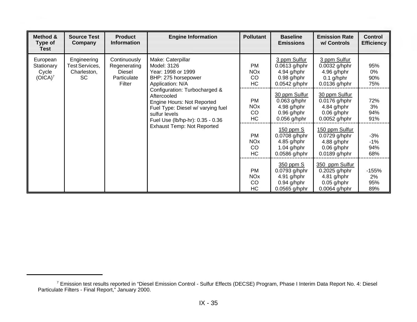| Method &<br><b>Type of</b><br><b>Test</b>     | <b>Source Test</b><br>Company                             | <b>Product</b><br><b>Information</b>                                   | <b>Engine Information</b>                                                                                                                                                                                                                                                                                      | <b>Pollutant</b>                               | <b>Baseline</b><br><b>Emissions</b>                                               | <b>Emission Rate</b><br>w/ Controls                                                | <b>Control</b><br><b>Efficiency</b> |
|-----------------------------------------------|-----------------------------------------------------------|------------------------------------------------------------------------|----------------------------------------------------------------------------------------------------------------------------------------------------------------------------------------------------------------------------------------------------------------------------------------------------------------|------------------------------------------------|-----------------------------------------------------------------------------------|------------------------------------------------------------------------------------|-------------------------------------|
| European<br>Stationary<br>Cycle<br>$(OICA)^7$ | Engineering<br>Test Services,<br>Charleston,<br><b>SC</b> | Continuously<br>Regenerating<br><b>Diesel</b><br>Particulate<br>Filter | Make: Caterpillar<br>Model: 3126<br>Year: 1998 or 1999<br>BHP: 275 horsepower<br>Application: N/A<br>Configuration: Turbocharged &<br>Aftercooled<br>Engine Hours: Not Reported<br>Fuel Type: Diesel w/ varying fuel<br>sulfur levels<br>Fuel Use (lb/hp-hr): 0.35 - 0.36<br><b>Exhaust Temp: Not Reported</b> | <b>PM</b><br><b>NO<sub>x</sub></b><br>CO<br>HC | 3 ppm Sulfur<br>$0.0613$ g/hphr<br>4.94 g/hphr<br>$0.98$ g/hphr<br>0.0542 g/hphr  | 3 ppm Sulfur<br>0.0032 g/hphr<br>4.96 g/hphr<br>$0.1$ g/hphr<br>0.0136 g/hphr      | 95%<br>0%<br>90%<br>75%             |
|                                               |                                                           |                                                                        |                                                                                                                                                                                                                                                                                                                | <b>PM</b><br><b>NO<sub>x</sub></b><br>CO<br>HC | 30 ppm Sulfur<br>$0.063$ g/hphr<br>4.98 g/hphr<br>$0.96$ g/hphr<br>$0.056$ g/hphr | 30 ppm Sulfur<br>0.0176 g/hphr<br>4.84 $g/hphr$<br>$0.06$ g/hphr<br>0.0052 g/hphr  | 72%<br>3%<br>94%<br>91%             |
|                                               |                                                           |                                                                        |                                                                                                                                                                                                                                                                                                                | <b>PM</b><br><b>NO<sub>x</sub></b><br>CO<br>HC | $150$ ppm $S$<br>0.0708 g/hphr<br>$4.85$ g/hphr<br>$1.04$ g/hphr<br>0.0586 g/hphr | 150 ppm Sulfur<br>0.0729 g/hphr<br>$4.88$ g/hphr<br>$0.06$ g/hphr<br>0.0189 g/hphr | $-3%$<br>$-1%$<br>94%<br>68%        |
|                                               |                                                           |                                                                        |                                                                                                                                                                                                                                                                                                                | <b>PM</b><br><b>NO<sub>x</sub></b><br>CO<br>HC | 350 ppm S<br>0.0793 g/hphr<br>$4.91$ g/hphr<br>$0.94$ g/hphr<br>0.0565 g/hphr     | 350 ppm Sulfur<br>0.2025 g/hphr<br>4.81 $g/hphr$<br>$0.05$ g/hphr<br>0.0064 g/hphr | $-155%$<br>2%<br>95%<br>89%         |

<sup>&</sup>lt;sup>7</sup> Emission test results reported in "Diesel Emission Control - Sulfur Effects (DECSE) Program, Phase I Interim Data Report No. 4: Diesel Particulate Filters - Final Report," January 2000.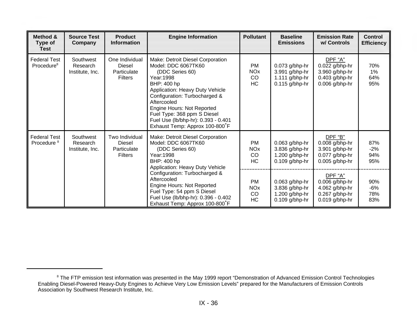| Method &<br>Type of<br><b>Test</b>            | <b>Source Test</b><br>Company                                                                                                                                                     | <b>Product</b><br><b>Information</b>                             | <b>Engine Information</b>                                                                                                                                                                                                                                                                                                        | <b>Pollutant</b>                                                                      | <b>Baseline</b><br><b>Emissions</b>                                        | <b>Emission Rate</b><br>w/ Controls                                                 | <b>Control</b><br><b>Efficiency</b> |
|-----------------------------------------------|-----------------------------------------------------------------------------------------------------------------------------------------------------------------------------------|------------------------------------------------------------------|----------------------------------------------------------------------------------------------------------------------------------------------------------------------------------------------------------------------------------------------------------------------------------------------------------------------------------|---------------------------------------------------------------------------------------|----------------------------------------------------------------------------|-------------------------------------------------------------------------------------|-------------------------------------|
| <b>Federal Test</b><br>Procedure <sup>8</sup> | Southwest<br>Research<br>Institute, Inc.                                                                                                                                          | One Individual<br><b>Diesel</b><br>Particulate<br><b>Filters</b> | Make: Detroit Diesel Corporation<br>Model: DDC 6067TK60<br>(DDC Series 60)<br>Year: 1998<br>BHP: 400 hp<br>Application: Heavy Duty Vehicle<br>Configuration: Turbocharged &<br>Aftercooled<br>Engine Hours: Not Reported<br>Fuel Type: 368 ppm S Diesel<br>Fuel Use (lb/bhp-hr): 0.393 - 0.401<br>Exhaust Temp: Approx 100-800°F | PM<br><b>NO<sub>x</sub></b><br>CO<br><b>HC</b>                                        | $0.073$ g/bhp-hr<br>3.991 g/bhp-hr<br>$1.111$ g/bhp-hr<br>$0.115$ g/bhp-hr | DPF "A"<br>0.022 g/bhp-hr<br>3.960 g/bhp-hr<br>$0.403$ g/bhp-hr<br>$0.006$ g/bhp-hr | 70%<br>$1\%$<br>64%<br>95%          |
| <b>Federal Test</b><br>Procedure <sup>8</sup> | Southwest<br>Research<br>Institute, Inc.                                                                                                                                          | Two Individual<br>Diesel<br>Particulate<br><b>Filters</b>        | Make: Detroit Diesel Corporation<br>Model: DDC 6067TK60<br>(DDC Series 60)<br>Year: 1998<br>BHP: 400 hp<br>Application: Heavy Duty Vehicle                                                                                                                                                                                       | PM<br><b>NO<sub>x</sub></b><br>CO<br>HC                                               | 0.063 g/bhp-hr<br>3.836 g/bhp-hr<br>1.200 g/bhp-hr<br>$0.109$ g/bhp-hr     | DPF "B"<br>0.008 g/bhp-hr<br>3.901 g/bhp-hr<br>$0.077$ g/bhp-hr<br>$0.005$ g/bhp-hr | 87%<br>$-2%$<br>94%<br>95%          |
|                                               | Configuration: Turbocharged &<br>Aftercooled<br>Engine Hours: Not Reported<br>Fuel Type: 54 ppm S Diesel<br>Fuel Use (lb/bhp-hr): 0.396 - 0.402<br>Exhaust Temp: Approx 100-800°F | <b>PM</b><br><b>NO<sub>x</sub></b><br>CO<br><b>HC</b>            | $0.063$ g/bhp-hr<br>3.836 g/bhp-hr<br>1.200 $g/b$ hp-hr<br>$0.109$ g/bhp-hr                                                                                                                                                                                                                                                      | DPF "A"<br>$0.006$ g/bhp-hr<br>4.062 g/bhp-hr<br>$0.267$ g/bhp-hr<br>$0.019$ g/bhp-hr | 90%<br>$-6%$<br>78%<br>83%                                                 |                                                                                     |                                     |

<sup>&</sup>lt;sup>8</sup> The FTP emission test information was presented in the May 1999 report "Demonstration of Advanced Emission Control Technologies Enabling Diesel-Powered Heavy-Duty Engines to Achieve Very Low Emission Levels" prepared for the Manufacturers of Emission Controls Association by Southwest Research Institute, Inc.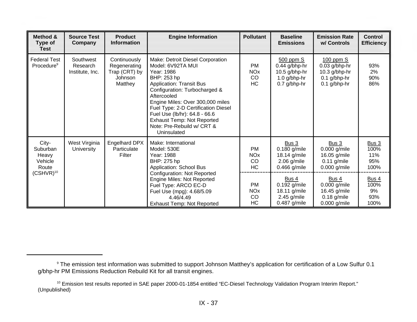| Method &<br>Type of<br><b>Test</b>             | <b>Source Test</b><br>Company            | <b>Product</b><br><b>Information</b>                                                                                                                                    | <b>Engine Information</b>                                                                                                                                                                                                                                                                                                                                           | <b>Pollutant</b>                                                         | <b>Baseline</b><br><b>Emissions</b>                                                 | <b>Emission Rate</b><br>w/ Controls                                                   | <b>Control</b><br><b>Efficiency</b>        |
|------------------------------------------------|------------------------------------------|-------------------------------------------------------------------------------------------------------------------------------------------------------------------------|---------------------------------------------------------------------------------------------------------------------------------------------------------------------------------------------------------------------------------------------------------------------------------------------------------------------------------------------------------------------|--------------------------------------------------------------------------|-------------------------------------------------------------------------------------|---------------------------------------------------------------------------------------|--------------------------------------------|
| <b>Federal Test</b><br>Procedure <sup>9</sup>  | Southwest<br>Research<br>Institute, Inc. | Continuously<br>Regenerating<br>Trap (CRT) by<br>Johnson<br>Matthey                                                                                                     | Make: Detroit Diesel Corporation<br>Model: 6V92TA MUI<br>Year: 1986<br>BHP: 253 hp<br><b>Application: Transit Bus</b><br>Configuration: Turbocharged &<br>Aftercooled<br>Engine Miles: Over 300,000 miles<br>Fuel Type: 2-D Certification Diesel<br>Fuel Use (lb/hr): 64.8 - 66.6<br><b>Exhaust Temp: Not Reported</b><br>Note: Pre-Rebuild w/ CRT &<br>Uninsulated | <b>PM</b><br><b>NO<sub>x</sub></b><br>CO<br>HC                           | 500 ppm S<br>$0.44$ g/bhp-hr<br>$10.5$ g/bhp-hr<br>$1.0$ g/bhp-hr<br>$0.7$ g/bhp-hr | $100$ ppm $S$<br>$0.03$ g/bhp-hr<br>10.3 g/bhp-hr<br>$0.1$ g/bhp-hr<br>$0.1$ g/bhp-hr | 93%<br>2%<br>90%<br>86%                    |
| City-<br>Suburban<br>Heavy<br>Vehicle<br>Route | West Virginia<br>University              | <b>Engelhard DPX</b><br>Particulate<br>Filter                                                                                                                           | Make: International<br>Model: 530E<br>Year: 1988<br>BHP: 275 hp<br><b>Application: School Bus</b>                                                                                                                                                                                                                                                                   | <b>PM</b><br><b>NO<sub>x</sub></b><br>CO<br><b>HC</b>                    | Bus 3<br>$0.180$ g/mile<br>18.14 g/mile<br>$2.06$ g/mile<br>$0.466$ g/mile          | Bus 3<br>$0.000$ g/mile<br>16.05 g/mile<br>$0.11$ g/mile<br>$0.000$ g/mile            | <b>Bus 3</b><br>100%<br>11%<br>95%<br>100% |
| $\mathsf{(CSHVR)^{10}}$                        |                                          | <b>Configuration: Not Reported</b><br>Engine Miles: Not Reported<br>Fuel Type: ARCO EC-D<br>Fuel Use (mpg): 4.68/5.09<br>4.46/4.49<br><b>Exhaust Temp: Not Reported</b> | <b>PM</b><br><b>NO<sub>x</sub></b><br>CO<br><b>HC</b>                                                                                                                                                                                                                                                                                                               | Bus 4<br>$0.192$ g/mile<br>18.11 g/mile<br>$2.45$ g/mile<br>0.487 g/mile | Bus 4<br>$0.000$ g/mile<br>16.45 g/mile<br>$0.18$ g/mile<br>$0.000$ g/mile          | Bus 4<br>100%<br>9%<br>93%<br>100%                                                    |                                            |

<sup>9</sup> The emission test information was submitted to support Johnson Matthey's application for certification of a Low Sulfur 0.1 g/bhp-hr PM Emissions Reduction Rebuild Kit for all transit engines.

<sup>&</sup>lt;sup>10</sup> Emission test results reported in SAE paper 2000-01-1854 entitled "EC-Diesel Technology Validation Program Interim Report." (Unpublished)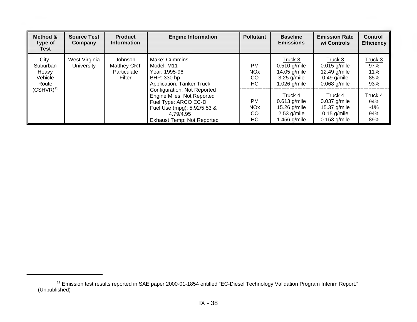| Method &<br><b>Type of</b><br>Test             | <b>Source Test</b><br>Company      | <b>Product</b><br><b>Information</b>                   | <b>Engine Information</b>                                                                                                                                                 | <b>Pollutant</b>                               | <b>Baseline</b><br><b>Emissions</b>                                        | <b>Emission Rate</b><br>w/ Controls                                          | <b>Control</b><br><b>Efficiency</b>    |
|------------------------------------------------|------------------------------------|--------------------------------------------------------|---------------------------------------------------------------------------------------------------------------------------------------------------------------------------|------------------------------------------------|----------------------------------------------------------------------------|------------------------------------------------------------------------------|----------------------------------------|
| City-<br>Suburban<br>Heavy<br>Vehicle<br>Route | West Virginia<br><b>University</b> | Johnson<br><b>Matthey CRT</b><br>Particulate<br>Filter | Make: Cummins<br>Model: M11<br>Year: 1995-96<br>BHP: 330 hp<br><b>Application: Tanker Truck</b>                                                                           | <b>PM</b><br><b>NO<sub>x</sub></b><br>CO<br>HC | Truck 3<br>$0.510$ g/mile<br>14.05 g/mile<br>$3.25$ g/mile<br>1.026 g/mile | Truck 3<br>$0.015$ g/mile<br>12.49 g/mile<br>$0.49$ g/mile<br>$0.068$ g/mile | Truck 3<br>97%<br>11%<br>85%<br>93%    |
| $(CSHVR)^{11}$                                 |                                    |                                                        | <b>Configuration: Not Reported</b><br>Engine Miles: Not Reported<br>Fuel Type: ARCO EC-D<br>Fuel Use (mpg): 5.92/5.53 &<br>4.79/4.95<br><b>Exhaust Temp: Not Reported</b> | <b>PM</b><br><b>NO<sub>x</sub></b><br>CO<br>HC | Truck 4<br>$0.613$ g/mile<br>15.26 g/mile<br>$2.53$ g/mile<br>1.456 g/mile | Truck 4<br>$0.037$ g/mile<br>15.37 g/mile<br>$0.15$ g/mile<br>$0.153$ g/mile | Truck 4<br>94%<br>$-1\%$<br>94%<br>89% |

<sup>11</sup> Emission test results reported in SAE paper 2000-01-1854 entitled "EC-Diesel Technology Validation Program Interim Report." (Unpublished)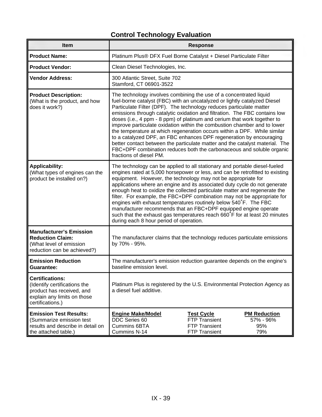| Item                                                                                                                                   |                                                                                                                                                                                                                                                                                                                                                                                                                                                                                                                                                                                                                                                                                                                                                                                                     | <b>Response</b>                                                                    |                                                |  |  |
|----------------------------------------------------------------------------------------------------------------------------------------|-----------------------------------------------------------------------------------------------------------------------------------------------------------------------------------------------------------------------------------------------------------------------------------------------------------------------------------------------------------------------------------------------------------------------------------------------------------------------------------------------------------------------------------------------------------------------------------------------------------------------------------------------------------------------------------------------------------------------------------------------------------------------------------------------------|------------------------------------------------------------------------------------|------------------------------------------------|--|--|
| <b>Product Name:</b>                                                                                                                   | Platinum Plus® DFX Fuel Borne Catalyst + Diesel Particulate Filter                                                                                                                                                                                                                                                                                                                                                                                                                                                                                                                                                                                                                                                                                                                                  |                                                                                    |                                                |  |  |
| <b>Product Vendor:</b>                                                                                                                 | Clean Diesel Technologies, Inc.                                                                                                                                                                                                                                                                                                                                                                                                                                                                                                                                                                                                                                                                                                                                                                     |                                                                                    |                                                |  |  |
| <b>Vendor Address:</b>                                                                                                                 | 300 Atlantic Street, Suite 702<br>Stamford, CT 06901-3522                                                                                                                                                                                                                                                                                                                                                                                                                                                                                                                                                                                                                                                                                                                                           |                                                                                    |                                                |  |  |
| <b>Product Description:</b><br>(What is the product, and how<br>does it work?)                                                         | The technology involves combining the use of a concentrated liquid<br>fuel-borne catalyst (FBC) with an uncatalyzed or lightly catalyzed Diesel<br>Particulate Filter (DPF). The technology reduces particulate matter<br>emissions through catalytic oxidation and filtration. The FBC contains low<br>doses (i.e., 4 ppm - 8 ppm) of platinum and cerium that work together to<br>improve particulate oxidation within the combustion chamber and to lower<br>the temperature at which regeneration occurs within a DPF. While similar<br>to a catalyzed DPF, an FBC enhances DPF regeneration by encouraging<br>better contact between the particulate matter and the catalyst material. The<br>FBC+DPF combination reduces both the carbonaceous and soluble organic<br>fractions of diesel PM. |                                                                                    |                                                |  |  |
| <b>Applicability:</b><br>(What types of engines can the<br>product be installed on?)                                                   | The technology can be applied to all stationary and portable diesel-fueled<br>engines rated at 5,000 horsepower or less, and can be retrofitted to existing<br>equipment. However, the technology may not be appropriate for<br>applications where an engine and its associated duty cycle do not generate<br>enough heat to oxidize the collected particulate matter and regenerate the<br>filter. For example, the FBC+DPF combination may not be appropriate for<br>engines with exhaust temperatures routinely below 540°F. The FBC<br>manufacturer recommends that an FBC+DPF equipped engine operate<br>such that the exhaust gas temperatures reach 660°F for at least 20 minutes<br>during each 8 hour period of operation.                                                                 |                                                                                    |                                                |  |  |
| <b>Manufacturer's Emission</b><br><b>Reduction Claim:</b><br>(What level of emission<br>reduction can be achieved?)                    | The manufacturer claims that the technology reduces particulate emissions<br>by 70% - 95%.                                                                                                                                                                                                                                                                                                                                                                                                                                                                                                                                                                                                                                                                                                          |                                                                                    |                                                |  |  |
| <b>Emission Reduction</b><br><b>Guarantee:</b>                                                                                         | The manufacturer's emission reduction guarantee depends on the engine's<br>baseline emission level.                                                                                                                                                                                                                                                                                                                                                                                                                                                                                                                                                                                                                                                                                                 |                                                                                    |                                                |  |  |
| <b>Certifications:</b><br>(Identify certifications the<br>product has received, and<br>explain any limits on those<br>certifications.) | Platinum Plus is registered by the U.S. Environmental Protection Agency as<br>a diesel fuel additive.                                                                                                                                                                                                                                                                                                                                                                                                                                                                                                                                                                                                                                                                                               |                                                                                    |                                                |  |  |
| <b>Emission Test Results:</b><br>(Summarize emission test<br>results and describe in detail on<br>the attached table.)                 | <b>Engine Make/Model</b><br><b>DDC</b> Series 60<br>Cummins 6BTA<br>Cummins N-14                                                                                                                                                                                                                                                                                                                                                                                                                                                                                                                                                                                                                                                                                                                    | <b>Test Cycle</b><br><b>FTP Transient</b><br><b>FTP Transient</b><br>FTP Transient | <b>PM Reduction</b><br>57% - 96%<br>95%<br>79% |  |  |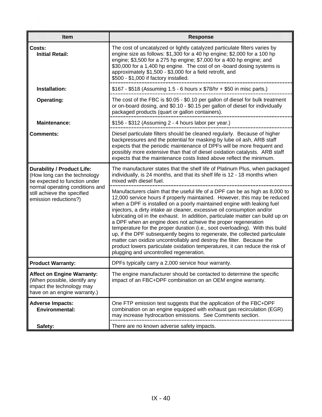| Item                                                                                                                           | <b>Response</b>                                                                                                                                                                                                                                                                                                                                                                                                                                                                                                                                                                                                                                                                                                                                                                                                                         |
|--------------------------------------------------------------------------------------------------------------------------------|-----------------------------------------------------------------------------------------------------------------------------------------------------------------------------------------------------------------------------------------------------------------------------------------------------------------------------------------------------------------------------------------------------------------------------------------------------------------------------------------------------------------------------------------------------------------------------------------------------------------------------------------------------------------------------------------------------------------------------------------------------------------------------------------------------------------------------------------|
| Costs:<br><b>Initial Retail:</b>                                                                                               | The cost of uncatalyzed or lightly catalyzed particulate filters varies by<br>engine size as follows: \$1,300 for a 40 hp engine; \$2,000 for a 100 hp<br>engine; \$3,500 for a 275 hp engine; \$7,000 for a 400 hp engine; and<br>\$30,000 for a 1,400 hp engine. The cost of on -board dosing systems is<br>approximately \$1,500 - \$3,000 for a field retrofit, and<br>\$500 - \$1,000 if factory installed.                                                                                                                                                                                                                                                                                                                                                                                                                        |
| Installation:                                                                                                                  | \$167 - \$518 (Assuming 1.5 - 6 hours x \$78/hr + \$50 in misc parts.)                                                                                                                                                                                                                                                                                                                                                                                                                                                                                                                                                                                                                                                                                                                                                                  |
| <b>Operating:</b>                                                                                                              | The cost of the FBC is \$0.05 - \$0.10 per gallon of diesel for bulk treatment<br>or on-board dosing, and \$0.10 - \$0.15 per gallon of diesel for individually<br>packaged products (quart or gallon containers).                                                                                                                                                                                                                                                                                                                                                                                                                                                                                                                                                                                                                      |
| <b>Maintenance:</b>                                                                                                            | \$156 - \$312 (Assuming 2 - 4 hours labor per year.)                                                                                                                                                                                                                                                                                                                                                                                                                                                                                                                                                                                                                                                                                                                                                                                    |
| <b>Comments:</b>                                                                                                               | Diesel particulate filters should be cleaned regularly. Because of higher<br>backpressures and the potential for masking by lube oil ash, ARB staff<br>expects that the periodic maintenance of DPFs will be more frequent and<br>possibly more extensive than that of diesel oxidation catalysts. ARB staff<br>expects that the maintenance costs listed above reflect the minimum.                                                                                                                                                                                                                                                                                                                                                                                                                                                    |
| <b>Durability / Product Life:</b><br>(How long can the technology<br>be expected to function under                             | The manufacturer states that the shelf life of Platinum Plus, when packaged<br>individually, is 24 months, and that its shelf life is 12 - 18 months when<br>mixed with diesel fuel.                                                                                                                                                                                                                                                                                                                                                                                                                                                                                                                                                                                                                                                    |
| normal operating conditions and<br>still achieve the specified<br>emission reductions?)                                        | Manufacturers claim that the useful life of a DPF can be as high as 8,000 to<br>12,000 service hours if properly maintained. However, this may be reduced<br>when a DPF is installed on a poorly maintained engine with leaking fuel<br>injectors, a dirty intake air cleaner, excessive oil consumption and/or<br>lubricating oil in the exhaust. In addition, particulate matter can build up on<br>a DPF when an engine does not achieve the proper regeneration<br>temperature for the proper duration (i.e., soot overloading). With this build<br>up, if the DPF subsequently begins to regenerate, the collected particulate<br>matter can oxidize uncontrollably and destroy the filter. Because the<br>product lowers particulate oxidation temperatures, it can reduce the risk of<br>plugging and uncontrolled regeneration. |
| <b>Product Warranty:</b>                                                                                                       | DPFs typically carry a 2,000 service hour warranty.                                                                                                                                                                                                                                                                                                                                                                                                                                                                                                                                                                                                                                                                                                                                                                                     |
| <b>Affect on Engine Warranty:</b><br>(When possible, identify any<br>impact the technology may<br>have on an engine warranty.) | The engine manufacturer should be contacted to determine the specific<br>impact of an FBC+DPF combination on an OEM engine warranty.                                                                                                                                                                                                                                                                                                                                                                                                                                                                                                                                                                                                                                                                                                    |
| <b>Adverse Impacts:</b><br><b>Environmental:</b>                                                                               | One FTP emission test suggests that the application of the FBC+DPF<br>combination on an engine equipped with exhaust gas recirculation (EGR)<br>may increase hydrocarbon emissions. See Comments section.                                                                                                                                                                                                                                                                                                                                                                                                                                                                                                                                                                                                                               |
| Safety:                                                                                                                        | There are no known adverse safety impacts.                                                                                                                                                                                                                                                                                                                                                                                                                                                                                                                                                                                                                                                                                                                                                                                              |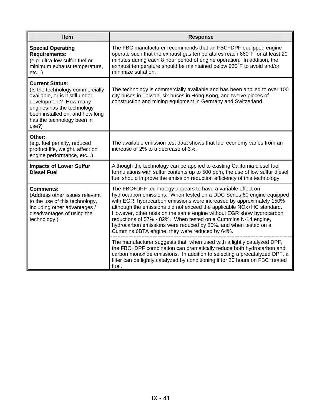| <b>Item</b>                                                                                                                                                                                                                   | <b>Response</b>                                                                                                                                                                                                                                                                                                                                                                                                                                                                                                                                      |
|-------------------------------------------------------------------------------------------------------------------------------------------------------------------------------------------------------------------------------|------------------------------------------------------------------------------------------------------------------------------------------------------------------------------------------------------------------------------------------------------------------------------------------------------------------------------------------------------------------------------------------------------------------------------------------------------------------------------------------------------------------------------------------------------|
| <b>Special Operating</b><br><b>Requirements:</b><br>(e.g. ultra-low sulfur fuel or<br>minimum exhaust temperature,<br>etc                                                                                                     | The FBC manufacturer recommends that an FBC+DPF equipped engine<br>operate such that the exhaust gas temperatures reach 660°F for at least 20<br>minutes during each 8 hour period of engine operation. In addition, the<br>exhaust temperature should be maintained below 930°F to avoid and/or<br>minimize sulfation.                                                                                                                                                                                                                              |
| <b>Current Status:</b><br>(Is the technology commercially<br>available, or is it still under<br>development? How many<br>engines has the technology<br>been installed on, and how long<br>has the technology been in<br>use?) | The technology is commercially available and has been applied to over 100<br>city buses in Taiwan, six buses in Hong Kong, and twelve pieces of<br>construction and mining equipment in Germany and Switzerland.                                                                                                                                                                                                                                                                                                                                     |
| Other:<br>(e.g. fuel penalty, reduced<br>product life, weight, affect on<br>engine performance, etc)                                                                                                                          | The available emission test data shows that fuel economy varies from an<br>increase of 2% to a decrease of 3%.                                                                                                                                                                                                                                                                                                                                                                                                                                       |
| <b>Impacts of Lower Sulfur</b><br><b>Diesel Fuel</b>                                                                                                                                                                          | Although the technology can be applied to existing California diesel fuel<br>formulations with sulfur contents up to 500 ppm, the use of low sulfur diesel<br>fuel should improve the emission reduction efficiency of this technology.                                                                                                                                                                                                                                                                                                              |
| <b>Comments:</b><br>(Address other issues relevant<br>to the use of this technology,<br>including other advantages /<br>disadvantages of using the<br>technology.)                                                            | The FBC+DPF technology appears to have a variable effect on<br>hydrocarbon emissions. When tested on a DDC Series 60 engine equipped<br>with EGR, hydrocarbon emissions were increased by approximately 150%<br>although the emissions did not exceed the applicable NOx+HC standard.<br>However, other tests on the same engine without EGR show hydrocarbon<br>reductions of 57% - 82%. When tested on a Cummins N-14 engine,<br>hydrocarbon emissions were reduced by 80%, and when tested on a<br>Cummins 6BTA engine, they were reduced by 64%. |
|                                                                                                                                                                                                                               | The manufacturer suggests that, when used with a lightly catalyzed DPF,<br>the FBC+DPF combination can dramatically reduce both hydrocarbon and<br>carbon monoxide emissions. In addition to selecting a precatalyzed DPF, a<br>filter can be lightly catalyzed by conditioning it for 20 hours on FBC treated<br>fuel.                                                                                                                                                                                                                              |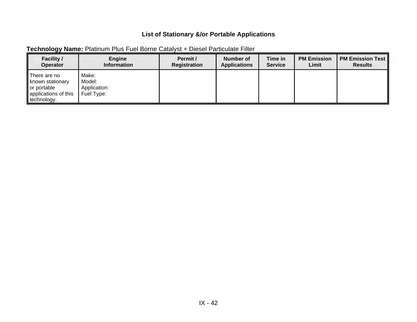| <b>Facility /</b>                                                                         | Engine                                          | Permit /     | Number of           | Time in        | <b>PM Emission</b> | <b>PM Emission Test</b> |
|-------------------------------------------------------------------------------------------|-------------------------------------------------|--------------|---------------------|----------------|--------------------|-------------------------|
| <b>Operator</b>                                                                           | <b>Information</b>                              | Registration | <b>Applications</b> | <b>Service</b> | Limit              | <b>Results</b>          |
| There are no<br>known stationary<br>or portable<br>   applications of this<br>technology. | Make:<br>Model:<br>Application:<br>  Fuel Type: |              |                     |                |                    |                         |

#### **Technology Name:** Platinum Plus Fuel Borne Catalyst + Diesel Particulate Filter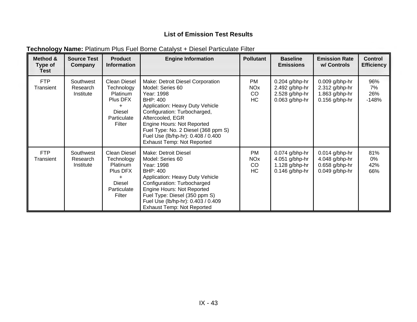| Method &<br>Type of<br><b>Test</b> | <b>Source Test</b><br>Company      | <b>Product</b><br><b>Information</b>                                                               | <b>Engine Information</b>                                                                                                                                                                                                                                                                                                    | <b>Pollutant</b>                                      | <b>Baseline</b><br><b>Emissions</b>                                          | <b>Emission Rate</b><br>w/ Controls                                        | <b>Control</b><br><b>Efficiency</b> |
|------------------------------------|------------------------------------|----------------------------------------------------------------------------------------------------|------------------------------------------------------------------------------------------------------------------------------------------------------------------------------------------------------------------------------------------------------------------------------------------------------------------------------|-------------------------------------------------------|------------------------------------------------------------------------------|----------------------------------------------------------------------------|-------------------------------------|
| <b>FTP</b><br>Transient            | Southwest<br>Research<br>Institute | Clean Diesel<br>Technology<br>Platinum<br>Plus DFX<br>$\ddot{}$<br>Diesel<br>Particulate<br>Filter | Make: Detroit Diesel Corporation<br>Model: Series 60<br>Year: 1998<br><b>BHP: 400</b><br>Application: Heavy Duty Vehicle<br>Configuration: Turbocharged,<br>Aftercooled, EGR<br>Engine Hours: Not Reported<br>Fuel Type: No. 2 Diesel (368 ppm S)<br>Fuel Use (lb/hp-hr): 0.408 / 0.400<br><b>Exhaust Temp: Not Reported</b> | PM<br><b>NO<sub>x</sub></b><br><b>CO</b><br><b>HC</b> | $0.204$ g/bhp-hr<br>$2.492$ g/bhp-hr<br>2.528 g/bhp-hr<br>$0.063$ g/bhp-hr   | $0.009$ g/bhp-hr<br>$2.312$ g/bhp-hr<br>1.863 g/bhp-hr<br>$0.156$ g/bhp-hr | 96%<br>7%<br>26%<br>$-148%$         |
| <b>FTP</b><br>Transient            | Southwest<br>Research<br>Institute | Clean Diesel<br>Technology<br><b>Platinum</b><br>Plus DFX<br>Diesel<br>Particulate<br>Filter       | Make: Detroit Diesel<br>Model: Series 60<br>Year: 1998<br><b>BHP: 400</b><br>Application: Heavy Duty Vehicle<br>Configuration: Turbocharged<br>Engine Hours: Not Reported<br>Fuel Type: Diesel (350 ppm S)<br>Fuel Use (lb/hp-hr): 0.403 / 0.409<br><b>Exhaust Temp: Not Reported</b>                                        | <b>PM</b><br><b>NO<sub>x</sub></b><br>CO<br>HC        | $0.074$ g/bhp-hr<br>$4.051$ g/bhp-hr<br>$1.128$ g/bhp-hr<br>$0.146$ g/bhp-hr | $0.014$ g/bhp-hr<br>4.048 g/bhp-hr<br>$0.658$ g/bhp-hr<br>$0.049$ g/bhp-hr | 81%<br>0%<br>42%<br>66%             |

#### **Technology Name:** Platinum Plus Fuel Borne Catalyst + Diesel Particulate Filter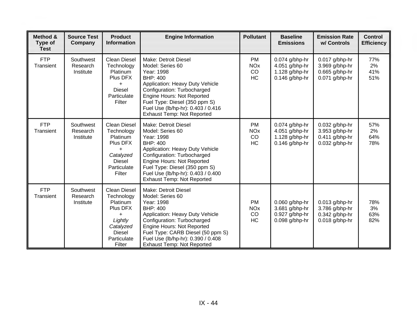| Method &<br>Type of<br><b>Test</b> | <b>Source Test</b><br>Company      | <b>Product</b><br><b>Information</b>                                                                                             | <b>Engine Information</b>                                                                                                                                                                                                                                                                    | <b>Pollutant</b>                                      | <b>Baseline</b><br><b>Emissions</b>                                       | <b>Emission Rate</b><br>w/ Controls                                      | <b>Control</b><br><b>Efficiency</b> |
|------------------------------------|------------------------------------|----------------------------------------------------------------------------------------------------------------------------------|----------------------------------------------------------------------------------------------------------------------------------------------------------------------------------------------------------------------------------------------------------------------------------------------|-------------------------------------------------------|---------------------------------------------------------------------------|--------------------------------------------------------------------------|-------------------------------------|
| <b>FTP</b><br>Transient            | Southwest<br>Research<br>Institute | <b>Clean Diesel</b><br>Technology<br><b>Platinum</b><br>Plus DFX<br>+<br><b>Diesel</b><br>Particulate<br>Filter                  | Make: Detroit Diesel<br>Model: Series 60<br>Year: 1998<br><b>BHP: 400</b><br>Application: Heavy Duty Vehicle<br>Configuration: Turbocharged<br>Engine Hours: Not Reported<br>Fuel Type: Diesel (350 ppm S)<br>Fuel Use (lb/hp-hr): 0.403 / 0.416<br><b>Exhaust Temp: Not Reported</b>        | <b>PM</b><br><b>NO<sub>x</sub></b><br>CO<br>HC        | 0.074 g/bhp-hr<br>4.051 g/bhp-hr<br>1.128 $g/b$ hp-hr<br>$0.146$ g/bhp-hr | 0.017 g/bhp-hr<br>3.969 g/bhp-hr<br>$0.665$ g/bhp-hr<br>$0.071$ g/bhp-hr | 77%<br>2%<br>41%<br>51%             |
| <b>FTP</b><br>Transient            | Southwest<br>Research<br>Institute | Clean Diesel<br>Technology<br>Platinum<br>Plus DFX<br>$\ddot{}$<br>Catalyzed<br><b>Diesel</b><br>Particulate<br>Filter           | <b>Make: Detroit Diesel</b><br>Model: Series 60<br>Year: 1998<br><b>BHP: 400</b><br>Application: Heavy Duty Vehicle<br>Configuration: Turbocharged<br>Engine Hours: Not Reported<br>Fuel Type: Diesel (350 ppm S)<br>Fuel Use (lb/hp-hr): 0.403 / 0.400<br><b>Exhaust Temp: Not Reported</b> | <b>PM</b><br><b>NO<sub>x</sub></b><br>CO<br><b>HC</b> | 0.074 g/bhp-hr<br>4.051 g/bhp-hr<br>1.128 g/bhp-hr<br>$0.146$ g/bhp-hr    | 0.032 g/bhp-hr<br>3.953 g/bhp-hr<br>$0.411$ g/bhp-hr<br>$0.032$ g/bhp-hr | 57%<br>2%<br>64%<br>78%             |
| <b>FTP</b><br>Transient            | Southwest<br>Research<br>Institute | <b>Clean Diesel</b><br>Technology<br>Platinum<br>Plus DFX<br>+<br>Lightly<br>Catalyzed<br><b>Diesel</b><br>Particulate<br>Filter | Make: Detroit Diesel<br>Model: Series 60<br>Year: 1998<br><b>BHP: 400</b><br>Application: Heavy Duty Vehicle<br>Configuration: Turbocharged<br>Engine Hours: Not Reported<br>Fuel Type: CARB Diesel (50 ppm S)<br>Fuel Use (lb/hp-hr): 0.390 / 0.408<br><b>Exhaust Temp: Not Reported</b>    | <b>PM</b><br><b>NO<sub>x</sub></b><br>CO<br><b>HC</b> | 0.060 g/bhp-hr<br>3.681 g/bhp-hr<br>0.927 g/bhp-hr<br>$0.098$ g/bhp-hr    | 0.013 g/bhp-hr<br>3.786 g/bhp-hr<br>0.342 g/bhp-hr<br>$0.018$ g/bhp-hr   | 78%<br>3%<br>63%<br>82%             |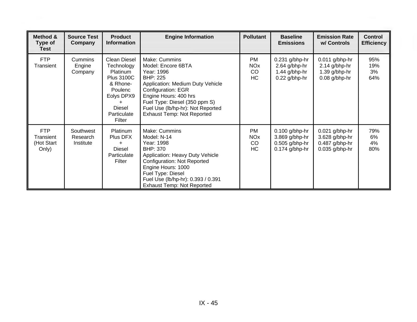| Method &<br><b>Type of</b><br><b>Test</b>      | <b>Source Test</b><br>Company      | <b>Product</b><br><b>Information</b>                                                                                                       | <b>Engine Information</b>                                                                                                                                                                                                                                                 | <b>Pollutant</b>                               | <b>Baseline</b><br><b>Emissions</b>                                        | <b>Emission Rate</b><br>w/ Controls                                    | <b>Control</b><br><b>Efficiency</b> |
|------------------------------------------------|------------------------------------|--------------------------------------------------------------------------------------------------------------------------------------------|---------------------------------------------------------------------------------------------------------------------------------------------------------------------------------------------------------------------------------------------------------------------------|------------------------------------------------|----------------------------------------------------------------------------|------------------------------------------------------------------------|-------------------------------------|
| <b>FTP</b><br>Transient                        | Cummins<br>Engine<br>Company       | Clean Diesel<br>Technology<br>Platinum<br><b>Plus 3100C</b><br>& Rhone-<br>Poulenc<br>Eolys DPX9<br><b>Diesel</b><br>Particulate<br>Filter | Make: Cummins<br>Model: Encore 6BTA<br>Year: 1996<br><b>BHP: 225</b><br>Application: Medium Duty Vehicle<br><b>Configuration: EGR</b><br>Engine Hours: 400 hrs<br>Fuel Type: Diesel (350 ppm S)<br>Fuel Use (lb/hp-hr): Not Reported<br><b>Exhaust Temp: Not Reported</b> | <b>PM</b><br><b>NO<sub>x</sub></b><br>CO<br>HC | $0.231$ g/bhp-hr<br>2.64 g/bhp-hr<br>1.44 g/bhp-hr<br>0.22 g/bhp-hr        | $0.011$ g/bhp-hr<br>2.14 g/bhp-hr<br>1.39 g/bhp-hr<br>0.08 g/bhp-hr    | 95%<br>19%<br>3%<br>64%             |
| <b>FTP</b><br>Transient<br>(Hot Start<br>Only) | Southwest<br>Research<br>Institute | Platinum<br>Plus DFX<br>÷<br><b>Diesel</b><br>Particulate<br>Filter                                                                        | Make: Cummins<br>Model: N-14<br>Year: 1998<br><b>BHP: 370</b><br>Application: Heavy Duty Vehicle<br><b>Configuration: Not Reported</b><br>Engine Hours: 1000<br>Fuel Type: Diesel<br>Fuel Use (lb/hp-hr): 0.393 / 0.391<br><b>Exhaust Temp: Not Reported</b>              | <b>PM</b><br><b>NO<sub>x</sub></b><br>CO<br>HC | $0.100$ g/bhp-hr<br>3.869 g/bhp-hr<br>$0.505$ g/bhp-hr<br>$0.174$ g/bhp-hr | $0.021$ g/bhp-hr<br>3.628 g/bhp-hr<br>0.487 g/bhp-hr<br>0.035 g/bhp-hr | 79%<br>6%<br>4%<br>80%              |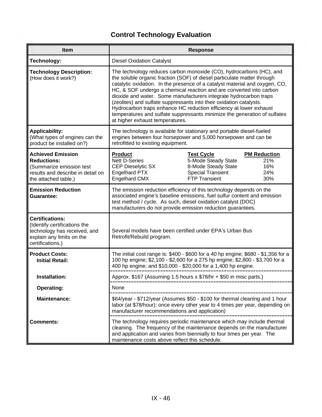| <b>Item</b>                                                                                                                             |                                                                                                                                                                                                                                                                                                                                                                                                                                                                                                                                                                                                                                        | <b>Response</b>                                                                                                                                                                                                                      |                                                 |  |  |
|-----------------------------------------------------------------------------------------------------------------------------------------|----------------------------------------------------------------------------------------------------------------------------------------------------------------------------------------------------------------------------------------------------------------------------------------------------------------------------------------------------------------------------------------------------------------------------------------------------------------------------------------------------------------------------------------------------------------------------------------------------------------------------------------|--------------------------------------------------------------------------------------------------------------------------------------------------------------------------------------------------------------------------------------|-------------------------------------------------|--|--|
| Technology:                                                                                                                             | <b>Diesel Oxidation Catalyst</b>                                                                                                                                                                                                                                                                                                                                                                                                                                                                                                                                                                                                       |                                                                                                                                                                                                                                      |                                                 |  |  |
| <b>Technology Description:</b><br>(How does it work?)                                                                                   | The technology reduces carbon monoxide (CO), hydrocarbons (HC), and<br>the soluble organic fraction (SOF) of diesel particulate matter through<br>catalytic oxidation. In the presence of a catalyst material and oxygen, CO,<br>HC, & SOF undergo a chemical reaction and are converted into carbon<br>dioxide and water. Some manufacturers integrate hydrocarbon traps<br>(zeolites) and sulfate suppressants into their oxidation catalysts.<br>Hydrocarbon traps enhance HC reduction efficiency at lower exhaust<br>temperatures and sulfate suppressants minimize the generation of sulfates<br>at higher exhaust temperatures. |                                                                                                                                                                                                                                      |                                                 |  |  |
| <b>Applicability:</b><br>(What types of engines can the<br>product be installed on?)                                                    | The technology is available for stationary and portable diesel-fueled<br>engines between four horsepower and 5,000 horsepower and can be<br>retrofitted to existing equipment.                                                                                                                                                                                                                                                                                                                                                                                                                                                         |                                                                                                                                                                                                                                      |                                                 |  |  |
| <b>Achieved Emission</b><br><b>Reductions:</b><br>(Summarize emission test<br>results and describe in detail on<br>the attached table.) | <b>Product</b><br><b>Nett D-Series</b><br><b>CEP Dieselytic SX</b><br>Engelhard PTX<br>Engelhard CMX                                                                                                                                                                                                                                                                                                                                                                                                                                                                                                                                   | <b>Test Cycle</b><br>5-Mode Steady State<br>8-Mode Steady State<br><b>Special Transient</b><br><b>FTP Transient</b>                                                                                                                  | <b>PM Reduction</b><br>21%<br>16%<br>24%<br>30% |  |  |
| <b>Emission Reduction</b><br>Guarantee:                                                                                                 | The emission reduction efficiency of this technology depends on the<br>associated engine's baseline emissions, fuel sulfur content and emission<br>test method / cycle. As such, diesel oxidation catalyst (DOC)<br>manufacturers do not provide emission reduction guarantees.                                                                                                                                                                                                                                                                                                                                                        |                                                                                                                                                                                                                                      |                                                 |  |  |
| <b>Certifications:</b><br>(Identify certifications the<br>technology has received, and<br>explain any limits on the<br>certifications.) | Retrofit/Rebuild program.                                                                                                                                                                                                                                                                                                                                                                                                                                                                                                                                                                                                              | Several models have been certified under EPA's Urban Bus                                                                                                                                                                             |                                                 |  |  |
| <b>Product Costs:</b><br><b>Initial Retail:</b>                                                                                         |                                                                                                                                                                                                                                                                                                                                                                                                                                                                                                                                                                                                                                        | The initial cost range is: \$400 - \$600 for a 40 hp engine; \$680 - \$1,356 for a<br>100 hp engine; \$2,100 - \$2,600 for a 275 hp engine; \$2,800 - \$3,700 for a<br>400 hp engine; and \$10,000 - \$20,000 for a 1,400 hp engine. |                                                 |  |  |
| Installation:                                                                                                                           |                                                                                                                                                                                                                                                                                                                                                                                                                                                                                                                                                                                                                                        | Approx. \$167 (Assuming 1.5 hours x \$78/hr + \$50 in misc parts.)                                                                                                                                                                   |                                                 |  |  |
| <b>Operating:</b>                                                                                                                       | None                                                                                                                                                                                                                                                                                                                                                                                                                                                                                                                                                                                                                                   |                                                                                                                                                                                                                                      |                                                 |  |  |
| <b>Maintenance:</b>                                                                                                                     | manufacturer recommendations and application)                                                                                                                                                                                                                                                                                                                                                                                                                                                                                                                                                                                          | \$64/year - \$712/year (Assumes \$50 - \$100 for thermal cleaning and 1 hour<br>labor (at \$78/hour): once every other year to 4 times per year, depending on                                                                        |                                                 |  |  |
| <b>Comments:</b>                                                                                                                        | maintenance costs above reflect this schedule.                                                                                                                                                                                                                                                                                                                                                                                                                                                                                                                                                                                         | The technology requires periodic maintenance which may include thermal<br>cleaning. The frequency of the maintenance depends on the manufacturer<br>and application and varies from biennially to four times per year. The           |                                                 |  |  |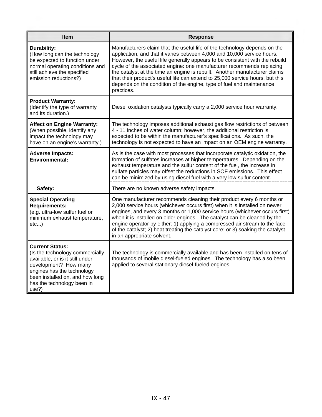| Item                                                                                                                                                                                                                          | <b>Response</b>                                                                                                                                                                                                                                                                                                                                                                                                                                                                                                                                                    |
|-------------------------------------------------------------------------------------------------------------------------------------------------------------------------------------------------------------------------------|--------------------------------------------------------------------------------------------------------------------------------------------------------------------------------------------------------------------------------------------------------------------------------------------------------------------------------------------------------------------------------------------------------------------------------------------------------------------------------------------------------------------------------------------------------------------|
| Durability:<br>(How long can the technology<br>be expected to function under<br>normal operating conditions and<br>still achieve the specified<br>emission reductions?)                                                       | Manufacturers claim that the useful life of the technology depends on the<br>application, and that it varies between 4,000 and 10,000 service hours.<br>However, the useful life generally appears to be consistent with the rebuild<br>cycle of the associated engine: one manufacturer recommends replacing<br>the catalyst at the time an engine is rebuilt. Another manufacturer claims<br>that their product's useful life can extend to 25,000 service hours, but this<br>depends on the condition of the engine, type of fuel and maintenance<br>practices. |
| <b>Product Warranty:</b><br>(Identify the type of warranty<br>and its duration.)                                                                                                                                              | Diesel oxidation catalysts typically carry a 2,000 service hour warranty.                                                                                                                                                                                                                                                                                                                                                                                                                                                                                          |
| <b>Affect on Engine Warranty:</b><br>(When possible, identify any<br>impact the technology may<br>have on an engine's warranty.)                                                                                              | The technology imposes additional exhaust gas flow restrictions of between<br>4 - 11 inches of water column; however, the additional restriction is<br>expected to be within the manufacturer's specifications. As such, the<br>technology is not expected to have an impact on an OEM engine warranty.                                                                                                                                                                                                                                                            |
| <b>Adverse Impacts:</b><br><b>Environmental:</b>                                                                                                                                                                              | As is the case with most processes that incorporate catalytic oxidation, the<br>formation of sulfates increases at higher temperatures. Depending on the<br>exhaust temperature and the sulfur content of the fuel, the increase in<br>sulfate particles may offset the reductions in SOF emissions. This effect<br>can be minimized by using diesel fuel with a very low sulfur content.                                                                                                                                                                          |
| Safety:                                                                                                                                                                                                                       | There are no known adverse safety impacts.                                                                                                                                                                                                                                                                                                                                                                                                                                                                                                                         |
| <b>Special Operating</b><br><b>Requirements:</b><br>(e.g. ultra-low sulfur fuel or<br>minimum exhaust temperature,<br>etc)                                                                                                    | One manufacturer recommends cleaning their product every 6 months or<br>2,000 service hours (whichever occurs first) when it is installed on newer<br>engines, and every 3 months or 1,000 service hours (whichever occurs first)<br>when it is installed on older engines. The catalyst can be cleaned by the<br>engine operator by either: 1) applying a compressed air stream to the face<br>of the catalyst; 2) heat treating the catalyst core; or 3) soaking the catalyst<br>in an appropriate solvent.                                                      |
| <b>Current Status:</b><br>(Is the technology commercially<br>available, or is it still under<br>development? How many<br>engines has the technology<br>been installed on, and how long<br>has the technology been in<br>use?) | The technology is commercially available and has been installed on tens of<br>thousands of mobile diesel-fueled engines. The technology has also been<br>applied to several stationary diesel-fueled engines.                                                                                                                                                                                                                                                                                                                                                      |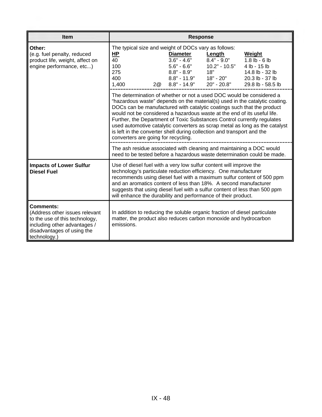| <b>Item</b>                                                                                                                                                 | <b>Response</b>                                                                                                                                                                                                                                                                                                                                                                                                                                                                                                                                                                      |  |  |  |  |  |  |
|-------------------------------------------------------------------------------------------------------------------------------------------------------------|--------------------------------------------------------------------------------------------------------------------------------------------------------------------------------------------------------------------------------------------------------------------------------------------------------------------------------------------------------------------------------------------------------------------------------------------------------------------------------------------------------------------------------------------------------------------------------------|--|--|--|--|--|--|
| Other:<br>(e.g. fuel penalty, reduced<br>product life, weight, affect on<br>engine performance, etc)                                                        | The typical size and weight of DOCs vary as follows:<br><u>HP</u><br><b>Diameter</b><br>Weight<br>Length<br>$3.6" - 4.6"$<br>$8.4" - 9.0"$<br>40<br>$1.8$ lb - 6 lb<br>$5.6" - 6.6"$<br>$10.2" - 10.5"$<br>100<br>4 lb - 15 lb<br>$8.8" - 8.9"$<br>275<br>18"<br>14.8 lb - 32 lb<br>18" - 20"<br>$8.8" - 11.9"$<br>400<br>20.3 lb - 37 lb<br>$8.8" - 14.9"$ 20" - 20.8"<br>2@<br>1,400<br>29.8 lb - 58.5 lb                                                                                                                                                                          |  |  |  |  |  |  |
|                                                                                                                                                             | The determination of whether or not a used DOC would be considered a<br>"hazardous waste" depends on the material(s) used in the catalytic coating.<br>DOCs can be manufactured with catalytic coatings such that the product<br>would not be considered a hazardous waste at the end of its useful life.<br>Further, the Department of Toxic Substances Control currently regulates<br>used automotive catalytic converters as scrap metal as long as the catalyst<br>is left in the converter shell during collection and transport and the<br>converters are going for recycling. |  |  |  |  |  |  |
|                                                                                                                                                             | The ash residue associated with cleaning and maintaining a DOC would<br>need to be tested before a hazardous waste determination could be made.                                                                                                                                                                                                                                                                                                                                                                                                                                      |  |  |  |  |  |  |
| <b>Impacts of Lower Sulfur</b><br><b>Diesel Fuel</b>                                                                                                        | Use of diesel fuel with a very low sulfur content will improve the<br>technology's particulate reduction efficiency. One manufacturer<br>recommends using diesel fuel with a maximum sulfur content of 500 ppm<br>and an aromatics content of less than 18%. A second manufacturer<br>suggests that using diesel fuel with a sulfur content of less than 500 ppm<br>will enhance the durability and performance of their product.                                                                                                                                                    |  |  |  |  |  |  |
| Comments:<br>(Address other issues relevant<br>to the use of this technology,<br>including other advantages /<br>disadvantages of using the<br>technology.) | In addition to reducing the soluble organic fraction of diesel particulate<br>matter, the product also reduces carbon monoxide and hydrocarbon<br>emissions.                                                                                                                                                                                                                                                                                                                                                                                                                         |  |  |  |  |  |  |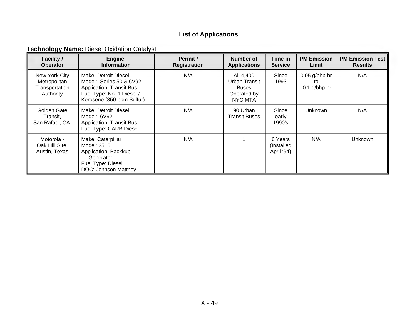### **List of Applications**

**Technology Name: Diesel Oxidation Catalyst** 

| <b>Facility /</b><br><b>Operator</b>                         | <b>Engine</b><br><b>Information</b>                                                                                                          | Permit /<br><b>Registration</b> | Number of<br><b>Applications</b>                                     | Time in<br><b>Service</b>           | <b>PM Emission</b><br>Limit             | <b>PM Emission Test</b><br><b>Results</b> |
|--------------------------------------------------------------|----------------------------------------------------------------------------------------------------------------------------------------------|---------------------------------|----------------------------------------------------------------------|-------------------------------------|-----------------------------------------|-------------------------------------------|
| New York City<br>Metropolitan<br>Transportation<br>Authority | Make: Detroit Diesel<br>Model: Series 50 & 6V92<br><b>Application: Transit Bus</b><br>Fuel Type: No. 1 Diesel /<br>Kerosene (350 ppm Sulfur) | N/A                             | All 4,400<br>Urban Transit<br><b>Buses</b><br>Operated by<br>NYC MTA | Since<br>1993                       | $0.05$ g/bhp-hr<br>to<br>$0.1$ g/bhp-hr | N/A                                       |
| Golden Gate<br>Transit,<br>San Rafael, CA                    | Make: Detroit Diesel<br>Model: 6V92<br><b>Application: Transit Bus</b><br>Fuel Type: CARB Diesel                                             | N/A                             | 90 Urban<br><b>Transit Buses</b>                                     | Since<br>early<br>1990's            | Unknown                                 | N/A                                       |
| Motorola -<br>Oak Hill Site,<br>Austin, Texas                | Make: Caterpillar<br>Model: 3516<br>Application: Backkup<br>Generator<br>Fuel Type: Diesel<br>DOC: Johnson Matthey                           | N/A                             |                                                                      | 6 Years<br>(Installed<br>April '94) | N/A                                     | <b>Unknown</b>                            |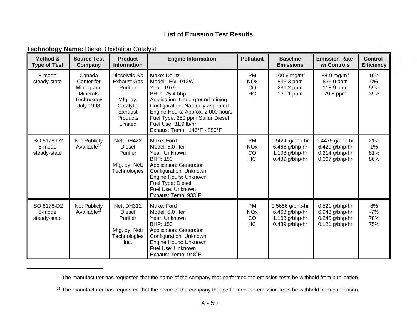| <b>Technology Name: Diesel Oxidation Catalyst</b> |  |
|---------------------------------------------------|--|
|---------------------------------------------------|--|

| Method &<br><b>Type of Test</b>       | <b>Source Test</b><br>Company                                                           | <b>Product</b><br><b>Information</b>                                                                       | <b>Engine Information</b>                                                                                                                                                                                                                                              | <b>Pollutant</b>                                      | <b>Baseline</b><br><b>Emissions</b>                                          | <b>Emission Rate</b><br>w/ Controls                                        | <b>Control</b><br><b>Efficiency</b> |
|---------------------------------------|-----------------------------------------------------------------------------------------|------------------------------------------------------------------------------------------------------------|------------------------------------------------------------------------------------------------------------------------------------------------------------------------------------------------------------------------------------------------------------------------|-------------------------------------------------------|------------------------------------------------------------------------------|----------------------------------------------------------------------------|-------------------------------------|
| 8-mode<br>steady-state                | Canada<br>Center for<br>Mining and<br><b>Minerals</b><br>Technology<br><b>July 1998</b> | Dieselytic SX<br><b>Exhaust Gas</b><br>Purifier<br>Mfg. by:<br>Catalytic<br>Exhaust<br>Products<br>Limited | Make: Deutz<br>Model: F6L-912W<br>Year: 1979<br>BHP: 75.4 bhp<br>Application: Underground mining<br>Configuration: Naturally aspirated<br>Engine Hours: Approx. 2,000 hours<br>Fuel Type: 250 ppm Sulfur Diesel<br>Fuel Use: 31.9 lb/hr<br>Exhaust Temp: 146°F - 880°F | <b>PM</b><br><b>NO<sub>x</sub></b><br>CO<br>HC        | 100.6 mg/m <sup>3</sup><br>835.3 ppm<br>291.2 ppm<br>130.1 ppm               | 84.9 mg/m <sup>3</sup><br>835.0 ppm<br>118.9 ppm<br>79.5 ppm               | 16%<br>0%<br>59%<br>39%             |
| ISO 8178-D2<br>5-mode<br>steady-state | Not Publicly<br>Available <sup>12</sup>                                                 | Nett DH422<br>Diesel<br>Purifier<br>Mfg. by: Nett<br>Technologies                                          | Make: Ford<br>Model: 5.0 liter<br>Year: Unknown<br><b>BHP: 150</b><br><b>Application: Generator</b><br>Configuration: Unknown<br>Engine Hours: Unknown<br>Fuel Type: Diesel<br>Fuel Use: Unknown<br>Exhaust Temp: 933°F                                                | <b>PM</b><br><b>NO<sub>x</sub></b><br>CO<br><b>HC</b> | 0.5656 g/bhp-hr<br>$6.468$ g/bhp-hr<br>1.108 $g/b$ hp-hr<br>$0.489$ g/bhp-hr | 0.4475 g/bhp-hr<br>6.429 g/bhp-hr<br>$0.214$ g/bhp-hr<br>0.067 g/bhp-hr    | 21%<br>$1\%$<br>81%<br>86%          |
| ISO 8178-D2<br>5-mode<br>steady-state | Not Publicly<br>Available <sup>13</sup>                                                 | Nett DH312<br><b>Diesel</b><br><b>Purifier</b><br>Mfg. by: Nett<br>Technologies<br>Inc.                    | Make: Ford<br>Model: 5.0 liter<br>Year: Unknown<br><b>BHP: 150</b><br>Application: Generator<br>Configuration: Unknown<br>Engine Hours: Unknown<br>Fuel Use: Unknown<br>Exhaust Temp: 948°F                                                                            | <b>PM</b><br><b>NO<sub>x</sub></b><br>CO<br>HC        | 0.5656 g/bhp-hr<br>6.468 g/bhp-hr<br>1.108 g/bhp-hr<br>$0.489$ g/bhp-hr      | $0.521$ g/bhp-hr<br>6.943 g/bhp-hr<br>$0.245$ g/bhp-hr<br>$0.121$ g/bhp-hr | 8%<br>$-7%$<br>78%<br>75%           |

<sup>&</sup>lt;sup>12</sup> The manufacturer has requested that the name of the company that performed the emission tests be withheld from publication.

<sup>&</sup>lt;sup>13</sup> The manufacturer has requested that the name of the company that performed the emission tests be withheld from publication.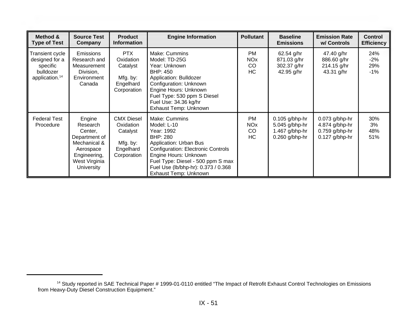| Method &<br><b>Type of Test</b>                                                          | <b>Source Test</b><br>Company                                                                                              | <b>Product</b><br><b>Information</b>                                               | <b>Engine Information</b>                                                                                                                                                                                                                                   | <b>Pollutant</b>                                            | <b>Baseline</b><br><b>Emissions</b>                                      | <b>Emission Rate</b><br>w/ Controls                                        | <b>Control</b><br><b>Efficiency</b> |
|------------------------------------------------------------------------------------------|----------------------------------------------------------------------------------------------------------------------------|------------------------------------------------------------------------------------|-------------------------------------------------------------------------------------------------------------------------------------------------------------------------------------------------------------------------------------------------------------|-------------------------------------------------------------|--------------------------------------------------------------------------|----------------------------------------------------------------------------|-------------------------------------|
| Transient cycle<br>designed for a<br>specific<br>bulldozer<br>application. <sup>14</sup> | <b>Emissions</b><br>Research and<br>Measurement<br>Division,<br>Environment<br>Canada                                      | <b>PTX</b><br>Oxidation<br>Catalyst<br>Mfg. by:<br>Engelhard<br>Corporation        | Make: Cummins<br>Model: TD-25G<br>Year: Unknown<br><b>BHP: 450</b><br>Application: Bulldozer<br>Configuration: Unknown<br>Engine Hours: Unknown<br>Fuel Type: 530 ppm S Diesel<br>Fuel Use: 34.36 kg/hr<br>Exhaust Temp: Unknown                            | <b>PM</b><br><b>NO<sub>x</sub></b><br>CO <sub>.</sub><br>HC | 62.54 g/hr<br>871.03 g/hr<br>302.37 g/hr<br>42.95 g/hr                   | 47.40 g/hr<br>886.60 g/hr<br>214.15 g/hr<br>43.31 g/hr                     | 24%<br>$-2%$<br>29%<br>$-1%$        |
| <b>Federal Test</b><br>Procedure                                                         | Engine<br>Research<br>Center,<br>Department of<br>Mechanical &<br>Aerospace<br>Engineering,<br>West Virginia<br>University | <b>CMX Diesel</b><br>Oxidation<br>Catalyst<br>Mfg. by:<br>Engelhard<br>Corporation | Make: Cummins<br>Model: L-10<br>Year: 1992<br>BHP: 280<br>Application: Urban Bus<br><b>Configuration: Electronic Controls</b><br>Engine Hours: Unknown<br>Fuel Type: Diesel - 500 ppm S max<br>Fuel Use (lb/bhp-hr): 0.373 / 0.368<br>Exhaust Temp: Unknown | <b>PM</b><br><b>NO<sub>x</sub></b><br>CO<br>HC              | $0.105$ g/bhp-hr<br>5.045 g/bhp-hr<br>1.467 g/bhp-hr<br>$0.260$ g/bhp-hr | $0.073$ g/bhp-hr<br>4.874 g/bhp-hr<br>$0.759$ g/bhp-hr<br>$0.127$ g/bhp-hr | 30%<br>3%<br>48%<br>51%             |

<sup>&</sup>lt;sup>14</sup> Study reported in SAE Technical Paper # 1999-01-0110 entitled "The Impact of Retrofit Exhaust Control Technologies on Emissions from Heavy-Duty Diesel Construction Equipment."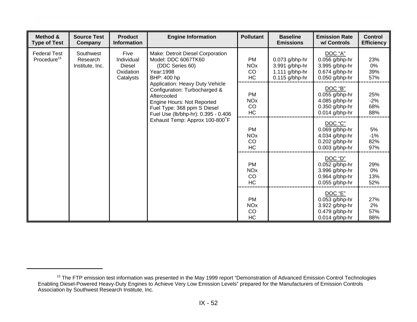| Method &<br><b>Type of Test</b>                | <b>Source Test</b><br>Company                                                                                                                                                                                                                                                                                                                                                                        | <b>Product</b><br><b>Information</b>           | <b>Engine Information</b>                      | <b>Pollutant</b>                                                                    | <b>Baseline</b><br><b>Emissions</b>                                                   | <b>Emission Rate</b><br>w/ Controls                                                 | <b>Control</b><br><b>Efficiency</b> |
|------------------------------------------------|------------------------------------------------------------------------------------------------------------------------------------------------------------------------------------------------------------------------------------------------------------------------------------------------------------------------------------------------------------------------------------------------------|------------------------------------------------|------------------------------------------------|-------------------------------------------------------------------------------------|---------------------------------------------------------------------------------------|-------------------------------------------------------------------------------------|-------------------------------------|
| <b>Federal Test</b><br>Procedure <sup>15</sup> | Southwest<br>Five<br>Make: Detroit Diesel Corporation<br>Individual<br>Model: DDC 6067TK60<br>Research<br>(DDC Series 60)<br>Diesel<br>Institute, Inc.<br>Oxidation<br>Year: 1998<br>BHP: 400 hp<br>Catalysts<br>Application: Heavy Duty Vehicle<br>Configuration: Turbocharged &<br>Aftercooled<br>Engine Hours: Not Reported<br>Fuel Type: 368 ppm S Diesel<br>Fuel Use (lb/bhp-hr): 0.395 - 0.406 |                                                | <b>PM</b><br><b>NO<sub>x</sub></b><br>CO<br>HC | $0.073$ g/bhp-hr<br>3.991 g/bhp-hr<br>1.111 $g/b$ hp-hr<br>$0.115$ g/bhp-hr         | DOC "A"<br>$0.056$ g/bhp-hr<br>3.995 g/bhp-hr<br>$0.674$ g/bhp-hr<br>$0.050$ g/bhp-hr | 23%<br>0%<br>39%<br>57%                                                             |                                     |
|                                                |                                                                                                                                                                                                                                                                                                                                                                                                      | <b>PM</b><br><b>NO<sub>x</sub></b><br>CO<br>HC |                                                | DOC "B"<br>$0.055$ g/bhp-hr<br>4.085 g/bhp-hr<br>0.350 g/bhp-hr<br>$0.014$ g/bhp-hr | 25%<br>$-2%$<br>68%<br>88%                                                            |                                                                                     |                                     |
|                                                |                                                                                                                                                                                                                                                                                                                                                                                                      |                                                | Exhaust Temp: Approx 100-800°F                 | <b>PM</b><br><b>NO<sub>x</sub></b><br>CO<br>HC                                      |                                                                                       | DOC "C"<br>0.069 g/bhp-hr<br>4.034 g/bhp-hr<br>$0.202$ g/bhp-hr<br>$0.003$ g/bhp-hr | 5%<br>$-1%$<br>82%<br>97%           |
|                                                |                                                                                                                                                                                                                                                                                                                                                                                                      | <b>PM</b><br><b>NO<sub>x</sub></b><br>CO<br>HC |                                                | DOC "D"<br>$0.052$ g/bhp-hr<br>3.996 g/bhp-hr<br>0.964 g/bhp-hr<br>$0.055$ g/bhp-hr | 29%<br>0%<br>13%<br>52%                                                               |                                                                                     |                                     |
|                                                |                                                                                                                                                                                                                                                                                                                                                                                                      |                                                |                                                | <b>PM</b><br><b>NO<sub>x</sub></b><br>CO<br>HC                                      |                                                                                       | DOC "E"<br>$0.053$ g/bhp-hr<br>3.922 g/bhp-hr<br>0.479 g/bhp-hr<br>$0.014$ g/bhp-hr | 27%<br>2%<br>57%<br>88%             |

<sup>&</sup>lt;sup>15</sup> The FTP emission test information was presented in the May 1999 report "Demonstration of Advanced Emission Control Technologies Enabling Diesel-Powered Heavy-Duty Engines to Achieve Very Low Emission Levels" prepared for the Manufacturers of Emission Controls Association by Southwest Research Institute, Inc.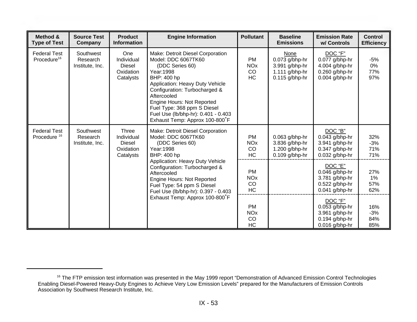| Method &<br><b>Type of Test</b>                                                                                                                    | <b>Source Test</b><br>Company            | <b>Product</b><br><b>Information</b>                           | <b>Engine Information</b>                                                                                                                                                                                                                                                                                                        | <b>Pollutant</b>                                                                    | <b>Baseline</b><br><b>Emissions</b>                                              | <b>Emission Rate</b><br>w/ Controls                                                   | <b>Control</b><br><b>Efficiency</b> |
|----------------------------------------------------------------------------------------------------------------------------------------------------|------------------------------------------|----------------------------------------------------------------|----------------------------------------------------------------------------------------------------------------------------------------------------------------------------------------------------------------------------------------------------------------------------------------------------------------------------------|-------------------------------------------------------------------------------------|----------------------------------------------------------------------------------|---------------------------------------------------------------------------------------|-------------------------------------|
| <b>Federal Test</b><br>Procedure <sup>16</sup>                                                                                                     | Southwest<br>Research<br>Institute, Inc. | One<br>Individual<br>Diesel<br>Oxidation<br>Catalysts          | Make: Detroit Diesel Corporation<br>Model: DDC 6067TK60<br>(DDC Series 60)<br>Year: 1998<br>BHP: 400 hp<br>Application: Heavy Duty Vehicle<br>Configuration: Turbocharged &<br>Aftercooled<br>Engine Hours: Not Reported<br>Fuel Type: 368 ppm S Diesel<br>Fuel Use (lb/bhp-hr): 0.401 - 0.403<br>Exhaust Temp: Approx 100-800°F | <b>PM</b><br><b>NO<sub>x</sub></b><br>CO<br><b>HC</b>                               | None<br>$0.073$ g/bhp-hr<br>3.991 g/bhp-hr<br>1.111 g/bhp-hr<br>$0.115$ g/bhp-hr | DOC "F"<br>$0.077$ g/bhp-hr<br>4.004 g/bhp-hr<br>0.260 g/bhp-hr<br>$0.004$ g/bhp-hr   | $-5%$<br>0%<br>77%<br>97%           |
| <b>Federal Test</b><br>Procedure <sup>16</sup>                                                                                                     | Southwest<br>Research<br>Institute, Inc. | Three<br>Individual<br><b>Diesel</b><br>Oxidation<br>Catalysts | Make: Detroit Diesel Corporation<br>Model: DDC 6067TK60<br>(DDC Series 60)<br>Year: 1998<br>BHP: 400 hp                                                                                                                                                                                                                          | <b>PM</b><br><b>NO<sub>x</sub></b><br>CO<br><b>HC</b>                               | $0.063$ g/bhp-hr<br>3.836 g/bhp-hr<br>1.200 $g/b$ hp-hr<br>$0.109$ g/bhp-hr      | DOC "B"<br>$0.043$ g/bhp-hr<br>3.941 g/bhp-hr<br>$0.347$ g/bhp-hr<br>$0.032$ g/bhp-hr | 32%<br>$-3%$<br>71%<br>71%          |
| Application: Heavy Duty Vehicle<br>Configuration: Turbocharged &<br>Aftercooled<br><b>Engine Hours: Not Reported</b><br>Fuel Type: 54 ppm S Diesel | Fuel Use (lb/bhp-hr): 0.397 - 0.403      | <b>PM</b><br><b>NO<sub>x</sub></b><br>CO<br><b>HC</b>          |                                                                                                                                                                                                                                                                                                                                  | DOC "E"<br>$0.046$ g/bhp-hr<br>3.781 g/bhp-hr<br>0.522 g/bhp-hr<br>$0.041$ g/bhp-hr | 27%<br>$1\%$<br>57%<br>62%                                                       |                                                                                       |                                     |
|                                                                                                                                                    |                                          |                                                                | Exhaust Temp: Approx 100-800°F                                                                                                                                                                                                                                                                                                   | <b>PM</b><br><b>NO<sub>x</sub></b><br>CO<br><b>HC</b>                               |                                                                                  | DOC "F"<br>$0.053$ g/bhp-hr<br>3.961 g/bhp-hr<br>$0.194$ g/bhp-hr<br>$0.016$ g/bhp-hr | 16%<br>$-3%$<br>84%<br>85%          |

<sup>&</sup>lt;sup>16</sup> The FTP emission test information was presented in the May 1999 report "Demonstration of Advanced Emission Control Technologies Enabling Diesel-Powered Heavy-Duty Engines to Achieve Very Low Emission Levels" prepared for the Manufacturers of Emission Controls Association by Southwest Research Institute, Inc.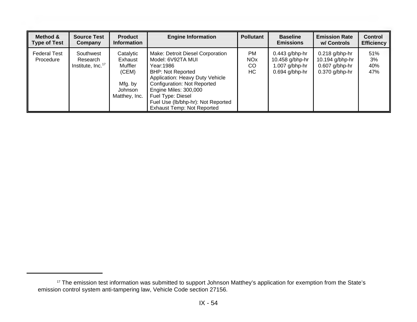| Method &<br><b>Type of Test</b> | <b>Source Test</b><br>Company                          | <b>Product</b><br><b>Information</b>                                            | <b>Engine Information</b>                                                                                                                                                                                                                                                                          | <b>Pollutant</b>                               | <b>Baseline</b><br><b>Emissions</b>                                         | <b>Emission Rate</b><br>w/ Controls                                         | <b>Control</b><br><b>Efficiency</b> |
|---------------------------------|--------------------------------------------------------|---------------------------------------------------------------------------------|----------------------------------------------------------------------------------------------------------------------------------------------------------------------------------------------------------------------------------------------------------------------------------------------------|------------------------------------------------|-----------------------------------------------------------------------------|-----------------------------------------------------------------------------|-------------------------------------|
| Federal Test<br>Procedure       | Southwest<br>Research<br>Institute, Inc. <sup>17</sup> | Catalytic<br>Exhaust<br>Muffler<br>(CEM)<br>Mfg. by<br>Johnson<br>Matthey, Inc. | Make: Detroit Diesel Corporation<br>Model: 6V92TA MUI<br>Year:1986  <br><b>BHP: Not Reported</b><br>Application: Heavy Duty Vehicle<br><b>Configuration: Not Reported</b><br>Engine Miles: 300,000<br>Fuel Type: Diesel<br>Fuel Use (lb/bhp-hr): Not Reported<br><b>Exhaust Temp: Not Reported</b> | <b>PM</b><br><b>NO<sub>x</sub></b><br>CO<br>HC | $0.443$ g/bhp-hr<br>10.458 g/bhp-hr<br>$1.007$ g/bhp-hr<br>$0.694$ g/bhp-hr | $0.218$ g/bhp-hr<br>10.194 g/bhp-hr<br>$0.607$ g/bhp-hr<br>$0.370$ g/bhp-hr | 51%<br>3%<br>40%<br>47%             |

<sup>&</sup>lt;sup>17</sup> The emission test information was submitted to support Johnson Matthey's application for exemption from the State's emission control system anti-tampering law, Vehicle Code section 27156.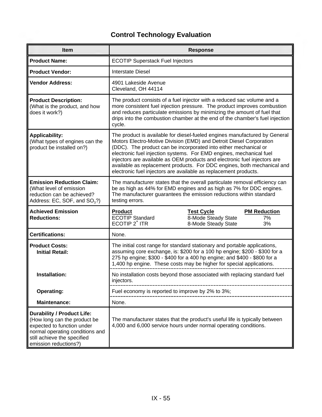| <b>Item</b>                                                                                                                                                                                |                                                                                                                                                                                                                                                                                                                                                                                                                                                                                                                          | <b>Response</b>                                                 |                                 |  |  |  |
|--------------------------------------------------------------------------------------------------------------------------------------------------------------------------------------------|--------------------------------------------------------------------------------------------------------------------------------------------------------------------------------------------------------------------------------------------------------------------------------------------------------------------------------------------------------------------------------------------------------------------------------------------------------------------------------------------------------------------------|-----------------------------------------------------------------|---------------------------------|--|--|--|
| <b>Product Name:</b>                                                                                                                                                                       | <b>ECOTIP Superstack Fuel Injectors</b>                                                                                                                                                                                                                                                                                                                                                                                                                                                                                  |                                                                 |                                 |  |  |  |
| <b>Product Vendor:</b>                                                                                                                                                                     | <b>Interstate Diesel</b>                                                                                                                                                                                                                                                                                                                                                                                                                                                                                                 |                                                                 |                                 |  |  |  |
| <b>Vendor Address:</b>                                                                                                                                                                     | 4901 Lakeside Avenue<br>Cleveland, OH 44114                                                                                                                                                                                                                                                                                                                                                                                                                                                                              |                                                                 |                                 |  |  |  |
| <b>Product Description:</b><br>(What is the product, and how<br>does it work?)                                                                                                             | The product consists of a fuel injector with a reduced sac volume and a<br>more consistent fuel injection pressure. The product improves combustion<br>and reduces particulate emissions by minimizing the amount of fuel that<br>drips into the combustion chamber at the end of the chamber's fuel injection<br>cycle.                                                                                                                                                                                                 |                                                                 |                                 |  |  |  |
| <b>Applicability:</b><br>(What types of engines can the<br>product be installed on?)                                                                                                       | The product is available for diesel-fueled engines manufactured by General<br>Motors Electro-Motive Division (EMD) and Detroit Diesel Corporation<br>(DDC). The product can be incorporated into either mechanical or<br>electronic fuel injection systems. For EMD engines, mechanical fuel<br>injectors are available as OEM products and electronic fuel injectors are<br>available as replacement products. For DDC engines, both mechanical and<br>electronic fuel injectors are available as replacement products. |                                                                 |                                 |  |  |  |
| <b>Emission Reduction Claim:</b><br>(What level of emission<br>reduction can be achieved?<br>Address: EC, SOF, and SO <sub>3</sub> ?)                                                      | The manufacturer states that the overall particulate removal efficiency can<br>be as high as 44% for EMD engines and as high as 7% for DDC engines.<br>The manufacturer guarantees the emission reductions within standard<br>testing errors.                                                                                                                                                                                                                                                                            |                                                                 |                                 |  |  |  |
| <b>Achieved Emission</b><br><b>Reductions:</b>                                                                                                                                             | <b>Product</b><br><b>ECOTIP</b> Standard<br>ECOTIP 2° ITR                                                                                                                                                                                                                                                                                                                                                                                                                                                                | <b>Test Cycle</b><br>8-Mode Steady State<br>8-Mode Steady State | <b>PM Reduction</b><br>7%<br>3% |  |  |  |
| <b>Certifications:</b>                                                                                                                                                                     | None.                                                                                                                                                                                                                                                                                                                                                                                                                                                                                                                    |                                                                 |                                 |  |  |  |
| <b>Product Costs:</b><br><b>Initial Retail:</b>                                                                                                                                            | The initial cost range for standard stationary and portable applications,<br>assuming core exchange, is: \$200 for a 100 hp engine; \$200 - \$300 for a<br>275 hp engine; \$300 - \$400 for a 400 hp engine; and \$400 - \$800 for a<br>1,400 hp engine. These costs may be higher for special applications.                                                                                                                                                                                                             |                                                                 |                                 |  |  |  |
| Installation:                                                                                                                                                                              | No installation costs beyond those associated with replacing standard fuel<br>injectors.                                                                                                                                                                                                                                                                                                                                                                                                                                 |                                                                 |                                 |  |  |  |
| <b>Operating:</b>                                                                                                                                                                          | Fuel economy is reported to improve by 2% to 3%;                                                                                                                                                                                                                                                                                                                                                                                                                                                                         |                                                                 |                                 |  |  |  |
| <b>Maintenance:</b>                                                                                                                                                                        | None.                                                                                                                                                                                                                                                                                                                                                                                                                                                                                                                    |                                                                 |                                 |  |  |  |
| <b>Durability / Product Life:</b><br>(How long can the product be<br>expected to function under<br>normal operating conditions and<br>still achieve the specified<br>emission reductions?) | The manufacturer states that the product's useful life is typically between<br>4,000 and 6,000 service hours under normal operating conditions.                                                                                                                                                                                                                                                                                                                                                                          |                                                                 |                                 |  |  |  |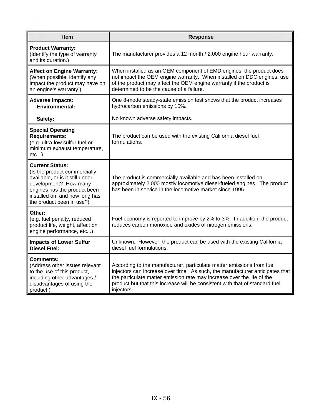| <b>Item</b>                                                                                                                                                                                                       | <b>Response</b>                                                                                                                                                                                                                                                                                                               |
|-------------------------------------------------------------------------------------------------------------------------------------------------------------------------------------------------------------------|-------------------------------------------------------------------------------------------------------------------------------------------------------------------------------------------------------------------------------------------------------------------------------------------------------------------------------|
| <b>Product Warranty:</b><br>(Identify the type of warranty<br>and its duration.)                                                                                                                                  | The manufacturer provides a 12 month / 2,000 engine hour warranty.                                                                                                                                                                                                                                                            |
| <b>Affect on Engine Warranty:</b><br>(When possible, identify any<br>impact the product may have on<br>an engine's warranty.)                                                                                     | When installed as an OEM component of EMD engines, the product does<br>not impact the OEM engine warranty. When installed on DDC engines, use<br>of the product may affect the OEM engine warranty if the product is<br>determined to be the cause of a failure.                                                              |
| <b>Adverse Impacts:</b><br><b>Environmental:</b>                                                                                                                                                                  | One 8-mode steady-state emission test shows that the product increases<br>hydrocarbon emissions by 15%.                                                                                                                                                                                                                       |
| Safety:                                                                                                                                                                                                           | No known adverse safety impacts.                                                                                                                                                                                                                                                                                              |
| <b>Special Operating</b><br><b>Requirements:</b><br>(e.g. ultra-low sulfur fuel or<br>minimum exhaust temperature,<br>etc                                                                                         | The product can be used with the existing California diesel fuel<br>formulations.                                                                                                                                                                                                                                             |
| <b>Current Status:</b><br>(Is the product commercially<br>available, or is it still under<br>development? How many<br>engines has the product been<br>installed on, and how long has<br>the product been in use?) | The product is commercially available and has been installed on<br>approximately 2,000 mostly locomotive diesel-fueled engines. The product<br>has been in service in the locomotive market since 1995.                                                                                                                       |
| Other:<br>(e.g. fuel penalty, reduced<br>product life, weight, affect on<br>engine performance, etc)                                                                                                              | Fuel economy is reported to improve by 2% to 3%. In addition, the product<br>reduces carbon monoxide and oxides of nitrogen emissions.                                                                                                                                                                                        |
| <b>Impacts of Lower Sulfur</b><br><b>Diesel Fuel:</b>                                                                                                                                                             | Unknown. However, the product can be used with the existing California<br>diesel fuel formulations.                                                                                                                                                                                                                           |
| Comments:<br>(Address other issues relevant<br>to the use of this product,<br>including other advantages /<br>disadvantages of using the<br>product.)                                                             | According to the manufacturer, particulate matter emissions from fuel<br>injectors can increase over time. As such, the manufacturer anticipates that<br>the particulate matter emission rate may increase over the life of the<br>product but that this increase will be consistent with that of standard fuel<br>injectors. |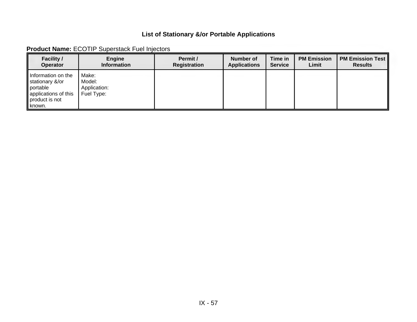|  | <b>Product Name: ECOTIP Superstack Fuel Injectors</b> |
|--|-------------------------------------------------------|
|--|-------------------------------------------------------|

| <b>Facility /</b>                                                                                       | Engine                                        | Permit /            | <b>Number of</b>    | Time in        | <b>PM Emission</b> | <b>PM Emission Test</b> |
|---------------------------------------------------------------------------------------------------------|-----------------------------------------------|---------------------|---------------------|----------------|--------------------|-------------------------|
| <b>Operator</b>                                                                                         | <b>Information</b>                            | <b>Registration</b> | <b>Applications</b> | <b>Service</b> | Limit              | <b>Results</b>          |
| Information on the<br>stationary &/or<br>portable<br>applications of this<br>product is not<br>∥ known. | Make:<br>Model:<br>Application:<br>Fuel Type: |                     |                     |                |                    |                         |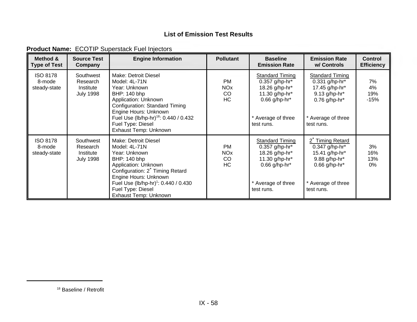| Method &<br><b>Type of Test</b>           | <b>Source Test</b><br>Company                          | <b>Engine Information</b>                                                                                                                                                                                                                                    | <b>Pollutant</b>                               | <b>Baseline</b><br><b>Emission Rate</b>                                                                                               | <b>Emission Rate</b><br>w/ Controls                                                                                                  | <b>Control</b><br><b>Efficiency</b> |
|-------------------------------------------|--------------------------------------------------------|--------------------------------------------------------------------------------------------------------------------------------------------------------------------------------------------------------------------------------------------------------------|------------------------------------------------|---------------------------------------------------------------------------------------------------------------------------------------|--------------------------------------------------------------------------------------------------------------------------------------|-------------------------------------|
| <b>ISO 8178</b><br>8-mode<br>steady-state | Southwest<br>Research<br>Institute<br><b>July 1998</b> | Make: Detroit Diesel<br>Model: 4L-71N<br>Year: Unknown<br>BHP: 140 bhp<br>Application: Unknown<br>Configuration: Standard Timing<br>Engine Hours: Unknown<br>Fuel Use (lb/hp-hr) <sup>18</sup> : 0.440 / 0.432<br>Fuel Type: Diesel<br>Exhaust Temp: Unknown | <b>PM</b><br><b>NO<sub>x</sub></b><br>CO<br>HC | Standard Timing<br>0.357 g/hp-hr*<br>18.26 g/hp-hr*<br>11.30 g/hp-hr*<br>0.66 g/hp-hr*<br>* Average of three<br>test runs.            | <b>Standard Timing</b><br>0.331 g/hp-hr*<br>17.45 g/hp-hr*<br>$9.13$ g/hp-hr*<br>$0.76$ g/hp-hr*<br>* Average of three<br>test runs. | 7%<br>4%<br>19%<br>$-15%$           |
| <b>ISO 8178</b><br>8-mode<br>steady-state | Southwest<br>Research<br>Institute<br><b>July 1998</b> | Make: Detroit Diesel<br>Model: 4L-71N<br>Year: Unknown<br>BHP: 140 bhp<br>Application: Unknown<br>Configuration: 2° Timing Retard<br>Engine Hours: Unknown<br>Fuel Use (lb/hp-hr) <sup>1</sup> : 0.440 / 0.430<br>Fuel Type: Diesel<br>Exhaust Temp: Unknown | PM<br><b>NO<sub>x</sub></b><br>CO<br><b>HC</b> | <b>Standard Timing</b><br>$0.357$ g/hp-hr*<br>18.26 g/hp-hr*<br>11.30 g/hp-hr*<br>$0.66$ g/hp-hr*<br>* Average of three<br>test runs. | 2° Timing Retard<br>$0.347$ g/hp-hr*<br>15.41 g/hp-hr*<br>9.88 g/hp-hr*<br>$0.66$ g/hp-hr*<br>* Average of three<br>test runs.       | 3%<br>16%<br>13%<br>$0\%$           |

#### **Product Name:** ECOTIP Superstack Fuel Injectors

<sup>18</sup> Baseline / Retrofit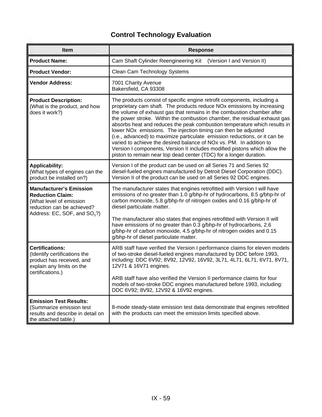| Item                                                                                                                                                 | <b>Response</b>                                                                                                                                                                                                                                                                                                                                                                                                                                                                                                                                                                                                                                                                                                                                                                           |
|------------------------------------------------------------------------------------------------------------------------------------------------------|-------------------------------------------------------------------------------------------------------------------------------------------------------------------------------------------------------------------------------------------------------------------------------------------------------------------------------------------------------------------------------------------------------------------------------------------------------------------------------------------------------------------------------------------------------------------------------------------------------------------------------------------------------------------------------------------------------------------------------------------------------------------------------------------|
| <b>Product Name:</b>                                                                                                                                 | Cam Shaft Cylinder Reengineering Kit<br>(Version I and Version II)                                                                                                                                                                                                                                                                                                                                                                                                                                                                                                                                                                                                                                                                                                                        |
| <b>Product Vendor:</b>                                                                                                                               | Clean Cam Technology Systems                                                                                                                                                                                                                                                                                                                                                                                                                                                                                                                                                                                                                                                                                                                                                              |
| <b>Vendor Address:</b>                                                                                                                               | 7001 Charity Avenue<br>Bakersfield, CA 93308                                                                                                                                                                                                                                                                                                                                                                                                                                                                                                                                                                                                                                                                                                                                              |
| <b>Product Description:</b><br>(What is the product, and how<br>does it work?)                                                                       | The products consist of specific engine retrofit components, including a<br>proprietary cam shaft. The products reduce NOx emissions by increasing<br>the volume of exhaust gas that remains in the combustion chamber after<br>the power stroke. Within the combustion chamber, the residual exhaust gas<br>absorbs heat and reduces the peak combustion temperature which results in<br>lower NO <sub>x</sub> emissions. The injection timing can then be adjusted<br>(i.e., advanced) to maximize particulate emission reductions, or it can be<br>varied to achieve the desired balance of NO <sub>x</sub> vs. PM. In addition to<br>Version I components, Version II includes modified pistons which allow the<br>piston to remain near top dead center (TDC) for a longer duration. |
| <b>Applicability:</b><br>(What types of engines can the<br>product be installed on?)                                                                 | Version I of the product can be used on all Series 71 and Series 92<br>diesel-fueled engines manufactured by Detroit Diesel Corporation (DDC).<br>Version II of the product can be used on all Series 92 DDC engines.                                                                                                                                                                                                                                                                                                                                                                                                                                                                                                                                                                     |
| <b>Manufacturer's Emission</b><br><b>Reduction Claim:</b><br>(What level of emission<br>reduction can be achieved?<br>Address: EC, SOF, and $SO3$ ?) | The manufacturer states that engines retrofitted with Version I will have<br>emissions of no greater than 1.0 g/bhp-hr of hydrocarbons, 8.5 g/bhp-hr of<br>carbon monoxide, 5.8 g/bhp-hr of nitrogen oxides and 0.16 g/bhp-hr of<br>diesel particulate matter.<br>The manufacturer also states that engines retrofitted with Version II will<br>have emissions of no greater than 0.3 g/bhp-hr of hydrocarbons, 2.6<br>g/bhp-hr of carbon monoxide, 4.5 g/bhp-hr of nitrogen oxides and 0.15<br>g/bhp-hr of diesel particulate matter.                                                                                                                                                                                                                                                    |
| <b>Certifications:</b><br>(Identify certifications the<br>product has received, and<br>explain any limits on the<br>certifications.)                 | ARB staff have verified the Version I performance claims for eleven models<br>of two-stroke diesel-fueled engines manufactured by DDC before 1993,<br>including: DDC 6V92; 8V92, 12V92, 16V92, 3L71, 4L71, 6L71, 6V71, 8V71,<br>12V71 & 16V71 engines.<br>ARB staff have also verified the Version II performance claims for four<br>models of two-stroke DDC engines manufactured before 1993, including:<br>DDC 6V92; 8V92, 12V92 & 16V92 engines.                                                                                                                                                                                                                                                                                                                                      |
| <b>Emission Test Results:</b><br>(Summarize emission test<br>results and describe in detail on<br>the attached table.)                               | 8-mode steady-state emission test data demonstrate that engines retrofitted<br>with the products can meet the emission limits specified above.                                                                                                                                                                                                                                                                                                                                                                                                                                                                                                                                                                                                                                            |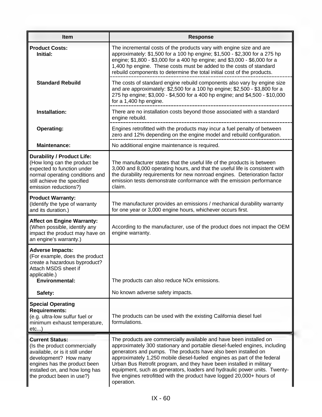| Item                                                                                                                                                                                                              | <b>Response</b>                                                                                                                                                                                                                                                                                                                                                                                                                                                                                                                            |
|-------------------------------------------------------------------------------------------------------------------------------------------------------------------------------------------------------------------|--------------------------------------------------------------------------------------------------------------------------------------------------------------------------------------------------------------------------------------------------------------------------------------------------------------------------------------------------------------------------------------------------------------------------------------------------------------------------------------------------------------------------------------------|
| <b>Product Costs:</b><br>Initial:                                                                                                                                                                                 | The incremental costs of the products vary with engine size and are<br>approximately: \$1,500 for a 100 hp engine; \$1,500 - \$2,300 for a 275 hp<br>engine; \$1,800 - \$3,000 for a 400 hp engine; and \$3,000 - \$6,000 for a<br>1,400 hp engine. These costs must be added to the costs of standard<br>rebuild components to determine the total initial cost of the products.                                                                                                                                                          |
| <b>Standard Rebuild</b>                                                                                                                                                                                           | The costs of standard engine rebuild components also vary by engine size<br>and are approximately: \$2,500 for a 100 hp engine; \$2,500 - \$3,800 for a<br>275 hp engine; \$3,000 - \$4,500 for a 400 hp engine; and \$4,500 - \$10,000<br>for a 1,400 hp engine.                                                                                                                                                                                                                                                                          |
| Installation:                                                                                                                                                                                                     | There are no installation costs beyond those associated with a standard<br>engine rebuild.                                                                                                                                                                                                                                                                                                                                                                                                                                                 |
| <b>Operating:</b>                                                                                                                                                                                                 | Engines retrofitted with the products may incur a fuel penalty of between<br>zero and 12% depending on the engine model and rebuild configuration.                                                                                                                                                                                                                                                                                                                                                                                         |
| <b>Maintenance:</b>                                                                                                                                                                                               | No additional engine maintenance is required.                                                                                                                                                                                                                                                                                                                                                                                                                                                                                              |
| <b>Durability / Product Life:</b><br>(How long can the product be<br>expected to function under<br>normal operating conditions and<br>still achieve the specified<br>emission reductions?)                        | The manufacturer states that the useful life of the products is between<br>3,000 and 8,000 operating hours, and that the useful life is consistent with<br>the durability requirements for new nonroad engines. Deterioration factor<br>emission tests demonstrate conformance with the emission performance<br>claim.                                                                                                                                                                                                                     |
| <b>Product Warranty:</b><br>(Identify the type of warranty<br>and its duration.)                                                                                                                                  | The manufacturer provides an emissions / mechanical durability warranty<br>for one year or 3,000 engine hours, whichever occurs first.                                                                                                                                                                                                                                                                                                                                                                                                     |
| <b>Affect on Engine Warranty:</b><br>(When possible, identify any<br>impact the product may have on<br>an engine's warranty.)                                                                                     | According to the manufacturer, use of the product does not impact the OEM<br>engine warranty.                                                                                                                                                                                                                                                                                                                                                                                                                                              |
| <b>Adverse Impacts:</b><br>(For example, does the product<br>create a hazardous byproduct?<br>Attach MSDS sheet if<br>applicable.)<br><b>Environmental:</b>                                                       | The products can also reduce NOx emissions.                                                                                                                                                                                                                                                                                                                                                                                                                                                                                                |
|                                                                                                                                                                                                                   |                                                                                                                                                                                                                                                                                                                                                                                                                                                                                                                                            |
| Safety:<br><b>Special Operating</b><br><b>Requirements:</b><br>(e.g. ultra-low sulfur fuel or<br>minimum exhaust temperature,<br>etc)                                                                             | No known adverse safety impacts.<br>The products can be used with the existing California diesel fuel<br>formulations.                                                                                                                                                                                                                                                                                                                                                                                                                     |
| <b>Current Status:</b><br>(Is the product commercially<br>available, or is it still under<br>development? How many<br>engines has the product been<br>installed on, and how long has<br>the product been in use?) | The products are commercially available and have been installed on<br>approximately 300 stationary and portable diesel-fueled engines, including<br>generators and pumps. The products have also been installed on<br>approximately 1,250 mobile diesel-fueled engines as part of the federal<br>Urban Bus Retrofit program, and they have been installed in military<br>equipment, such as generators, loaders and hydraulic power units. Twenty-<br>five engines retrofitted with the product have logged 20,000+ hours of<br>operation. |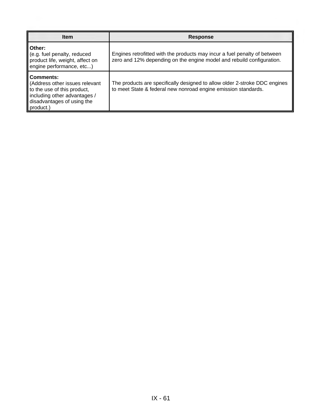| <b>Item</b>                                                                                                                                                  | <b>Response</b>                                                                                                                                    |
|--------------------------------------------------------------------------------------------------------------------------------------------------------------|----------------------------------------------------------------------------------------------------------------------------------------------------|
| Other:<br>(e.g. fuel penalty, reduced<br>product life, weight, affect on<br>engine performance, etc)                                                         | Engines retrofitted with the products may incur a fuel penalty of between<br>zero and 12% depending on the engine model and rebuild configuration. |
| <b>Comments:</b><br>(Address other issues relevant<br>to the use of this product,<br>including other advantages /<br>disadvantages of using the<br>product.) | The products are specifically designed to allow older 2-stroke DDC engines<br>to meet State & federal new nonroad engine emission standards.       |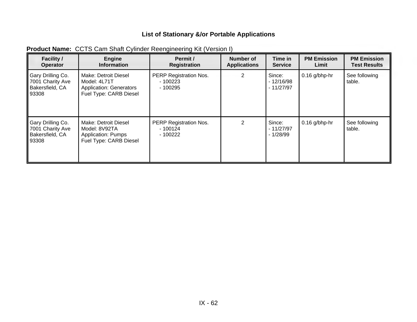| <b>Facility /</b><br><b>Operator</b>                              | Engine<br><b>Information</b>                                                                     | Permit /<br><b>Registration</b>                       | Number of<br><b>Applications</b> | Time in<br><b>Service</b>            | <b>PM Emission</b><br>Limit | <b>PM Emission</b><br><b>Test Results</b> |
|-------------------------------------------------------------------|--------------------------------------------------------------------------------------------------|-------------------------------------------------------|----------------------------------|--------------------------------------|-----------------------------|-------------------------------------------|
| Gary Drilling Co.<br>7001 Charity Ave<br>Bakersfield, CA<br>93308 | Make: Detroit Diesel<br>Model: 4L71T<br><b>Application: Generators</b><br>Fuel Type: CARB Diesel | PERP Registration Nos.<br>- 100223<br>$-100295$       | 2                                | Since:<br>$-12/16/98$<br>$-11/27/97$ | $0.16$ g/bhp-hr             | See following<br>table.                   |
| Gary Drilling Co.<br>7001 Charity Ave<br>Bakersfield, CA<br>93308 | Make: Detroit Diesel<br>Model: 8V92TA<br><b>Application: Pumps</b><br>Fuel Type: CARB Diesel     | <b>PERP Registration Nos.</b><br>- 100124<br>- 100222 | $\overline{2}$                   | Since:<br>- 11/27/97<br>$-1/28/99$   | $0.16$ g/bhp-hr             | See following<br>table.                   |

### **Product Name:** CCTS Cam Shaft Cylinder Reengineering Kit (Version I)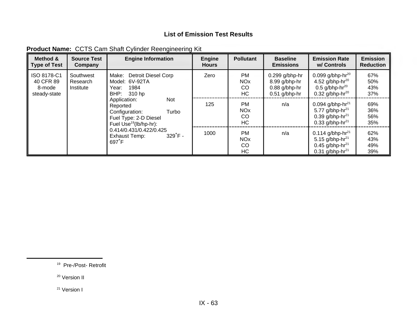| Method &<br><b>Type of Test</b>                    | <b>Source Test</b><br>Company      | <b>Engine Information</b>                                                                                                 | <b>Engine</b><br><b>Hours</b> | <b>Pollutant</b>                               | <b>Baseline</b><br><b>Emissions</b>                                     | <b>Emission Rate</b><br>w/ Controls                                                                                       | <b>Emission</b><br><b>Reduction</b> |
|----------------------------------------------------|------------------------------------|---------------------------------------------------------------------------------------------------------------------------|-------------------------------|------------------------------------------------|-------------------------------------------------------------------------|---------------------------------------------------------------------------------------------------------------------------|-------------------------------------|
| ISO 8178-C1<br>40 CFR 89<br>8-mode<br>steady-state | Southwest<br>Research<br>Institute | Detroit Diesel Corp<br>Make:<br>Model: 6V-92TA<br>1984<br>Year:<br>BHP:<br>310 hp                                         | Zero                          | PM<br><b>NO<sub>x</sub></b><br>CO<br>HC        | $0.299$ g/bhp-hr<br>8.99 g/bhp-hr<br>$0.88$ g/bhp-hr<br>$0.51$ g/bhp-hr | 0.099 g/bhp-hr $^{20}$<br>4.52 g/bhp-hr $^{20}$<br>$0.5$ g/bhp-hr <sup>20</sup><br>$0.32$ g/bhp-hr <sup>20</sup>          | 67%<br>50%<br>43%<br>37%            |
|                                                    |                                    | Application:<br>Not<br>Reported<br>Turbo<br>Configuration:<br>Fuel Type: 2-D Diesel<br>Fuel Use <sup>19</sup> (lb/hp-hr): | 125                           | <b>PM</b><br><b>NO<sub>x</sub></b><br>CO<br>HC | n/a                                                                     | 0.094 g/bhp-hr <sup>21</sup><br>5.77 g/bhp-hr <sup>21</sup><br>0.39 g/bhp-hr <sup>21</sup><br>0.33 g/bhp-hr <sup>21</sup> | 69%<br>36%<br>56%<br>35%            |
|                                                    |                                    | 0.414/0.431/0.422/0.425<br>$329^{\circ}$ F -<br>Exhaust Temp:<br>$697^{\circ}$ F                                          | 1000                          | <b>PM</b><br><b>NO<sub>x</sub></b><br>CO<br>HC | n/a                                                                     | 0.114 g/bhp-hr <sup>21</sup><br>5.15 g/bhp-hr <sup>21</sup><br>0.45 g/bhp-hr <sup>21</sup><br>0.31 g/bhp-hr <sup>21</sup> | 62%<br>43%<br>49%<br>39%            |

| <b>Product Name: CCTS Cam Shaft Cylinder Reengineering Kit</b> |  |  |  |  |
|----------------------------------------------------------------|--|--|--|--|
|----------------------------------------------------------------|--|--|--|--|

19 Pre-/Post- Retrofit

<sup>20</sup> Version II

<sup>21</sup> Version I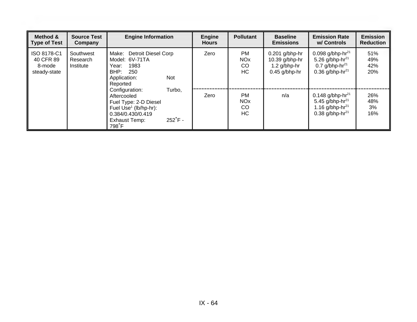| Method &<br><b>Type of Test</b>                    | <b>Source Test</b><br>Company      | <b>Engine Information</b>                                                                                                                                                 | <b>Engine</b><br><b>Hours</b> | <b>Pollutant</b>                         | <b>Baseline</b><br><b>Emissions</b>                                     | <b>Emission Rate</b><br>w/ Controls                                                                                         | <b>Emission</b><br><b>Reduction</b> |
|----------------------------------------------------|------------------------------------|---------------------------------------------------------------------------------------------------------------------------------------------------------------------------|-------------------------------|------------------------------------------|-------------------------------------------------------------------------|-----------------------------------------------------------------------------------------------------------------------------|-------------------------------------|
| ISO 8178-C1<br>40 CFR 89<br>8-mode<br>steady-state | Southwest<br>Research<br>Institute | Detroit Diesel Corp<br>Make:<br>Model: 6V-71TA<br>1983<br>Year:<br>BHP:<br>250<br>Application:<br>Not<br>Reported                                                         | Zero                          | PM<br><b>NO<sub>x</sub></b><br>CO<br>HC  | $0.201$ g/bhp-hr<br>10.39 g/bhp-hr<br>$1.2$ g/bhp-hr<br>$0.45$ g/bhp-hr | 0.098 g/bhp-hr <sup>21</sup><br>5.26 g/bhp-hr <sup>21</sup><br>0.7 $g/b$ hp-hr <sup>21</sup><br>0.36 g/bhp-hr <sup>21</sup> | 51%<br>49%<br>42%<br>20%            |
|                                                    |                                    | Turbo,<br>Configuration:<br>Aftercooled<br>Fuel Type: 2-D Diesel<br>Fuel Use <sup>1</sup> (lb/hp-hr):<br>0.384/0.430/0.419<br>$252^{\circ}$ F -<br>Exhaust Temp:<br>798°F | Zero                          | PM.<br><b>NO<sub>x</sub></b><br>CO<br>HC | n/a                                                                     | 0.148 g/bhp-hr <sup>21</sup><br>5.45 g/bhp-hr <sup>21</sup><br>1.16 g/bhp-hr <sup>21</sup><br>0.38 g/bhp-hr $^{21}$         | 26%<br>48%<br>3%<br>16%             |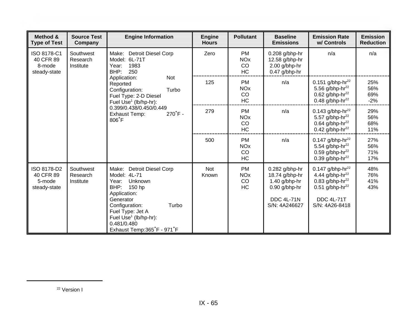| Method &<br><b>Type of Test</b>                    | <b>Source Test</b><br>Company                                                                                                   | <b>Engine Information</b>                                                                                                                                                                                                                                | <b>Engine</b><br><b>Hours</b>                  | <b>Pollutant</b>                                                 | <b>Baseline</b><br><b>Emissions</b>                                                                                 | <b>Emission Rate</b><br>w/ Controls                                                                                                                        | <b>Emission</b><br><b>Reduction</b> |
|----------------------------------------------------|---------------------------------------------------------------------------------------------------------------------------------|----------------------------------------------------------------------------------------------------------------------------------------------------------------------------------------------------------------------------------------------------------|------------------------------------------------|------------------------------------------------------------------|---------------------------------------------------------------------------------------------------------------------|------------------------------------------------------------------------------------------------------------------------------------------------------------|-------------------------------------|
| ISO 8178-C1<br>40 CFR 89<br>8-mode<br>steady-state | Southwest<br>Research<br>Institute                                                                                              | Make:<br><b>Detroit Diesel Corp</b><br>Model: 6L-71T<br>1983<br>Year:<br>BHP:<br>250                                                                                                                                                                     | Zero                                           | <b>PM</b><br><b>NO<sub>x</sub></b><br>CO<br><b>HC</b>            | $0.208$ g/bhp-hr<br>12.58 g/bhp-hr<br>2.00 g/bhp-hr<br>0.47 g/bhp-hr                                                | n/a                                                                                                                                                        | n/a                                 |
|                                                    | <b>Not</b><br>Application:<br>Reported<br>Turbo<br>Configuration:<br>Fuel Type: 2-D Diesel<br>Fuel Use <sup>1</sup> (lb/hp-hr): | 125                                                                                                                                                                                                                                                      | <b>PM</b><br><b>NO<sub>x</sub></b><br>CO<br>HC | n/a                                                              | 0.151 g/bhp-hr <sup>22</sup><br>5.56 g/bhp-hr <sup>22</sup><br>0.62 g/bhp-hr $^{22}$<br>0.48 g/bhp-hr <sup>22</sup> | 25%<br>56%<br>69%<br>$-2%$                                                                                                                                 |                                     |
|                                                    |                                                                                                                                 | 0.399/0.438/0.450/0.449<br>$270^{\circ}$ F -<br><b>Exhaust Temp:</b><br>806 <sup>°</sup> F                                                                                                                                                               | 279                                            | <b>PM</b><br><b>NO<sub>x</sub></b><br><sub>CO</sub><br><b>HC</b> | n/a                                                                                                                 | 0.143 g/bhp-hr <sup>22</sup><br>5.57 g/bhp-hr <sup>22</sup><br>0.64 g/bhp-hr <sup>22</sup><br>0.42 g/bhp-hr $^{22}$                                        | 29%<br>56%<br>68%<br>11%            |
|                                                    |                                                                                                                                 |                                                                                                                                                                                                                                                          | 500                                            | <b>PM</b><br><b>NO<sub>x</sub></b><br>CO<br><b>HC</b>            | n/a                                                                                                                 | 0.147 g/bhp-hr <sup>22</sup><br>5.54 g/bhp-hr <sup>22</sup><br>$0.59$ g/bhp-hr <sup>22</sup><br>$0.39$ g/bhp-hr <sup>22</sup>                              | 27%<br>56%<br>71%<br>17%            |
| ISO 8178-D2<br>40 CFR 89<br>5-mode<br>steady-state | Southwest<br>Research<br>Institute                                                                                              | Make:<br><b>Detroit Diesel Corp</b><br>Model: 4L-71<br>Unknown<br>Year:<br>BHP:<br>150 hp<br>Application:<br>Generator<br>Turbo<br>Configuration:<br>Fuel Type: Jet A<br>Fuel Use <sup>1</sup> (lb/hp-hr):<br>0.481/0.480<br>Exhaust Temp: 365°F - 971°F | <b>Not</b><br>Known                            | <b>PM</b><br><b>NO<sub>x</sub></b><br>CO<br>HC                   | $0.282$ g/bhp-hr<br>18.74 g/bhp-hr<br>$1.40$ g/bhp-hr<br>0.90 g/bhp-hr<br><b>DDC 4L-71N</b><br>S/N: 4A246627        | 0.147 g/bhp-hr <sup>22</sup><br>4.44 g/bhp-hr <sup>22</sup><br>0.83 g/bhp-hr $^{22}$<br>0.51 g/bhp-hr <sup>22</sup><br><b>DDC 4L-71T</b><br>S/N: 4A26-8418 | 48%<br>76%<br>41%<br>43%            |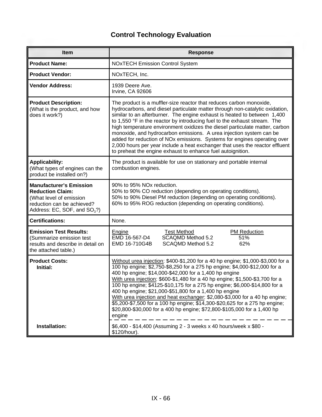| Item                                                                                                                                                 | <b>Response</b>                                                                                                                                                                                                                                                                                                                                                                                                                                                                                                                                                                                                                                                                                     |  |  |
|------------------------------------------------------------------------------------------------------------------------------------------------------|-----------------------------------------------------------------------------------------------------------------------------------------------------------------------------------------------------------------------------------------------------------------------------------------------------------------------------------------------------------------------------------------------------------------------------------------------------------------------------------------------------------------------------------------------------------------------------------------------------------------------------------------------------------------------------------------------------|--|--|
| <b>Product Name:</b>                                                                                                                                 | <b>NOxTECH Emission Control System</b>                                                                                                                                                                                                                                                                                                                                                                                                                                                                                                                                                                                                                                                              |  |  |
| <b>Product Vendor:</b>                                                                                                                               | NOxTECH, Inc.                                                                                                                                                                                                                                                                                                                                                                                                                                                                                                                                                                                                                                                                                       |  |  |
| <b>Vendor Address:</b>                                                                                                                               | 1939 Deere Ave.<br>Irvine, CA 92606                                                                                                                                                                                                                                                                                                                                                                                                                                                                                                                                                                                                                                                                 |  |  |
| <b>Product Description:</b><br>(What is the product, and how<br>does it work?)                                                                       | The product is a muffler-size reactor that reduces carbon monoxide,<br>hydrocarbons, and diesel particulate matter through non-catalytic oxidation,<br>similar to an afterburner. The engine exhaust is heated to between 1,400<br>to 1,550 °F in the reactor by introducing fuel to the exhaust stream. The<br>high temperature environment oxidizes the diesel particulate matter, carbon<br>monoxide, and hydrocarbon emissions. A urea injection system can be<br>added for reduction of NOx emissions. Systems for engines operating over<br>2,000 hours per year include a heat exchanger that uses the reactor effluent<br>to preheat the engine exhaust to enhance fuel autoignition.       |  |  |
| <b>Applicability:</b><br>(What types of engines can the<br>product be installed on?)                                                                 | The product is available for use on stationary and portable internal<br>combustion engines.                                                                                                                                                                                                                                                                                                                                                                                                                                                                                                                                                                                                         |  |  |
| <b>Manufacturer's Emission</b><br><b>Reduction Claim:</b><br>(What level of emission<br>reduction can be achieved?<br>Address: EC, SOF, and $SO3$ ?) | 90% to 95% NOx reduction.<br>50% to 90% CO reduction (depending on operating conditions).<br>50% to 90% Diesel PM reduction (depending on operating conditions).<br>60% to 95% ROG reduction (depending on operating conditions).                                                                                                                                                                                                                                                                                                                                                                                                                                                                   |  |  |
| <b>Certifications:</b>                                                                                                                               | None.                                                                                                                                                                                                                                                                                                                                                                                                                                                                                                                                                                                                                                                                                               |  |  |
| <b>Emission Test Results:</b><br>(Summarize emission test<br>results and describe in detail on<br>the attached table.)                               | <b>Test Method</b><br><b>PM Reduction</b><br>Engine<br>EMD 16-567-D4<br>SCAQMD Method 5.2<br>51%<br>EMD 16-710G4B<br>SCAQMD Method 5.2<br>62%                                                                                                                                                                                                                                                                                                                                                                                                                                                                                                                                                       |  |  |
| <b>Product Costs:</b><br>Initial:                                                                                                                    | Without urea injection: \$400-\$1,200 for a 40 hp engine; \$1,000-\$3,000 for a<br>100 hp engine; \$2,750-\$8,250 for a 275 hp engine; \$4,000-\$12,000 for a<br>400 hp engine; \$14,000-\$42,000 for a 1,400 hp engine<br>With urea injection: \$600-\$1,480 for a 40 hp engine; \$1,500-\$3,700 for a<br>100 hp engine; \$4125-\$10,175 for a 275 hp engine; \$6,000-\$14,800 for a<br>400 hp engine; \$21,000-\$51,800 for a 1,400 hp engine<br>With urea injection and heat exchanger: \$2,080-\$3,000 for a 40 hp engine;<br>\$5,200-\$7,500 for a 100 hp engine; \$14,300-\$20,625 for a 275 hp engine;<br>\$20,800-\$30,000 for a 400 hp engine; \$72,800-\$105,000 for a 1,400 hp<br>engine |  |  |
| Installation:                                                                                                                                        | \$6,400 - \$14,400 (Assuming 2 - 3 weeks x 40 hours/week x \$80 -<br>\$120/hour).                                                                                                                                                                                                                                                                                                                                                                                                                                                                                                                                                                                                                   |  |  |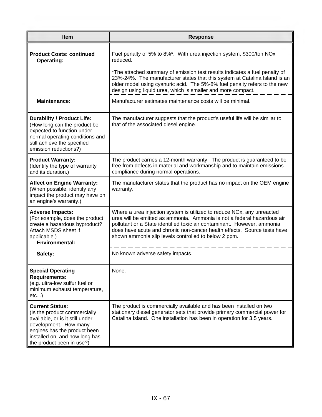| <b>Item</b>                                                                                                                                                                                                       | <b>Response</b>                                                                                                                                                                                                                                                                                                                                                  |
|-------------------------------------------------------------------------------------------------------------------------------------------------------------------------------------------------------------------|------------------------------------------------------------------------------------------------------------------------------------------------------------------------------------------------------------------------------------------------------------------------------------------------------------------------------------------------------------------|
| <b>Product Costs: continued</b><br><b>Operating:</b>                                                                                                                                                              | Fuel penalty of 5% to 8%*. With urea injection system, \$300/ton NOx<br>reduced.                                                                                                                                                                                                                                                                                 |
|                                                                                                                                                                                                                   | *The attached summary of emission test results indicates a fuel penalty of<br>23%-24%. The manufacturer states that this system at Catalina Island is an<br>older model using cyanuric acid. The 5%-8% fuel penalty refers to the new<br>design using liquid urea, which is smaller and more compact.                                                            |
| <b>Maintenance:</b>                                                                                                                                                                                               | Manufacturer estimates maintenance costs will be minimal.                                                                                                                                                                                                                                                                                                        |
| <b>Durability / Product Life:</b><br>(How long can the product be<br>expected to function under<br>normal operating conditions and<br>still achieve the specified<br>emission reductions?)                        | The manufacturer suggests that the product's useful life will be similar to<br>that of the associated diesel engine.                                                                                                                                                                                                                                             |
| <b>Product Warranty:</b><br>(Identify the type of warranty<br>and its duration.)                                                                                                                                  | The product carries a 12-month warranty. The product is guaranteed to be<br>free from defects in material and workmanship and to maintain emissions<br>compliance during normal operations.                                                                                                                                                                      |
| <b>Affect on Engine Warranty:</b><br>(When possible, identify any<br>impact the product may have on<br>an engine's warranty.)                                                                                     | The manufacturer states that the product has no impact on the OEM engine<br>warranty.                                                                                                                                                                                                                                                                            |
| <b>Adverse Impacts:</b><br>(For example, does the product<br>create a hazardous byproduct?<br>Attach MSDS sheet if<br>applicable.)<br><b>Environmental:</b>                                                       | Where a urea injection system is utilized to reduce NOx, any unreacted<br>urea will be emitted as ammonia. Ammonia is not a federal hazardous air<br>pollutant or a State identified toxic air contaminant. However, ammonia<br>does have acute and chronic non-cancer health effects. Source tests have<br>shown ammonia slip levels controlled to below 2 ppm. |
| Safety:                                                                                                                                                                                                           | No known adverse safety impacts.                                                                                                                                                                                                                                                                                                                                 |
| <b>Special Operating</b><br><b>Requirements:</b><br>(e.g. ultra-low sulfur fuel or<br>minimum exhaust temperature,<br>etc                                                                                         | None.                                                                                                                                                                                                                                                                                                                                                            |
| <b>Current Status:</b><br>(Is the product commercially<br>available, or is it still under<br>development. How many<br>engines has the product been<br>installed on, and how long has<br>the product been in use?) | The product is commercially available and has been installed on two<br>stationary diesel generator sets that provide primary commercial power for<br>Catalina Island. One installation has been in operation for 3.5 years.                                                                                                                                      |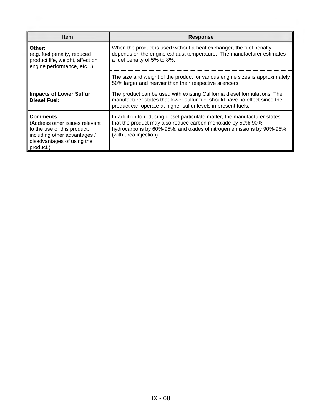| <b>Item</b>                                                                                                                                           | <b>Response</b>                                                                                                                                                                                                                              |
|-------------------------------------------------------------------------------------------------------------------------------------------------------|----------------------------------------------------------------------------------------------------------------------------------------------------------------------------------------------------------------------------------------------|
| Other:<br>(e.g. fuel penalty, reduced<br>product life, weight, affect on<br>engine performance, etc)                                                  | When the product is used without a heat exchanger, the fuel penalty<br>depends on the engine exhaust temperature. The manufacturer estimates<br>a fuel penalty of 5% to 8%.                                                                  |
|                                                                                                                                                       | The size and weight of the product for various engine sizes is approximately<br>50% larger and heavier than their respective silencers.                                                                                                      |
| <b>Impacts of Lower Sulfur</b><br><b>Diesel Fuel:</b>                                                                                                 | The product can be used with existing California diesel formulations. The<br>manufacturer states that lower sulfur fuel should have no effect since the<br>product can operate at higher sulfur levels in present fuels.                     |
| Comments:<br>(Address other issues relevant<br>to the use of this product,<br>including other advantages /<br>disadvantages of using the<br>product.) | In addition to reducing diesel particulate matter, the manufacturer states<br>that the product may also reduce carbon monoxide by 50%-90%,<br>hydrocarbons by 60%-95%, and oxides of nitrogen emissions by 90%-95%<br>(with urea injection). |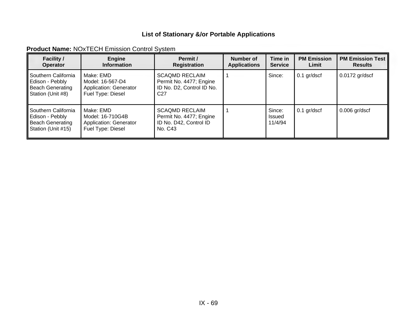|  | <b>Product Name: NOxTECH Emission Control System</b> |  |
|--|------------------------------------------------------|--|
|--|------------------------------------------------------|--|

| <b>Facility /</b><br><b>Operator</b>                                               | <b>Engine</b><br><b>Information</b>                                          | Permit /<br>Registration                                                                         | Number of<br><b>Applications</b> | Time in<br><b>Service</b>   | <b>PM Emission</b><br>Limit | <b>PM Emission Test</b><br><b>Results</b> |
|------------------------------------------------------------------------------------|------------------------------------------------------------------------------|--------------------------------------------------------------------------------------------------|----------------------------------|-----------------------------|-----------------------------|-------------------------------------------|
| Southern California<br>Edison - Pebbly<br>Beach Generating<br>Station (Unit #8)    | Make: EMD<br>Model: 16-567-D4<br>Application: Generator<br>Fuel Type: Diesel | <b>SCAQMD RECLAIM</b><br>Permit No. 4477; Engine<br>ID No. D2, Control ID No.<br>C <sub>27</sub> |                                  | Since:                      | $0.1$ gr/dscf               | $0.0172$ gr/dscf                          |
| l Southern California<br>Edison - Pebbly<br>Beach Generating<br>Station (Unit #15) | Make: EMD<br>Model: 16-710G4B<br>Application: Generator<br>Fuel Type: Diesel | <b>SCAQMD RECLAIM</b><br>Permit No. 4477; Engine<br>ID No. D42, Control ID<br>No. C43            |                                  | Since:<br>Issued<br>11/4/94 | $0.1$ gr/dscf               | $0.006$ gr/dscf                           |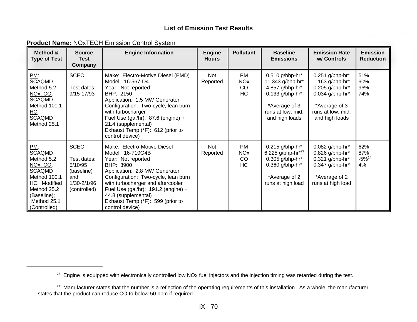| <b>Product Name: NOxTECH Emission Control System</b> |  |  |  |  |
|------------------------------------------------------|--|--|--|--|
|------------------------------------------------------|--|--|--|--|

| Method &<br><b>Type of Test</b>                                                                                                                                  | <b>Source</b><br><b>Test</b><br>Company                                                   | <b>Engine Information</b>                                                                                                                                                                                                                                                                                            | <b>Engine</b><br><b>Hours</b> | <b>Pollutant</b>                                      | <b>Baseline</b><br><b>Emissions</b>                                                                                                 | <b>Emission Rate</b><br>w/ Controls                                                                                                  | <b>Emission</b><br><b>Reduction</b> |
|------------------------------------------------------------------------------------------------------------------------------------------------------------------|-------------------------------------------------------------------------------------------|----------------------------------------------------------------------------------------------------------------------------------------------------------------------------------------------------------------------------------------------------------------------------------------------------------------------|-------------------------------|-------------------------------------------------------|-------------------------------------------------------------------------------------------------------------------------------------|--------------------------------------------------------------------------------------------------------------------------------------|-------------------------------------|
| PM:<br><b>SCAQMD</b><br>Method 5.2<br>NOx, CO:<br><b>SCAQMD</b><br>Method 100.1<br><u> HC:</u><br>∥SCAQMD<br>Method 25.1                                         | <b>SCEC</b><br>Test dates:<br>9/15-17/93                                                  | Make: Electro-Motive Diesel (EMD)<br>Model: 16-567-D4<br>Year: Not reported<br>BHP: 2150<br>Application: 1.5 MW Generator<br>Configuration: Two-cycle, lean burn<br>with turbocharger<br>Fuel Use (gal/hr): $87.6$ (engine) +<br>21.4 (supplemental)<br>Exhaust Temp (°F): 612 (prior to<br>control device)          | Not<br>Reported               | <b>PM</b><br><b>NO<sub>x</sub></b><br>CO<br><b>HC</b> | 0.510 g/bhp-hr*<br>11.343 g/bhp-hr*<br>4.857 g/bhp-hr*<br>$0.133$ g/bhp-hr*<br>*Average of 3<br>runs at low, mid,<br>and high loads | $0.251$ g/bhp-hr*<br>1.163 g/bhp-hr*<br>0.205 g/bhp-hr*<br>$0.034$ g/bhp-hr*<br>*Average of 3<br>runs at low, mid,<br>and high loads | 51%<br>90%<br>96%<br>74%            |
| $\mathsf{PML}$<br><b>SCAQMD</b><br>Method 5.2<br>NOx, CO:<br>∥SCAQMD<br>Method 100.1<br>HC: Modified<br>Method 25.2<br>(Baseline);<br>Method 25.1<br>Controlled) | <b>SCEC</b><br>Test dates:<br>5/10/95<br>(baseline)<br>and<br>1/30-2/1/96<br>(controlled) | Make: Electro-Motive Diesel<br>Model: 16-710G4B<br>Year: Not reported<br>BHP: 3900<br>Application: 2.8 MW Generator<br>Configuration: Two-cycle, lean burn<br>with turbocharger and aftercooler<br>Fuel Use (gal/hr): 191.2 (engine) +<br>44.8 (supplemental)<br>Exhaust Temp (°F): 599 (prior to<br>control device) | Not<br>Reported               | <b>PM</b><br><b>NO<sub>x</sub></b><br>CO<br><b>HC</b> | $0.215$ g/bhp-hr*<br>6.225 g/bhp-hr*23<br>0.305 g/bhp-hr*<br>$0.360$ g/bhp-hr*<br>*Average of 2<br>runs at high load                | 0.082 g/bhp-hr*<br>0.826 g/bhp-hr*<br>$0.321$ g/bhp-hr*<br>$0.347$ g/bhp-hr*<br>*Average of 2<br>runs at high load                   | 62%<br>87%<br>$-5\%^{24}$<br>4%     |

<sup>&</sup>lt;sup>23</sup> Engine is equipped with electronically controlled low NOx fuel injectors and the injection timing was retarded during the test.

<sup>&</sup>lt;sup>24</sup> Manufacturer states that the number is a reflection of the operating requirements of this installation. As a whole, the manufacturer states that the product can reduce CO to below 50 ppm if required.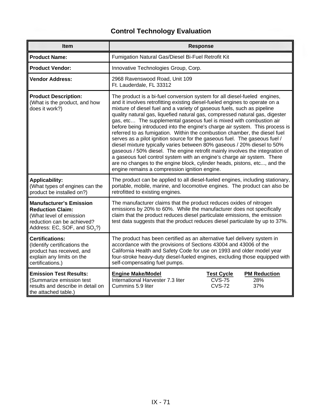| <b>Item</b>                                                                                                                                                    | <b>Response</b>                                                                                                                                                                                                                                                                                                                                                                                                                                                                                                                                                                                                                                                                                                                                                                                                                                                                                                                                                                                           |  |  |
|----------------------------------------------------------------------------------------------------------------------------------------------------------------|-----------------------------------------------------------------------------------------------------------------------------------------------------------------------------------------------------------------------------------------------------------------------------------------------------------------------------------------------------------------------------------------------------------------------------------------------------------------------------------------------------------------------------------------------------------------------------------------------------------------------------------------------------------------------------------------------------------------------------------------------------------------------------------------------------------------------------------------------------------------------------------------------------------------------------------------------------------------------------------------------------------|--|--|
| <b>Product Name:</b>                                                                                                                                           | Fumigation Natural Gas/Diesel Bi-Fuel Retrofit Kit                                                                                                                                                                                                                                                                                                                                                                                                                                                                                                                                                                                                                                                                                                                                                                                                                                                                                                                                                        |  |  |
| <b>Product Vendor:</b>                                                                                                                                         | Innovative Technologies Group, Corp.                                                                                                                                                                                                                                                                                                                                                                                                                                                                                                                                                                                                                                                                                                                                                                                                                                                                                                                                                                      |  |  |
| <b>Vendor Address:</b>                                                                                                                                         | 2968 Ravenswood Road, Unit 109<br>Ft. Lauderdale, FL 33312                                                                                                                                                                                                                                                                                                                                                                                                                                                                                                                                                                                                                                                                                                                                                                                                                                                                                                                                                |  |  |
| <b>Product Description:</b><br>(What is the product, and how<br>does it work?)                                                                                 | The product is a bi-fuel conversion system for all diesel-fueled engines,<br>and it involves retrofitting existing diesel-fueled engines to operate on a<br>mixture of diesel fuel and a variety of gaseous fuels, such as pipeline<br>quality natural gas, liquefied natural gas, compressed natural gas, digester<br>gas, etc The supplemental gaseous fuel is mixed with combustion air<br>before being introduced into the engine's charge air system. This process is<br>referred to as fumigation. Within the combustion chamber, the diesel fuel<br>serves as a pilot ignition source for the gaseous fuel. The gaseous fuel /<br>diesel mixture typically varies between 80% gaseous / 20% diesel to 50%<br>gaseous / 50% diesel. The engine retrofit mainly involves the integration of<br>a gaseous fuel control system with an engine's charge air system. There<br>are no changes to the engine block, cylinder heads, pistons, etc, and the<br>engine remains a compression ignition engine. |  |  |
| <b>Applicability:</b><br>(What types of engines can the<br>product be installed on?)                                                                           | The product can be applied to all diesel-fueled engines, including stationary,<br>portable, mobile, marine, and locomotive engines. The product can also be<br>retrofitted to existing engines.                                                                                                                                                                                                                                                                                                                                                                                                                                                                                                                                                                                                                                                                                                                                                                                                           |  |  |
| <b>Manufacturer's Emission</b><br><b>Reduction Claim:</b><br>(What level of emission<br>reduction can be achieved?<br>Address: EC, SOF, and SO <sub>3</sub> ?) | The manufacturer claims that the product reduces oxides of nitrogen<br>emissions by 20% to 60%. While the manufacturer does not specifically<br>claim that the product reduces diesel particulate emissions, the emission<br>test data suggests that the product reduces diesel particulate by up to 37%.                                                                                                                                                                                                                                                                                                                                                                                                                                                                                                                                                                                                                                                                                                 |  |  |
| <b>Certifications:</b><br>(Identify certifications the<br>product has received, and<br>explain any limits on the<br>certifications.)                           | The product has been certified as an alternative fuel delivery system in<br>accordance with the provisions of Sections 43004 and 43006 of the<br>California Health and Safety Code for use on 1993 and older model year<br>four-stroke heavy-duty diesel-fueled engines, excluding those equipped with<br>self-compensating fuel pumps.                                                                                                                                                                                                                                                                                                                                                                                                                                                                                                                                                                                                                                                                   |  |  |
| <b>Emission Test Results:</b><br>(Summarize emission test<br>results and describe in detail on<br>the attached table.)                                         | <b>Engine Make/Model</b><br><b>PM Reduction</b><br><b>Test Cycle</b><br>International Harvester 7.3 liter<br><b>CVS-75</b><br>28%<br><b>CVS-72</b><br>37%<br>Cummins 5.9 liter                                                                                                                                                                                                                                                                                                                                                                                                                                                                                                                                                                                                                                                                                                                                                                                                                            |  |  |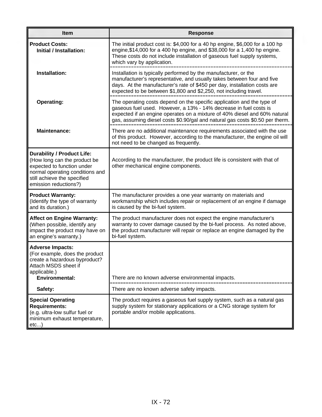| <b>Item</b>                                                                                                                                                                                | <b>Response</b>                                                                                                                                                                                                                                                                                           |
|--------------------------------------------------------------------------------------------------------------------------------------------------------------------------------------------|-----------------------------------------------------------------------------------------------------------------------------------------------------------------------------------------------------------------------------------------------------------------------------------------------------------|
| <b>Product Costs:</b><br>Initial / Installation:                                                                                                                                           | The initial product cost is: \$4,000 for a 40 hp engine, \$6,000 for a 100 hp<br>engine, \$14,000 for a 400 hp engine, and \$38,000 for a 1,400 hp engine.<br>These costs do not include installation of gaseous fuel supply systems,<br>which vary by application.                                       |
| Installation:                                                                                                                                                                              | Installation is typically performed by the manufacturer, or the<br>manufacturer's representative, and usually takes between four and five<br>days. At the manufacturer's rate of \$450 per day, installation costs are<br>expected to be between \$1,800 and \$2,250, not including travel.               |
| <b>Operating:</b>                                                                                                                                                                          | The operating costs depend on the specific application and the type of<br>gaseous fuel used. However, a 13% - 14% decrease in fuel costs is<br>expected if an engine operates on a mixture of 40% diesel and 60% natural<br>gas, assuming diesel costs \$0.90/gal and natural gas costs \$0.50 per therm. |
| <b>Maintenance:</b>                                                                                                                                                                        | There are no additional maintenance requirements associated with the use<br>of this product. However, according to the manufacturer, the engine oil will<br>not need to be changed as frequently.                                                                                                         |
| <b>Durability / Product Life:</b><br>(How long can the product be<br>expected to function under<br>normal operating conditions and<br>still achieve the specified<br>emission reductions?) | According to the manufacturer, the product life is consistent with that of<br>other mechanical engine components.                                                                                                                                                                                         |
| <b>Product Warranty:</b><br>(Identify the type of warranty<br>and its duration.)                                                                                                           | The manufacturer provides a one year warranty on materials and<br>workmanship which includes repair or replacement of an engine if damage<br>is caused by the bi-fuel system.                                                                                                                             |
| <b>Affect on Engine Warranty:</b><br>(When possible, identify any<br>impact the product may have on<br>an engine's warranty.)                                                              | The product manufacturer does not expect the engine manufacturer's<br>warranty to cover damage caused by the bi-fuel process. As noted above,<br>the product manufacturer will repair or replace an engine damaged by the<br>bi-fuel system.                                                              |
| <b>Adverse Impacts:</b><br>(For example, does the product<br>create a hazardous byproduct?<br>Attach MSDS sheet if<br>applicable.)<br><b>Environmental:</b>                                | There are no known adverse environmental impacts.                                                                                                                                                                                                                                                         |
|                                                                                                                                                                                            |                                                                                                                                                                                                                                                                                                           |
| Safety:                                                                                                                                                                                    | There are no known adverse safety impacts.                                                                                                                                                                                                                                                                |
| <b>Special Operating</b><br><b>Requirements:</b><br>(e.g. ultra-low sulfur fuel or<br>minimum exhaust temperature,<br>etc)                                                                 | The product requires a gaseous fuel supply system, such as a natural gas<br>supply system for stationary applications or a CNG storage system for<br>portable and/or mobile applications.                                                                                                                 |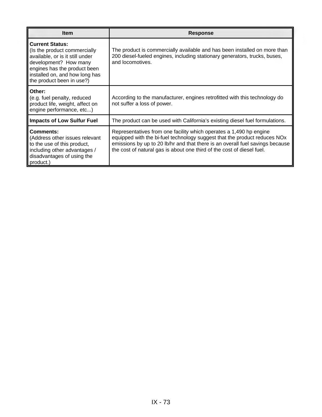| <b>Item</b>                                                                                                                                                                                                       | <b>Response</b>                                                                                                                                                                                                                                                                                            |
|-------------------------------------------------------------------------------------------------------------------------------------------------------------------------------------------------------------------|------------------------------------------------------------------------------------------------------------------------------------------------------------------------------------------------------------------------------------------------------------------------------------------------------------|
| <b>Current Status:</b><br>(Is the product commercially<br>available, or is it still under<br>development? How many<br>engines has the product been<br>installed on, and how long has<br>the product been in use?) | The product is commercially available and has been installed on more than<br>200 diesel-fueled engines, including stationary generators, trucks, buses,<br>and locomotives.                                                                                                                                |
| Other:<br>(e.g. fuel penalty, reduced<br>product life, weight, affect on<br>engine performance, etc)                                                                                                              | According to the manufacturer, engines retrofitted with this technology do<br>not suffer a loss of power.                                                                                                                                                                                                  |
| <b>Impacts of Low Sulfur Fuel</b>                                                                                                                                                                                 | The product can be used with California's existing diesel fuel formulations.                                                                                                                                                                                                                               |
| <b>Comments:</b><br>(Address other issues relevant<br>to the use of this product,<br>including other advantages /<br>disadvantages of using the<br>product.)                                                      | Representatives from one facility which operates a 1,490 hp engine<br>equipped with the bi-fuel technology suggest that the product reduces NOx<br>emissions by up to 20 lb/hr and that there is an overall fuel savings because<br>the cost of natural gas is about one third of the cost of diesel fuel. |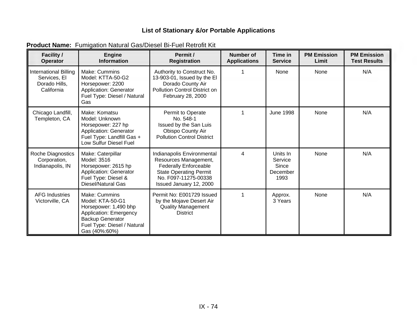| <b>Facility /</b><br><b>Operator</b>                                 | <b>Engine</b><br><b>Information</b>                                                                                                                             | Permit /<br><b>Registration</b>                                                                                                                                         | <b>Number of</b><br><b>Applications</b> | Time in<br><b>Service</b>                        | <b>PM Emission</b><br>Limit | <b>PM Emission</b><br><b>Test Results</b> |
|----------------------------------------------------------------------|-----------------------------------------------------------------------------------------------------------------------------------------------------------------|-------------------------------------------------------------------------------------------------------------------------------------------------------------------------|-----------------------------------------|--------------------------------------------------|-----------------------------|-------------------------------------------|
| International Billing<br>Services, El<br>Dorado Hills,<br>California | Make: Cummins<br>Model: KTTA-50-G2<br>Horsepower: 2200<br>Application: Generator<br>Fuel Type: Diesel / Natural<br>Gas                                          | Authority to Construct No.<br>13-903-01, Issued by the El<br>Dorado County Air<br>Pollution Control District on<br>February 28, 2000                                    | 1                                       | None                                             | None                        | N/A                                       |
| Chicago Landfill,<br>Templeton, CA                                   | Make: Komatsu<br>Model: Unknown<br>Horsepower: 227 hp<br>Application: Generator<br>Fuel Type: Landfill Gas +<br>Low Sulfur Diesel Fuel                          | Permit to Operate<br>No. 548-1<br>Issued by the San Luis<br>Obispo County Air<br><b>Pollution Control District</b>                                                      | 1                                       | <b>June 1998</b>                                 | None                        | N/A                                       |
| Roche Diagnostics<br>Corporation,<br>Indianapolis, IN                | Make: Caterpillar<br>Model: 3516<br>Horsepower: 2615 hp<br>Application: Generator<br>Fuel Type: Diesel &<br>Diesel/Natural Gas                                  | Indianapolis Environmental<br>Resources Management,<br><b>Federally Enforceable</b><br><b>State Operating Permit</b><br>No. F097-11275-00338<br>Issued January 12, 2000 | 4                                       | Units In<br>Service<br>Since<br>December<br>1993 | None                        | N/A                                       |
| <b>AFG Industries</b><br>Victorville, CA                             | Make: Cummins<br>Model: KTA-50-G1<br>Horsepower: 1,490 bhp<br>Application: Emergency<br><b>Backup Generator</b><br>Fuel Type: Diesel / Natural<br>Gas (40%:60%) | Permit No: E001729 Issued<br>by the Mojave Desert Air<br><b>Quality Management</b><br><b>District</b>                                                                   | 1                                       | Approx.<br>3 Years                               | None                        | N/A                                       |

**Product Name:** Fumigation Natural Gas/Diesel Bi-Fuel Retrofit Kit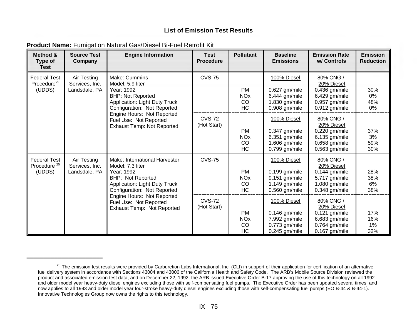| Method &<br>Type of<br><b>Test</b>                       | <b>Source Test</b><br>Company                  | <b>Engine Information</b>                                                                                                                                          | <b>Test</b><br><b>Procedure</b> | <b>Pollutant</b>                                      | <b>Baseline</b><br><b>Emissions</b>                                                 | <b>Emission Rate</b><br>w/ Controls                                                             | <b>Emission</b><br><b>Reduction</b> |
|----------------------------------------------------------|------------------------------------------------|--------------------------------------------------------------------------------------------------------------------------------------------------------------------|---------------------------------|-------------------------------------------------------|-------------------------------------------------------------------------------------|-------------------------------------------------------------------------------------------------|-------------------------------------|
| <b>Federal Test</b><br>Procedure <sup>25</sup><br>(UDDS) | Air Testing<br>Services, Inc.<br>Landsdale, PA | Make: Cummins<br>Model: 5.9 liter<br>Year: 1992<br><b>BHP: Not Reported</b><br><b>Application: Light Duty Truck</b><br>Configuration: Not Reported                 | <b>CVS-75</b>                   | <b>PM</b><br><b>NO<sub>x</sub></b><br>CO<br><b>HC</b> | 100% Diesel<br>0.627 gm/mile<br>6.444 gm/mile<br>1.830 gm/mile<br>0.908 gm/mile     | 80% CNG /<br>20% Diesel<br>$0.436$ gm/mile<br>6.429 gm/mile<br>0.957 gm/mile<br>0.912 gm/mile   | 30%<br>0%<br>48%<br>0%              |
|                                                          |                                                | Engine Hours: Not Reported<br>Fuel Use: Not Reported<br><b>Exhaust Temp: Not Reported</b>                                                                          | <b>CVS-72</b><br>(Hot Start)    | <b>PM</b><br><b>NO<sub>x</sub></b><br>CO<br>HC        | 100% Diesel<br>$0.347$ gm/mile<br>6.351 gm/mile<br>1.606 gm/mile<br>$0.799$ gm/mile | 80% CNG /<br>20% Diesel<br>0.220 gm/mile<br>6.135 gm/mile<br>0.658 gm/mile<br>$0.563$ gm/mile   | 37%<br>3%<br>59%<br>30%             |
| <b>Federal Test</b><br>Procedure <sup>25</sup><br>(UDDS) | Air Testing<br>Services, Inc.<br>Landsdale, PA | Make: International Harvester<br>Model: 7.3 liter<br>Year: 1992<br><b>BHP: Not Reported</b><br><b>Application: Light Duty Truck</b><br>Configuration: Not Reported | <b>CVS-75</b>                   | <b>PM</b><br><b>NO<sub>x</sub></b><br>CO<br><b>HC</b> | 100% Diesel<br>$0.199$ gm/mile<br>9.151 gm/mile<br>1.149 gm/mile<br>0.560 gm/mile   | 80% CNG /<br>20% Diesel<br>$0.144$ gm/mile<br>5.717 gm/mile<br>1.080 gm/mile<br>0.348 gm/mile   | 28%<br>38%<br>6%<br>38%             |
|                                                          |                                                | Engine Hours: Not Reported<br>Fuel Use: Not Reported<br>Exhaust Temp: Not Reported                                                                                 | <b>CVS-72</b><br>(Hot Start)    | <b>PM</b><br><b>NO<sub>x</sub></b><br>CO<br><b>HC</b> | 100% Diesel<br>$0.146$ gm/mile<br>7.992 gm/mile<br>0.773 gm/mile<br>$0.245$ gm/mile | 80% CNG /<br>20% Diesel<br>$0.121$ gm/mile<br>6.683 gm/mile<br>0.764 gm/mile<br>$0.167$ gm/mile | 17%<br>16%<br>1%<br>32%             |

#### **Product Name:** Fumigation Natural Gas/Diesel Bi-Fuel Retrofit Kit

<sup>&</sup>lt;sup>25</sup> The emission test results were provided by Carburetion Labs International, Inc. (CLI) in support of their application for certification of an alternative fuel delivery system in accordance with Sections 43004 and 43006 of the California Health and Safety Code. The ARB's Mobile Source Division reviewed the product and associated emission test data, and on December 22, 1992, the ARB issued Executive Order B-17 approving the use of this technology on all 1992 and older model year heavy-duty diesel engines excluding those with self-compensating fuel pumps. The Executive Order has been updated several times, and now applies to all 1993 and older model year four-stroke heavy-duty diesel engines excluding those with self-compensating fuel pumps (EO B-44 & B-44-1). Innovative Technologies Group now owns the rights to this technology.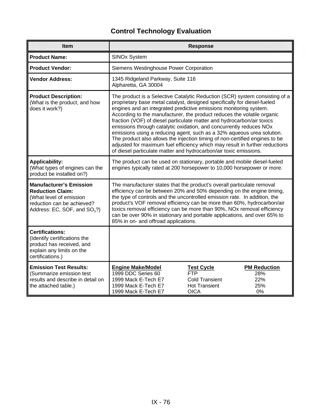# **Control Technology Evaluation**

| <b>Item</b>                                                                                                                                                    | <b>Response</b>                                                                                                                                                                                                                                                                                                                                                                                                                                                                                                                                                                                                                                                                                                                                                       |  |  |  |  |
|----------------------------------------------------------------------------------------------------------------------------------------------------------------|-----------------------------------------------------------------------------------------------------------------------------------------------------------------------------------------------------------------------------------------------------------------------------------------------------------------------------------------------------------------------------------------------------------------------------------------------------------------------------------------------------------------------------------------------------------------------------------------------------------------------------------------------------------------------------------------------------------------------------------------------------------------------|--|--|--|--|
| <b>Product Name:</b>                                                                                                                                           | <b>SINOx System</b>                                                                                                                                                                                                                                                                                                                                                                                                                                                                                                                                                                                                                                                                                                                                                   |  |  |  |  |
| <b>Product Vendor:</b>                                                                                                                                         | Siemens Westinghouse Power Corporation                                                                                                                                                                                                                                                                                                                                                                                                                                                                                                                                                                                                                                                                                                                                |  |  |  |  |
| <b>Vendor Address:</b>                                                                                                                                         | 1345 Ridgeland Parkway, Suite 116<br>Alpharetta, GA 30004                                                                                                                                                                                                                                                                                                                                                                                                                                                                                                                                                                                                                                                                                                             |  |  |  |  |
| <b>Product Description:</b><br>(What is the product, and how<br>does it work?)                                                                                 | The product is a Selective Catalytic Reduction (SCR) system consisting of a<br>proprietary base metal catalyst, designed specifically for diesel-fueled<br>engines and an integrated predictive emissions monitoring system.<br>According to the manufacturer, the product reduces the volatile organic<br>fraction (VOF) of diesel particulate matter and hydrocarbon/air toxics<br>emissions through catalytic oxidation, and concurrently reduces NOx<br>emissions using a reducing agent, such as a 32% aqueous urea solution.<br>The product also allows the injection timing of non-certified engines to be<br>adjusted for maximum fuel efficiency which may result in further reductions<br>of diesel particulate matter and hydrocarbon/air toxic emissions. |  |  |  |  |
| <b>Applicability:</b><br>(What types of engines can the<br>product be installed on?)                                                                           | The product can be used on stationary, portable and mobile diesel-fueled<br>engines typically rated at 200 horsepower to 10,000 horsepower or more.                                                                                                                                                                                                                                                                                                                                                                                                                                                                                                                                                                                                                   |  |  |  |  |
| <b>Manufacturer's Emission</b><br><b>Reduction Claim:</b><br>(What level of emission<br>reduction can be achieved?<br>Address: EC, SOF, and SO <sub>3</sub> ?) | The manufacturer states that the product's overall particulate removal<br>efficiency can be between 20% and 50% depending on the engine timing,<br>the type of controls and the uncontrolled emission rate. In addition, the<br>product's VOF removal efficiency can be more than 60%, hydrocarbon/air<br>toxics removal efficiency can be more than 90%, NOx removal efficiency<br>can be over 90% in stationary and portable applications, and over 65% to<br>85% in on- and offroad applications.                                                                                                                                                                                                                                                                  |  |  |  |  |
| <b>Certifications:</b><br>(Identify certifications the<br>product has received, and<br>explain any limits on the<br>certifications.)                           |                                                                                                                                                                                                                                                                                                                                                                                                                                                                                                                                                                                                                                                                                                                                                                       |  |  |  |  |
| <b>Emission Test Results:</b><br>(Summarize emission test<br>results and describe in detail on<br>the attached table.)                                         | <b>PM Reduction</b><br><b>Engine Make/Model</b><br><b>Test Cycle</b><br>1999 DDC Series 60<br><b>FTP</b><br>28%<br>1999 Mack E-Tech E7<br><b>Cold Transient</b><br>22%<br><b>Hot Transient</b><br>25%<br>1999 Mack E-Tech E7<br>0%<br>1999 Mack E-Tech E7<br><b>OICA</b>                                                                                                                                                                                                                                                                                                                                                                                                                                                                                              |  |  |  |  |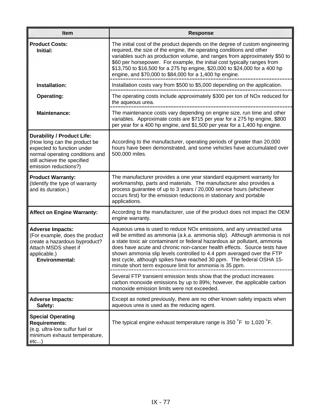| <b>Item</b>                                                                                                                                                                                | <b>Response</b>                                                                                                                                                                                                                                                                                                                                                                                                                                                                                                                     |
|--------------------------------------------------------------------------------------------------------------------------------------------------------------------------------------------|-------------------------------------------------------------------------------------------------------------------------------------------------------------------------------------------------------------------------------------------------------------------------------------------------------------------------------------------------------------------------------------------------------------------------------------------------------------------------------------------------------------------------------------|
| <b>Product Costs:</b><br>Initial:                                                                                                                                                          | The initial cost of the product depends on the degree of custom engineering<br>required, the size of the engine, the operating conditions and other<br>variables such as production volume, and ranges from approximately \$50 to<br>\$60 per horsepower. For example, the initial cost typically ranges from<br>\$13,750 to \$16,500 for a 275 hp engine, \$20,000 to \$24,000 for a 400 hp<br>engine, and \$70,000 to \$84,000 for a 1,400 hp engine.                                                                             |
| Installation:                                                                                                                                                                              | Installation costs vary from \$500 to \$5,000 depending on the application.                                                                                                                                                                                                                                                                                                                                                                                                                                                         |
| <b>Operating:</b>                                                                                                                                                                          | The operating costs include approximately \$300 per ton of NOx reduced for<br>the aqueous urea.                                                                                                                                                                                                                                                                                                                                                                                                                                     |
| <b>Maintenance:</b>                                                                                                                                                                        | The maintenance costs vary depending on engine size, run time and other<br>variables. Approximate costs are \$715 per year for a 275 hp engine, \$800<br>per year for a 400 hp engine, and \$1,500 per year for a 1,400 hp engine.                                                                                                                                                                                                                                                                                                  |
| <b>Durability / Product Life:</b><br>(How long can the product be<br>expected to function under<br>normal operating conditions and<br>still achieve the specified<br>emission reductions?) | According to the manufacturer, operating periods of greater than 20,000<br>hours have been demonstrated, and some vehicles have accumulated over<br>500,000 miles.                                                                                                                                                                                                                                                                                                                                                                  |
| <b>Product Warranty:</b><br>(Identify the type of warranty<br>and its duration.)                                                                                                           | The manufacturer provides a one year standard equipment warranty for<br>workmanship, parts and materials. The manufacturer also provides a<br>process guarantee of up to 3 years / 20,000 service hours (whichever<br>occurs first) for the emission reductions in stationary and portable<br>applications.                                                                                                                                                                                                                         |
| <b>Affect on Engine Warranty:</b>                                                                                                                                                          | According to the manufacturer, use of the product does not impact the OEM<br>engine warranty.                                                                                                                                                                                                                                                                                                                                                                                                                                       |
| <b>Adverse Impacts:</b><br>(For example, does the product<br>create a hazardous byproduct?<br>Attach MSDS sheet if<br>applicable.)<br><b>Environmental:</b>                                | Aqueous urea is used to reduce NO <sub>x</sub> emissions, and any unreacted urea<br>will be emitted as ammonia (a.k.a. ammonia slip). Although ammonia is not<br>a state toxic air contaminant or federal hazardous air pollutant, ammonia<br>does have acute and chronic non-cancer health effects. Source tests have<br>shown ammonia slip levels controlled to 4.4 ppm averaged over the FTP<br>test cycle, although spikes have reached 30 ppm. The federal OSHA 15-<br>minute short term exposure limit for ammonia is 35 ppm. |
|                                                                                                                                                                                            | Several FTP transient emission tests show that the product increases<br>carbon monoxide emissions by up to 89%; however, the applicable carbon<br>monoxide emission limits were not exceeded.                                                                                                                                                                                                                                                                                                                                       |
| <b>Adverse Impacts:</b><br>Safety:                                                                                                                                                         | Except as noted previously, there are no other known safety impacts when<br>aqueous urea is used as the reducing agent.                                                                                                                                                                                                                                                                                                                                                                                                             |
| <b>Special Operating</b><br><b>Requirements:</b><br>(e.g. ultra-low sulfur fuel or<br>minimum exhaust temperature,<br>etc)                                                                 | The typical engine exhaust temperature range is 350 °F to 1,020 °F.                                                                                                                                                                                                                                                                                                                                                                                                                                                                 |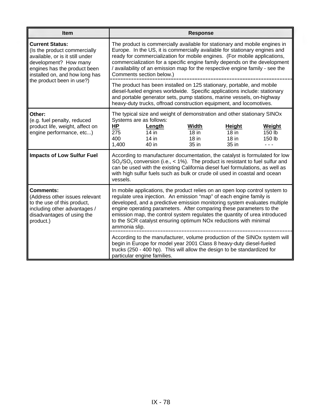| <b>Item</b>                                                                                                                                                                          |                                                                                                                                                                                                                                                                                                                                                                                                                                                                             | <b>Response</b>                             |                                       |                                     |  |
|--------------------------------------------------------------------------------------------------------------------------------------------------------------------------------------|-----------------------------------------------------------------------------------------------------------------------------------------------------------------------------------------------------------------------------------------------------------------------------------------------------------------------------------------------------------------------------------------------------------------------------------------------------------------------------|---------------------------------------------|---------------------------------------|-------------------------------------|--|
| <b>Current Status:</b><br>(Is the product commercially<br>available, or is it still under<br>development? How many<br>engines has the product been<br>installed on, and how long has | The product is commercially available for stationary and mobile engines in<br>Europe. In the US, it is commercially available for stationary engines and<br>ready for commercialization for mobile engines. (For mobile applications,<br>commercialization for a specific engine family depends on the development<br>/ availability of an emission map for the respective engine family - see the<br>Comments section below.)                                              |                                             |                                       |                                     |  |
| the product been in use?)                                                                                                                                                            | The product has been installed on 125 stationary, portable, and mobile<br>diesel-fueled engines worldwide. Specific applications include: stationary<br>and portable generator sets, pump stations, marine vessels, on-highway<br>heavy-duty trucks, offroad construction equipment, and locomotives.                                                                                                                                                                       |                                             |                                       |                                     |  |
| Other:<br>(e.g. fuel penalty, reduced<br>product life, weight, affect on<br>engine performance, etc)                                                                                 | The typical size and weight of demonstration and other stationary SINOx<br>Systems are as follows:<br><b>HP</b><br>Length<br>275<br>$14$ in<br>400<br>$14$ in<br>1,400<br>40 in                                                                                                                                                                                                                                                                                             | <b>Width</b><br>$18$ in<br>$18$ in<br>35 in | Height<br>$18$ in<br>$18$ in<br>35 in | Weight<br>150 lb<br>150 lb<br>- - - |  |
| <b>Impacts of Low Sulfur Fuel</b>                                                                                                                                                    | According to manufacturer documentation, the catalyst is formulated for low<br>$SO_2/SO_3$ conversion (i.e., < 1%). The product is resistant to fuel sulfur and<br>can be used with the existing California diesel fuel formulations, as well as<br>with high sulfur fuels such as bulk or crude oil used in coastal and ocean<br>vessels.                                                                                                                                  |                                             |                                       |                                     |  |
| Comments:<br>(Address other issues relevant<br>to the use of this product,<br>including other advantages /<br>disadvantages of using the<br>product.)                                | In mobile applications, the product relies on an open loop control system to<br>regulate urea injection. An emission "map" of each engine family is<br>developed, and a predictive emission monitoring system evaluates multiple<br>engine operating parameters. After comparing these parameters to the<br>emission map, the control system regulates the quantity of urea introduced<br>to the SCR catalyst ensuring optimum NOx reductions with minimal<br>ammonia slip. |                                             |                                       |                                     |  |
|                                                                                                                                                                                      | According to the manufacturer, volume production of the SINOx system will<br>begin in Europe for model year 2001 Class 8 heavy-duty diesel-fueled<br>trucks (250 - 400 hp). This will allow the design to be standardized for<br>particular engine families.                                                                                                                                                                                                                |                                             |                                       |                                     |  |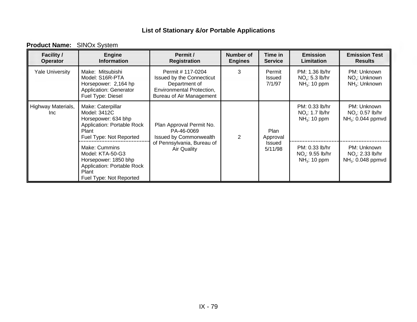| <b>Facility /</b><br><b>Operator</b> | <b>Engine</b><br><b>Information</b>                                                                                         | Permit /<br><b>Registration</b>                                                                                          | <b>Number of</b><br><b>Engines</b> | Time in<br><b>Service</b>  | <b>Emission</b><br>Limitation                                              | <b>Emission Test</b><br><b>Results</b>                            |
|--------------------------------------|-----------------------------------------------------------------------------------------------------------------------------|--------------------------------------------------------------------------------------------------------------------------|------------------------------------|----------------------------|----------------------------------------------------------------------------|-------------------------------------------------------------------|
| <b>Yale University</b>               | Make: Mitsubishi<br>Model: S16R-PTA<br>Horsepower: 2,164 hp<br><b>Application: Generator</b><br>Fuel Type: Diesel           | Permit # 117-0204<br>Issued by the Connecticut<br>Department of<br>Environmental Protection,<br>Bureau of Air Management | 3                                  | Permit<br>Issued<br>7/1/97 | PM: 1.36 lb/hr<br>NO <sub>x</sub> : 5.3 lb/hr<br>NH <sub>3</sub> : 10 ppm  | PM: Unknown<br>NO <sub>v</sub> : Unknown<br>$NH_3$ : Unknown      |
| Highway Materials,<br>Inc.           | Make: Caterpillar<br>Model: 3412C<br>Horsepower: 634 bhp<br>Application: Portable Rock<br>Plant<br>Fuel Type: Not Reported  | Plan Approval Permit No.<br>PA-46-0069<br>Issued by Commonwealth                                                         | $\overline{2}$                     | Plan<br>Approval           | PM: 0.33 lb/hr<br>NO <sub>x</sub> : 1.7 lb/hr<br>NH <sub>3</sub> : 10 ppm  | PM: Unknown<br>NO <sub>x</sub> : 0.57 lb/hr<br>$NH3: 0.044$ ppmvd |
|                                      | Make: Cummins<br>Model: KTA-50-G3<br>Horsepower: 1850 bhp<br>Application: Portable Rock<br>Plant<br>Fuel Type: Not Reported | of Pennsylvania, Bureau of<br><b>Air Quality</b>                                                                         |                                    | <b>Issued</b><br>5/11/98   | PM: 0.33 lb/hr<br>NO <sub>x</sub> : 9.55 lb/hr<br>NH <sub>3</sub> : 10 ppm | PM: Unknown<br>NO <sub>x</sub> : 2.33 lb/hr<br>$NH3: 0.048$ ppmvd |

### **Product Name:** SINOx System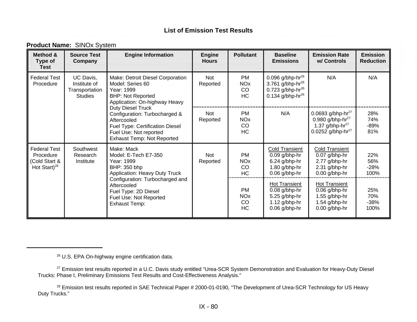| <b>Product Name: SINOx System</b> |  |
|-----------------------------------|--|
|-----------------------------------|--|

| Method &<br>Type of<br>Test                                             | <b>Source Test</b><br>Company                                 | <b>Engine Information</b>                                                                                                                                           | <b>Engine</b><br><b>Hours</b> | <b>Pollutant</b>                                      | <b>Baseline</b><br><b>Emissions</b>                                                                              | <b>Emission Rate</b><br>w/ Controls                                                                         | <b>Emission</b><br><b>Reduction</b> |
|-------------------------------------------------------------------------|---------------------------------------------------------------|---------------------------------------------------------------------------------------------------------------------------------------------------------------------|-------------------------------|-------------------------------------------------------|------------------------------------------------------------------------------------------------------------------|-------------------------------------------------------------------------------------------------------------|-------------------------------------|
| <b>Federal Test</b><br>Procedure                                        | UC Davis,<br>Institute of<br>Transportation<br><b>Studies</b> | Make: Detroit Diesel Corporation<br>Model: Series 60<br>Year: 1999<br><b>BHP: Not Reported</b><br>Application: On-highway Heavy                                     | Not<br>Reported               | <b>PM</b><br><b>NO<sub>x</sub></b><br>CO<br><b>HC</b> | 0.096 g/bhp-hr $^{26}$<br>3.761 g/bhp-hr <sup>26</sup><br>0.723 g/bhp-hr $^{26}$<br>0.134 g/bhp-hr <sup>26</sup> | N/A                                                                                                         | N/A                                 |
|                                                                         |                                                               | Duty Diesel Truck<br>Configuration: Turbocharged &<br>Aftercooled<br>Fuel Type: Certification Diesel<br>Fuel Use: Not reported<br><b>Exhaust Temp: Not Reported</b> | Not<br>Reported               | <b>PM</b><br><b>NO<sub>x</sub></b><br>CO<br><b>HC</b> | N/A                                                                                                              | 0.0693 g/bhp-hr $^{27}$<br>0.980 g/bhp-hr $^{27}$<br>1.37 g/bhp-hr $^{27}$<br>0.0252 g/bhp-hr <sup>27</sup> | 28%<br>74%<br>$-89%$<br>81%         |
| <b>Federal Test</b><br>Procedure<br>(Cold Start &<br>Hot Start) $^{28}$ | Southwest<br>Research<br>Institute                            | Make: Mack<br>Model: E-Tech E7-350<br>Year: 1999<br>BHP: 350 bhp<br><b>Application: Heavy Duty Truck</b>                                                            | Not<br>Reported               | <b>PM</b><br><b>NO<sub>x</sub></b><br>CO<br>HC        | <b>Cold Transient</b><br>$0.09$ g/bhp-hr<br>6.24 g/bhp-hr<br>1.80 g/bhp-hr<br>$0.06$ g/bhp-hr                    | Cold Transient<br>$0.07$ g/bhp-hr<br>2.77 g/bhp-hr<br>2.31 g/bhp-hr<br>0.00 g/bhp-hr                        | 22%<br>56%<br>$-28%$<br>100%        |
|                                                                         |                                                               | Configuration: Turbocharged and<br>Aftercooled<br>Fuel Type: 2D Diesel<br>Fuel Use: Not Reported<br><b>Exhaust Temp:</b>                                            |                               | <b>PM</b><br><b>NO<sub>x</sub></b><br>CO<br>HC        | <b>Hot Transient</b><br>$0.08$ g/bhp-hr<br>5.25 g/bhp-hr<br>1.12 g/bhp-hr<br>$0.06$ g/bhp-hr                     | <b>Hot Transient</b><br>$0.06$ g/bhp-hr<br>1.55 g/bhp-hr<br>1.54 g/bhp-hr<br>$0.00$ g/bhp-hr                | 25%<br>70%<br>$-38%$<br>100%        |

<sup>26</sup> U.S. EPA On-highway engine certification data.

<sup>27</sup> Emission test results reported in a U.C. Davis study entitled "Urea-SCR System Demonstration and Evaluation for Heavy-Duty Diesel Trucks: Phase I, Preliminary Emissions Test Results and Cost-Effectiveness Analysis."

<sup>28</sup> Emission test results reported in SAE Technical Paper # 2000-01-0190, "The Development of Urea-SCR Technology for US Heavy Duty Trucks."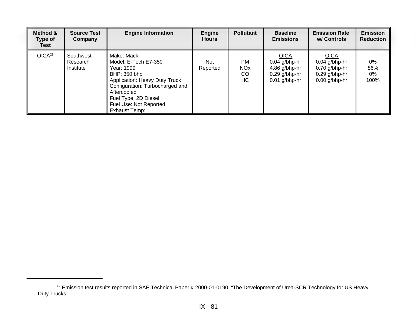| Method &<br>Type of<br><b>Test</b> | <b>Source Test</b><br>Company      | <b>Engine Information</b>                                                                                                                                                                                              | Engine<br><b>Hours</b> | <b>Pollutant</b>                               | <b>Baseline</b><br><b>Emissions</b>                                                   | <b>Emission Rate</b><br>w/ Controls                                                     | <b>Emission</b><br><b>Reduction</b> |
|------------------------------------|------------------------------------|------------------------------------------------------------------------------------------------------------------------------------------------------------------------------------------------------------------------|------------------------|------------------------------------------------|---------------------------------------------------------------------------------------|-----------------------------------------------------------------------------------------|-------------------------------------|
| OICA <sup>29</sup>                 | Southwest<br>Research<br>Institute | Make: Mack<br>Model: E-Tech E7-350<br>Year: 1999<br>BHP: 350 bhp<br>Application: Heavy Duty Truck<br>Configuration: Turbocharged and<br>Aftercooled<br>Fuel Type: 2D Diesel<br>Fuel Use: Not Reported<br>Exhaust Temp: | Not<br>Reported        | <b>PM</b><br><b>NO<sub>x</sub></b><br>CO<br>HС | <b>OICA</b><br>$0.04$ g/bhp-hr<br>4.86 g/bhp-hr<br>$0.29$ g/bhp-hr<br>$0.01$ g/bhp-hr | <b>OICA</b><br>$0.04$ g/bhp-hr<br>$0.70$ g/bhp-hr<br>$0.29$ g/bhp-hr<br>$0.00$ g/bhp-hr | 0%<br>86%<br>0%<br>100%             |

<sup>&</sup>lt;sup>29</sup> Emission test results reported in SAE Technical Paper # 2000-01-0190, "The Development of Urea-SCR Technology for US Heavy Duty Trucks."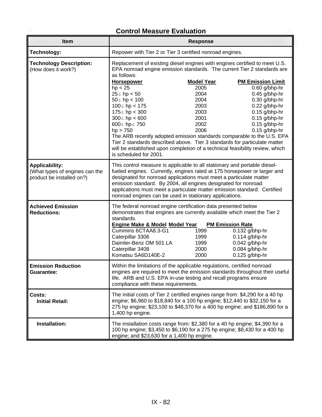## **Control Measure Evaluation**

|                                                                                      | <b>Control Measure Evaluation</b>                                                                                                                                                                                                                                                                                                                                                                                                                                                                                                                                                                                                                                                                                                                                                                                                                                                  |                                                                                                                                                                                                                                                |                                                                                                                                                             |  |  |  |
|--------------------------------------------------------------------------------------|------------------------------------------------------------------------------------------------------------------------------------------------------------------------------------------------------------------------------------------------------------------------------------------------------------------------------------------------------------------------------------------------------------------------------------------------------------------------------------------------------------------------------------------------------------------------------------------------------------------------------------------------------------------------------------------------------------------------------------------------------------------------------------------------------------------------------------------------------------------------------------|------------------------------------------------------------------------------------------------------------------------------------------------------------------------------------------------------------------------------------------------|-------------------------------------------------------------------------------------------------------------------------------------------------------------|--|--|--|
| Item                                                                                 |                                                                                                                                                                                                                                                                                                                                                                                                                                                                                                                                                                                                                                                                                                                                                                                                                                                                                    | <b>Response</b>                                                                                                                                                                                                                                |                                                                                                                                                             |  |  |  |
| Technology:                                                                          | Repower with Tier 2 or Tier 3 certified nonroad engines.                                                                                                                                                                                                                                                                                                                                                                                                                                                                                                                                                                                                                                                                                                                                                                                                                           |                                                                                                                                                                                                                                                |                                                                                                                                                             |  |  |  |
| <b>Technology Description:</b><br>(How does it work?)                                | Replacement of existing diesel engines with engines certified to meet U.S.<br>EPA nonroad engine emission standards. The current Tier 2 standards are<br>as follows:<br><b>Horsepower</b><br><b>Model Year</b><br><b>PM Emission Limit</b><br>0.60 g/bhp-hr<br>2005<br>hp < 25<br>2004<br>$0.45$ g/bhp-hr<br>$25≤$ hp < 50<br>$50 \leq h p < 100$<br>2004<br>$0.30$ g/bhp-hr<br>$100 \leq hp < 175$<br>2003<br>$0.22$ g/bhp-hr<br>$175 \le hp < 300$<br>2003<br>$0.15$ g/bhp-hr<br>$300 \leq hp < 600$<br>2001<br>$0.15$ g/bhp-hr<br>600≤ hp≤ 750<br>2002<br>$0.15$ g/bhp-hr<br>hp > 750<br>2006<br>0.15 g/bhp-hr<br>The ARB recently adopted emission standards comparable to the U.S. EPA<br>Tier 2 standards described above. Tier 3 standards for particulate matter<br>will be established upon completion of a technical feasibility review, which<br>is scheduled for 2001. |                                                                                                                                                                                                                                                |                                                                                                                                                             |  |  |  |
| <b>Applicability:</b><br>(What types of engines can the<br>product be installed on?) | This control measure is applicable to all stationary and portable diesel-<br>fueled engines. Currently, engines rated at 175 horsepower or larger and<br>designated for nonroad applications must meet a particulate matter<br>emission standard. By 2004, all engines designated for nonroad<br>applications must meet a particulate matter emission standard. Certified<br>nonroad engines can be used in stationary applications.                                                                                                                                                                                                                                                                                                                                                                                                                                               |                                                                                                                                                                                                                                                |                                                                                                                                                             |  |  |  |
| <b>Achieved Emission</b><br><b>Reductions:</b>                                       | standards.<br>Cummins 6CTAA8.3-G1<br>Caterpillar 3306<br>Daimler-Benz OM 501 LA<br>Caterpillar 3408<br>Komatsu SA6D140E-2                                                                                                                                                                                                                                                                                                                                                                                                                                                                                                                                                                                                                                                                                                                                                          | The federal nonroad engine certification data presented below<br>demonstrates that engines are currently available which meet the Tier 2<br><b>Engine Make &amp; Model Model Year PM Emission Rate</b><br>1999<br>1999<br>1999<br>2000<br>2000 | 0.132 g/bhp-hr<br>$0.114$ g/bhp-hr<br>0.042 g/bhp-hr<br>0.084 g/bhp-hr<br>$0.125$ g/bhp-hr                                                                  |  |  |  |
| <b>Emission Reduction</b><br><b>Guarantee:</b>                                       | Within the limitations of the applicable regulations, certified nonroad<br>engines are required to meet the emission standards throughout their useful<br>life. ARB and U.S. EPA in-use testing and recall programs ensure<br>compliance with these requirements.                                                                                                                                                                                                                                                                                                                                                                                                                                                                                                                                                                                                                  |                                                                                                                                                                                                                                                |                                                                                                                                                             |  |  |  |
| Costs:<br><b>Initial Retail:</b>                                                     | The initial costs of Tier 2 certified engines range from: \$4,290 for a 40 hp<br>engine; \$6,960 to \$18,840 for a 100 hp engine; \$12,440 to \$32,150 for a<br>275 hp engine; \$23,100 to \$48,370 for a 400 hp engine; and \$186,890 for a<br>1,400 hp engine.                                                                                                                                                                                                                                                                                                                                                                                                                                                                                                                                                                                                                   |                                                                                                                                                                                                                                                |                                                                                                                                                             |  |  |  |
| Installation:                                                                        | engine; and \$23,630 for a 1,400 hp engine.                                                                                                                                                                                                                                                                                                                                                                                                                                                                                                                                                                                                                                                                                                                                                                                                                                        |                                                                                                                                                                                                                                                | The installation costs range from: \$2,380 for a 40 hp engine; \$4,390 for a<br>100 hp engine; \$3,450 to \$6,190 for a 275 hp engine; \$8,430 for a 400 hp |  |  |  |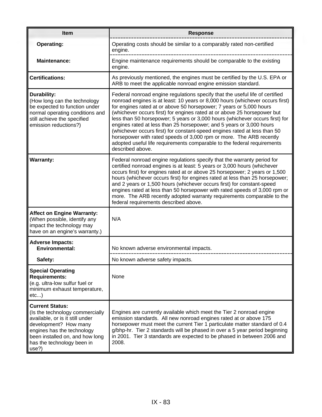| <b>Item</b>                                                                                                                                                                                                                   | <b>Response</b>                                                                                                                                                                                                                                                                                                                                                                                                                                                                                                                                                                                                                                                                                                             |
|-------------------------------------------------------------------------------------------------------------------------------------------------------------------------------------------------------------------------------|-----------------------------------------------------------------------------------------------------------------------------------------------------------------------------------------------------------------------------------------------------------------------------------------------------------------------------------------------------------------------------------------------------------------------------------------------------------------------------------------------------------------------------------------------------------------------------------------------------------------------------------------------------------------------------------------------------------------------------|
| <b>Operating:</b>                                                                                                                                                                                                             | Operating costs should be similar to a comparably rated non-certified<br>engine.                                                                                                                                                                                                                                                                                                                                                                                                                                                                                                                                                                                                                                            |
| <b>Maintenance:</b>                                                                                                                                                                                                           | Engine maintenance requirements should be comparable to the existing<br>engine.                                                                                                                                                                                                                                                                                                                                                                                                                                                                                                                                                                                                                                             |
| <b>Certifications:</b>                                                                                                                                                                                                        | As previously mentioned, the engines must be certified by the U.S. EPA or<br>ARB to meet the applicable nonroad engine emission standard.                                                                                                                                                                                                                                                                                                                                                                                                                                                                                                                                                                                   |
| Durability:<br>(How long can the technology<br>be expected to function under<br>normal operating conditions and<br>still achieve the specified<br>emission reductions?)                                                       | Federal nonroad engine regulations specify that the useful life of certified<br>nonroad engines is at least: 10 years or 8,000 hours (whichever occurs first)<br>for engines rated at or above 50 horsepower; 7 years or 5,000 hours<br>(whichever occurs first) for engines rated at or above 25 horsepower but<br>less than 50 horsepower; 5 years or 3,000 hours (whichever occurs first) for<br>engines rated at less than 25 horsepower; and 5 years or 3,000 hours<br>(whichever occurs first) for constant-speed engines rated at less than 50<br>horsepower with rated speeds of 3,000 rpm or more. The ARB recently<br>adopted useful life requirements comparable to the federal requirements<br>described above. |
| <b>Warranty:</b>                                                                                                                                                                                                              | Federal nonroad engine regulations specify that the warranty period for<br>certified nonroad engines is at least: 5 years or 3,000 hours (whichever<br>occurs first) for engines rated at or above 25 horsepower; 2 years or 1,500<br>hours (whichever occurs first) for engines rated at less than 25 horsepower;<br>and 2 years or 1,500 hours (whichever occurs first) for constant-speed<br>engines rated at less than 50 horsepower with rated speeds of 3,000 rpm or<br>more. The ARB recently adopted warranty requirements comparable to the<br>federal requirements described above.                                                                                                                               |
| <b>Affect on Engine Warranty:</b><br>(When possible, identify any<br>impact the technology may<br>have on an engine's warranty.)                                                                                              | N/A                                                                                                                                                                                                                                                                                                                                                                                                                                                                                                                                                                                                                                                                                                                         |
| <b>Adverse Impacts:</b><br><b>Environmental:</b>                                                                                                                                                                              | No known adverse environmental impacts.                                                                                                                                                                                                                                                                                                                                                                                                                                                                                                                                                                                                                                                                                     |
| Safety:                                                                                                                                                                                                                       | No known adverse safety impacts.                                                                                                                                                                                                                                                                                                                                                                                                                                                                                                                                                                                                                                                                                            |
| <b>Special Operating</b><br><b>Requirements:</b><br>(e.g. ultra-low sulfur fuel or<br>minimum exhaust temperature,<br>etc)                                                                                                    | None                                                                                                                                                                                                                                                                                                                                                                                                                                                                                                                                                                                                                                                                                                                        |
| <b>Current Status:</b><br>(Is the technology commercially<br>available, or is it still under<br>development? How many<br>engines has the technology<br>been installed on, and how long<br>has the technology been in<br>use?) | Engines are currently available which meet the Tier 2 nonroad engine<br>emission standards. All new nonroad engines rated at or above 175<br>horsepower must meet the current Tier 1 particulate matter standard of 0.4<br>g/bhp-hr. Tier 2 standards will be phased in over a 5 year period beginning<br>in 2001. Tier 3 standards are expected to be phased in between 2006 and<br>2008.                                                                                                                                                                                                                                                                                                                                  |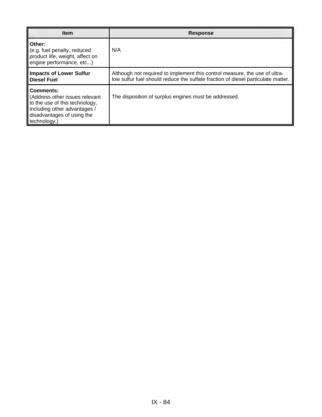| <b>Item</b>                                                                                                                                                        | <b>Response</b>                                                                                                                                                |
|--------------------------------------------------------------------------------------------------------------------------------------------------------------------|----------------------------------------------------------------------------------------------------------------------------------------------------------------|
| Other:<br>(e.g. fuel penalty, reduced<br>product life, weight, affect on<br>engine performance, etc)                                                               | N/A                                                                                                                                                            |
| <b>Impacts of Lower Sulfur</b><br><b>Diesel Fuel</b>                                                                                                               | Although not required to implement this control measure, the use of ultra-<br>low sulfur fuel should reduce the sulfate fraction of diesel particulate matter. |
| <b>Comments:</b><br>(Address other issues relevant<br>to the use of this technology,<br>including other advantages /<br>disadvantages of using the<br>technology.) | The disposition of surplus engines must be addressed.                                                                                                          |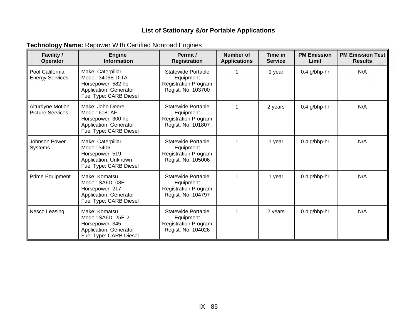| <b>Technology Name: Repower With Certified Nonroad Engines</b> |  |  |  |  |  |  |
|----------------------------------------------------------------|--|--|--|--|--|--|
|----------------------------------------------------------------|--|--|--|--|--|--|

| <b>Facility /</b><br><b>Operator</b>        | <b>Engine</b><br><b>Information</b>                                                                              | Permit /<br><b>Registration</b>                                                             | <b>Number of</b><br><b>Applications</b> | Time in<br><b>Service</b> | <b>PM Emission</b><br>Limit | <b>PM Emission Test</b><br><b>Results</b> |
|---------------------------------------------|------------------------------------------------------------------------------------------------------------------|---------------------------------------------------------------------------------------------|-----------------------------------------|---------------------------|-----------------------------|-------------------------------------------|
| Pool California<br><b>Energy Services</b>   | Make: Caterpillar<br>Model: 3406E DITA<br>Horsepower: 582 hp<br>Application: Generator<br>Fuel Type: CARB Diesel | <b>Statewide Portable</b><br>Equipment<br><b>Registration Program</b><br>Regist. No: 103700 |                                         | 1 year                    | 0.4 g/bhp-hr                | N/A                                       |
| Alturdyne Motion<br><b>Picture Services</b> | Make: John Deere<br>Model: 6081AF<br>Horsepower: 300 hp<br>Application: Generator<br>Fuel Type: CARB Diesel      | <b>Statewide Portable</b><br>Equipment<br><b>Registration Program</b><br>Regist. No: 101807 | 1                                       | 2 years                   | 0.4 g/bhp-hr                | N/A                                       |
| Johnson Power<br>Systems                    | Make: Caterpillar<br>Model: 3406<br>Horsepower: 519<br>Application: Unknown<br>Fuel Type: CARB Diesel            | <b>Statewide Portable</b><br>Equipment<br><b>Registration Program</b><br>Regist. No: 105006 | 1                                       | 1 year                    | $0.4$ g/bhp-hr              | N/A                                       |
| Prime Equipment                             | Make: Komatsu<br>Model: SA6D108E<br>Horsepower: 217<br><b>Application: Generator</b><br>Fuel Type: CARB Diesel   | <b>Statewide Portable</b><br>Equipment<br><b>Registration Program</b><br>Regist. No: 104797 |                                         | 1 year                    | $0.4$ g/bhp-hr              | N/A                                       |
| Nesco Leasing                               | Make: Komatsu<br>Model: SA6D125E-2<br>Horsepower: 345<br>Application: Generator<br>Fuel Type: CARB Diesel        | <b>Statewide Portable</b><br>Equipment<br><b>Registration Program</b><br>Regist. No: 104026 | 1                                       | 2 years                   | $0.4$ g/bhp-hr              | N/A                                       |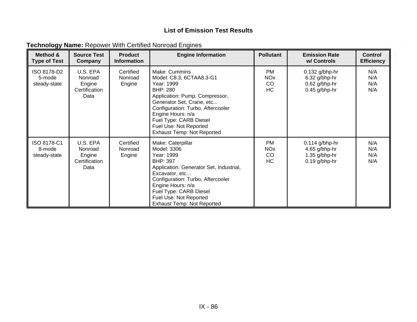| <b>Technology Name: Repower With Certified Nonroad Engines</b> |  |  |  |
|----------------------------------------------------------------|--|--|--|
|----------------------------------------------------------------|--|--|--|

| Method &<br><b>Type of Test</b>       | <b>Source Test</b><br>Company                          | <b>Product</b><br><b>Information</b> | <b>Engine Information</b>                                                                                                                                                                                                                                                             | <b>Pollutant</b>                               | <b>Emission Rate</b><br>w/ Controls                                     | <b>Control</b><br><b>Efficiency</b> |
|---------------------------------------|--------------------------------------------------------|--------------------------------------|---------------------------------------------------------------------------------------------------------------------------------------------------------------------------------------------------------------------------------------------------------------------------------------|------------------------------------------------|-------------------------------------------------------------------------|-------------------------------------|
| ISO 8178-D2<br>5-mode<br>steady-state | U.S. EPA<br>Nonroad<br>Engine<br>Certification<br>Data | Certified<br>Nonroad<br>Engine       | Make: Cummins<br>Model: C8.3, 6CTAA8.3-G1<br>Year: 1999<br>BHP: 280<br>Application: Pump, Compressor,<br>Generator Set, Crane, etc<br>Configuration: Turbo, Aftercooler<br>Engine Hours: n/a<br>Fuel Type: CARB Diesel<br>Fuel Use: Not Reported<br><b>Exhaust Temp: Not Reported</b> | <b>PM</b><br><b>NO<sub>x</sub></b><br>CO<br>HC | $0.132$ g/bhp-hr<br>6.32 g/bhp-hr<br>$0.62$ g/bhp-hr<br>$0.45$ g/bhp-hr | N/A<br>N/A<br>N/A<br>N/A            |
| ISO 8178-C1<br>8-mode<br>steady-state | U.S. EPA<br>Nonroad<br>Engine<br>Certification<br>Data | Certified<br>Nonroad<br>Engine       | Make: Caterpillar<br>Model: 3306<br>Year: 1999<br><b>BHP: 397</b><br>Application: Generator Set, Industrial,<br>Excavator, etc<br>Configuration: Turbo, Aftercooler<br>Engine Hours: n/a<br>Fuel Type: CARB Diesel<br>Fuel Use: Not Reported<br><b>Exhaust Temp: Not Reported</b>     | <b>PM</b><br><b>NO<sub>x</sub></b><br>CO<br>HC | $0.114$ g/bhp-hr<br>4.65 g/bhp-hr<br>1.35 g/bhp-hr<br>$0.19$ g/bhp-hr   | N/A<br>N/A<br>N/A<br>N/A            |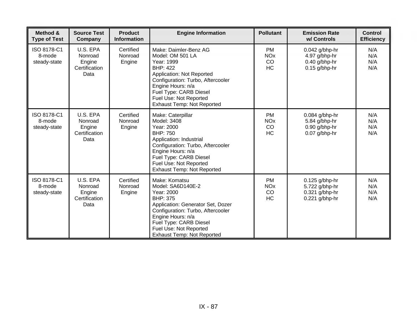| Method &<br><b>Type of Test</b>       | <b>Source Test</b><br>Company                          | <b>Product</b><br><b>Information</b> | <b>Engine Information</b>                                                                                                                                                                                                                                   | <b>Pollutant</b>                                      | <b>Emission Rate</b><br>w/ Controls                                      | <b>Control</b><br><b>Efficiency</b> |
|---------------------------------------|--------------------------------------------------------|--------------------------------------|-------------------------------------------------------------------------------------------------------------------------------------------------------------------------------------------------------------------------------------------------------------|-------------------------------------------------------|--------------------------------------------------------------------------|-------------------------------------|
| ISO 8178-C1<br>8-mode<br>steady-state | U.S. EPA<br>Nonroad<br>Engine<br>Certification<br>Data | Certified<br>Nonroad<br>Engine       | Make: Daimler-Benz AG<br>Model: OM 501 LA<br>Year: 1999<br><b>BHP: 422</b><br>Application: Not Reported<br>Configuration: Turbo, Aftercooler<br>Engine Hours: n/a<br>Fuel Type: CARB Diesel<br>Fuel Use: Not Reported<br><b>Exhaust Temp: Not Reported</b>  | <b>PM</b><br><b>NO<sub>x</sub></b><br>CO<br><b>HC</b> | 0.042 g/bhp-hr<br>4.97 g/bhp-hr<br>$0.40$ g/bhp-hr<br>$0.15$ g/bhp-hr    | N/A<br>N/A<br>N/A<br>N/A            |
| ISO 8178-C1<br>8-mode<br>steady-state | U.S. EPA<br>Nonroad<br>Engine<br>Certification<br>Data | Certified<br>Nonroad<br>Engine       | Make: Caterpillar<br>Model: 3408<br>Year: 2000<br><b>BHP: 750</b><br>Application: Industrial<br>Configuration: Turbo, Aftercooler<br>Engine Hours: n/a<br>Fuel Type: CARB Diesel<br>Fuel Use: Not Reported<br><b>Exhaust Temp: Not Reported</b>             | <b>PM</b><br><b>NO<sub>x</sub></b><br>CO<br>HC        | 0.084 g/bhp-hr<br>5.84 g/bhp-hr<br>0.90 g/bhp-hr<br>0.07 g/bhp-hr        | N/A<br>N/A<br>N/A<br>N/A            |
| ISO 8178-C1<br>8-mode<br>steady-state | U.S. EPA<br>Nonroad<br>Engine<br>Certification<br>Data | Certified<br>Nonroad<br>Engine       | Make: Komatsu<br>Model: SA6D140E-2<br>Year: 2000<br><b>BHP: 375</b><br>Application: Generator Set, Dozer<br>Configuration: Turbo, Aftercooler<br>Engine Hours: n/a<br>Fuel Type: CARB Diesel<br>Fuel Use: Not Reported<br><b>Exhaust Temp: Not Reported</b> | <b>PM</b><br><b>NO<sub>x</sub></b><br>CO<br>HC        | $0.125$ g/bhp-hr<br>5.722 g/bhp-hr<br>0.321 g/bhp-hr<br>$0.221$ g/bhp-hr | N/A<br>N/A<br>N/A<br>N/A            |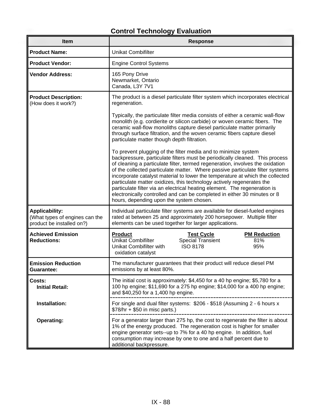# **Control Technology Evaluation**

| Item                                                                                 | <b>Response</b>                                                                                                                                                                                                                                                                                                                                                                                                                                                                                                                                                                                                                                                                 |  |  |  |  |  |
|--------------------------------------------------------------------------------------|---------------------------------------------------------------------------------------------------------------------------------------------------------------------------------------------------------------------------------------------------------------------------------------------------------------------------------------------------------------------------------------------------------------------------------------------------------------------------------------------------------------------------------------------------------------------------------------------------------------------------------------------------------------------------------|--|--|--|--|--|
| <b>Product Name:</b>                                                                 | <b>Unikat Combifilter</b>                                                                                                                                                                                                                                                                                                                                                                                                                                                                                                                                                                                                                                                       |  |  |  |  |  |
| <b>Product Vendor:</b>                                                               | <b>Engine Control Systems</b>                                                                                                                                                                                                                                                                                                                                                                                                                                                                                                                                                                                                                                                   |  |  |  |  |  |
| <b>Vendor Address:</b>                                                               | 165 Pony Drive<br>Newmarket, Ontario<br>Canada, L3Y 7V1                                                                                                                                                                                                                                                                                                                                                                                                                                                                                                                                                                                                                         |  |  |  |  |  |
| <b>Product Description:</b><br>(How does it work?)                                   | The product is a diesel particulate filter system which incorporates electrical<br>regeneration.                                                                                                                                                                                                                                                                                                                                                                                                                                                                                                                                                                                |  |  |  |  |  |
|                                                                                      | Typically, the particulate filter media consists of either a ceramic wall-flow<br>monolith (e.g. cordierite or silicon carbide) or woven ceramic fibers. The<br>ceramic wall-flow monoliths capture diesel particulate matter primarily<br>through surface filtration, and the woven ceramic fibers capture diesel<br>particulate matter though depth filtration.                                                                                                                                                                                                                                                                                                               |  |  |  |  |  |
|                                                                                      | To prevent plugging of the filter media and to minimize system<br>backpressure, particulate filters must be periodically cleaned. This process<br>of cleaning a particulate filter, termed regeneration, involves the oxidation<br>of the collected particulate matter. Where passive particulate filter systems<br>incorporate catalyst material to lower the temperature at which the collected<br>particulate matter oxidizes, this technology actively regenerates the<br>particulate filter via an electrical heating element. The regeneration is<br>electronically controlled and can be completed in either 30 minutes or 8<br>hours, depending upon the system chosen. |  |  |  |  |  |
| <b>Applicability:</b><br>(What types of engines can the<br>product be installed on?) | Individual particulate filter systems are available for diesel-fueled engines<br>rated at between 25 and approximately 200 horsepower. Multiple filter<br>elements can be used together for larger applications.                                                                                                                                                                                                                                                                                                                                                                                                                                                                |  |  |  |  |  |
| <b>Achieved Emission</b><br><b>Reductions:</b>                                       | <b>Product</b><br><b>Test Cycle</b><br><b>PM Reduction</b><br><b>Special Transient</b><br><b>Unikat Combifilter</b><br>81%<br><b>ISO 8178</b><br>Unikat Combifilter with<br>95%<br>oxidation catalyst                                                                                                                                                                                                                                                                                                                                                                                                                                                                           |  |  |  |  |  |
| <b>Emission Reduction</b><br>Guarantee:                                              | The manufacturer guarantees that their product will reduce diesel PM<br>emissions by at least 80%.                                                                                                                                                                                                                                                                                                                                                                                                                                                                                                                                                                              |  |  |  |  |  |
| Costs:<br><b>Initial Retail:</b>                                                     | The initial cost is approximately: \$4,450 for a 40 hp engine; \$5,780 for a<br>100 hp engine; \$11,690 for a 275 hp engine; \$14,000 for a 400 hp engine;<br>and \$40,250 for a 1,400 hp engine.                                                                                                                                                                                                                                                                                                                                                                                                                                                                               |  |  |  |  |  |
| Installation:                                                                        | For single and dual filter systems: \$206 - \$518 (Assuming 2 - 6 hours x<br>$$78/hr + $50 in mice parts.$                                                                                                                                                                                                                                                                                                                                                                                                                                                                                                                                                                      |  |  |  |  |  |
| <b>Operating:</b>                                                                    | For a generator larger than 275 hp, the cost to regenerate the filter is about<br>1% of the energy produced. The regeneration cost is higher for smaller<br>engine generator sets--up to 7% for a 40 hp engine. In addition, fuel<br>consumption may increase by one to one and a half percent due to<br>additional backpressure.                                                                                                                                                                                                                                                                                                                                               |  |  |  |  |  |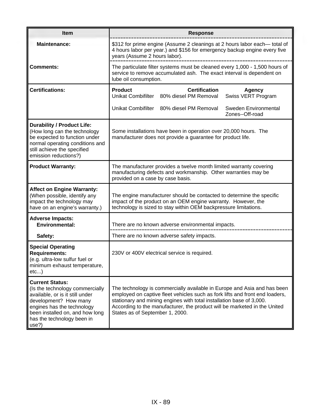| <b>Item</b>                                                                                                                                                                                                                   | <b>Response</b>                                                                                                                                                                                                                                                                                                                                  |  |  |  |  |
|-------------------------------------------------------------------------------------------------------------------------------------------------------------------------------------------------------------------------------|--------------------------------------------------------------------------------------------------------------------------------------------------------------------------------------------------------------------------------------------------------------------------------------------------------------------------------------------------|--|--|--|--|
| <b>Maintenance:</b>                                                                                                                                                                                                           | \$312 for prime engine (Assume 2 cleanings at 2 hours labor each— total of<br>4 hours labor per year.) and \$156 for emergency backup engine every five<br>years (Assume 2 hours labor).                                                                                                                                                         |  |  |  |  |
| <b>Comments:</b>                                                                                                                                                                                                              | The particulate filter systems must be cleaned every 1,000 - 1,500 hours of<br>service to remove accumulated ash. The exact interval is dependent on<br>lube oil consumption.                                                                                                                                                                    |  |  |  |  |
| <b>Certifications:</b>                                                                                                                                                                                                        | <b>Product</b><br><b>Certification</b><br>Agency<br>Unikat Combifilter 80% diesel PM Removal<br>Swiss VERT Program                                                                                                                                                                                                                               |  |  |  |  |
|                                                                                                                                                                                                                               | Unikat Combifilter 80% diesel PM Removal<br>Sweden Environmental<br>Zones--Off-road                                                                                                                                                                                                                                                              |  |  |  |  |
| <b>Durability / Product Life:</b><br>(How long can the technology<br>be expected to function under<br>normal operating conditions and<br>still achieve the specified<br>emission reductions?)                                 | Some installations have been in operation over 20,000 hours. The<br>manufacturer does not provide a guarantee for product life.                                                                                                                                                                                                                  |  |  |  |  |
| <b>Product Warranty:</b>                                                                                                                                                                                                      | The manufacturer provides a twelve month limited warranty covering<br>manufacturing defects and workmanship. Other warranties may be<br>provided on a case by case basis.                                                                                                                                                                        |  |  |  |  |
| <b>Affect on Engine Warranty:</b><br>(When possible, identify any<br>impact the technology may<br>have on an engine's warranty.)                                                                                              | The engine manufacturer should be contacted to determine the specific<br>impact of the product on an OEM engine warranty. However, the<br>technology is sized to stay within OEM backpressure limitations.                                                                                                                                       |  |  |  |  |
| <b>Adverse Impacts:</b><br><b>Environmental:</b>                                                                                                                                                                              | There are no known adverse environmental impacts.                                                                                                                                                                                                                                                                                                |  |  |  |  |
| Safety:                                                                                                                                                                                                                       | There are no known adverse safety impacts.                                                                                                                                                                                                                                                                                                       |  |  |  |  |
| <b>Special Operating</b><br><b>Requirements:</b><br>(e.g. ultra-low sulfur fuel or<br>minimum exhaust temperature,<br>$etc$ )                                                                                                 | 230V or 400V electrical service is required.                                                                                                                                                                                                                                                                                                     |  |  |  |  |
| <b>Current Status:</b><br>(Is the technology commercially<br>available, or is it still under<br>development? How many<br>engines has the technology<br>been installed on, and how long<br>has the technology been in<br>use?) | The technology is commercially available in Europe and Asia and has been<br>employed on captive fleet vehicles such as fork lifts and front end loaders,<br>stationary and mining engines with total installation base of 3,000.<br>According to the manufacturer, the product will be marketed in the United<br>States as of September 1, 2000. |  |  |  |  |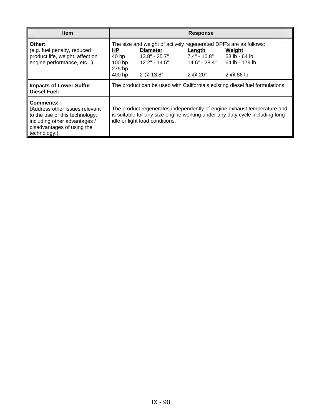| <b>Item</b>                                                                                                                                                        | <b>Response</b>                                                              |                                                                           |                                   |                                                                                                                                                        |  |
|--------------------------------------------------------------------------------------------------------------------------------------------------------------------|------------------------------------------------------------------------------|---------------------------------------------------------------------------|-----------------------------------|--------------------------------------------------------------------------------------------------------------------------------------------------------|--|
| Other:<br>(e.g. fuel penalty, reduced<br>product life, weight, affect on<br>engine performance, etc)                                                               | ΗP<br>40 hp<br>$100$ hp<br>275 hp<br>400 hp                                  | <b>Diameter</b><br>$13.8" - 25.7"$<br>$12.2" - 14.5"$<br>- -<br>2 @ 13.8" | Length<br>7.4" - 10.8"<br>2 @ 20" | The size and weight of actively regenerated DPF's are as follows:<br>Weight<br>53 lb - 64 lb<br>$14.6" - 28.4"$ 64 lb - 179 lb<br>2 @ 86 lb            |  |
| <b>Impacts of Lower Sulfur</b><br><b>Diesel Fuel:</b>                                                                                                              | The product can be used with California's existing diesel fuel formulations. |                                                                           |                                   |                                                                                                                                                        |  |
| <b>Comments:</b><br>(Address other issues relevant<br>to the use of this technology,<br>including other advantages /<br>disadvantages of using the<br>technology.) |                                                                              | idle or light load conditions.                                            |                                   | The product regenerates independently of engine exhaust temperature and<br>is suitable for any size engine working under any duty cycle including long |  |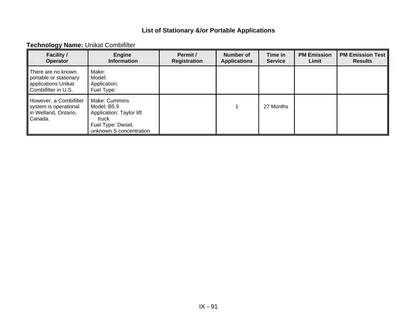### **Technology Name:** Unikat Combifilter

| <b>Facility /</b><br><b>Operator</b>                                                       | <b>Engine</b><br><b>Information</b>                                                                                       | Permit /<br>Registration | Number of<br><b>Applications</b> | Time in<br><b>Service</b> | <b>PM Emission</b><br>Limit | <b>PM Emission Test</b><br><b>Results</b> |
|--------------------------------------------------------------------------------------------|---------------------------------------------------------------------------------------------------------------------------|--------------------------|----------------------------------|---------------------------|-----------------------------|-------------------------------------------|
| There are no known<br>portable or stationary<br>applications Unikat<br>Combifilter in U.S. | Make:<br>Model:<br>Application:<br>Fuel Type:                                                                             |                          |                                  |                           |                             |                                           |
| However, a Combifilter<br>system is operational<br>in Welland, Ontario,<br><b>C</b> anada. | Make: Cummins<br>Model: B5.9<br><b>Application: Taylor lift</b><br>truck<br>Fuel Type: Diesel,<br>unknown S concentration |                          |                                  | 27 Months                 |                             |                                           |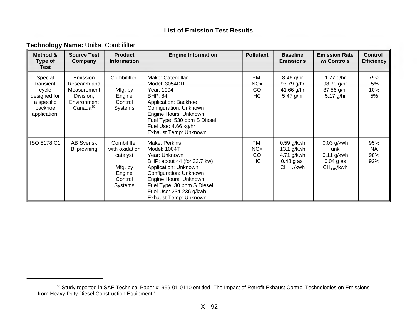NOx CO HC

13.1 g/kwh 4.71 g/kwh 0.48 g as  $CH<sub>1.85</sub>/kwh$ 

**Emission Rate w/ Controls** 

**Control Efficiency** 

> 79% -5% 10% 5%

> 95% NA 98% 92%

1.77 g/hr 98.70 g/hr 37.56 g/hr 5.17 g/hr

0.03 g/kwh unk 0.11 g/kwh  $0.04$  g as  $CH<sub>1.85</sub>$ /kwh

| Method &<br>Type of<br><b>Test</b>                                                     | <b>Source Test</b><br>Company                                                               | <b>Product</b><br><b>Information</b>                          | <b>Engine Information</b>                                                                                                                                                                                                      | <b>Pollutant</b>                          | <b>Baseline</b><br><b>Emissions</b>                |
|----------------------------------------------------------------------------------------|---------------------------------------------------------------------------------------------|---------------------------------------------------------------|--------------------------------------------------------------------------------------------------------------------------------------------------------------------------------------------------------------------------------|-------------------------------------------|----------------------------------------------------|
| Special<br>transient<br>cycle<br>designed for<br>a specific<br>backhoe<br>application. | Emission<br>Research and<br>Measurement<br>Division,<br>Environment<br>Canada <sup>30</sup> | Combifilter<br>Mfg. by<br>Engine<br>Control<br><b>Systems</b> | Make: Caterpillar<br>Model: 3054DIT<br>Year: 1994<br><b>BHP: 84</b><br>Application: Backhoe<br>Configuration: Unknown<br>Engine Hours: Unknown<br>Fuel Type: 530 ppm S Diesel<br>Fuel Use: 4.66 kg/hr<br>Exhaust Temp: Unknown | PM.<br><b>NO<sub>x</sub></b><br>CO<br>HC. | 8.46 g/hr<br>93.79 g/hr<br>41.66 g/hr<br>5.47 g/hr |
| ISO 8178 C1                                                                            | <b>AB Svensk</b>                                                                            | Combifilter                                                   | Make: Perkins                                                                                                                                                                                                                  | PM                                        | $0.59$ a/kwh                                       |

Model: 1004T Year: Unknown

BHP: about 44 (for 33.7 kw) Application: Unknown Configuration: Unknown Engine Hours: Unknown Fuel Type: 30 ppm S Diesel Fuel Use: 234-236 g/kwh Exhaust Temp: Unknown

#### **Technology Name:** Unikat Combifilter

Bilprovning

with oxidation catalyst

> Mfg. by Engine **Control** Systems

<sup>30</sup> Study reported in SAE Technical Paper #1999-01-0110 entitled "The Impact of Retrofit Exhaust Control Technologies on Emissions from Heavy-Duty Diesel Construction Equipment."